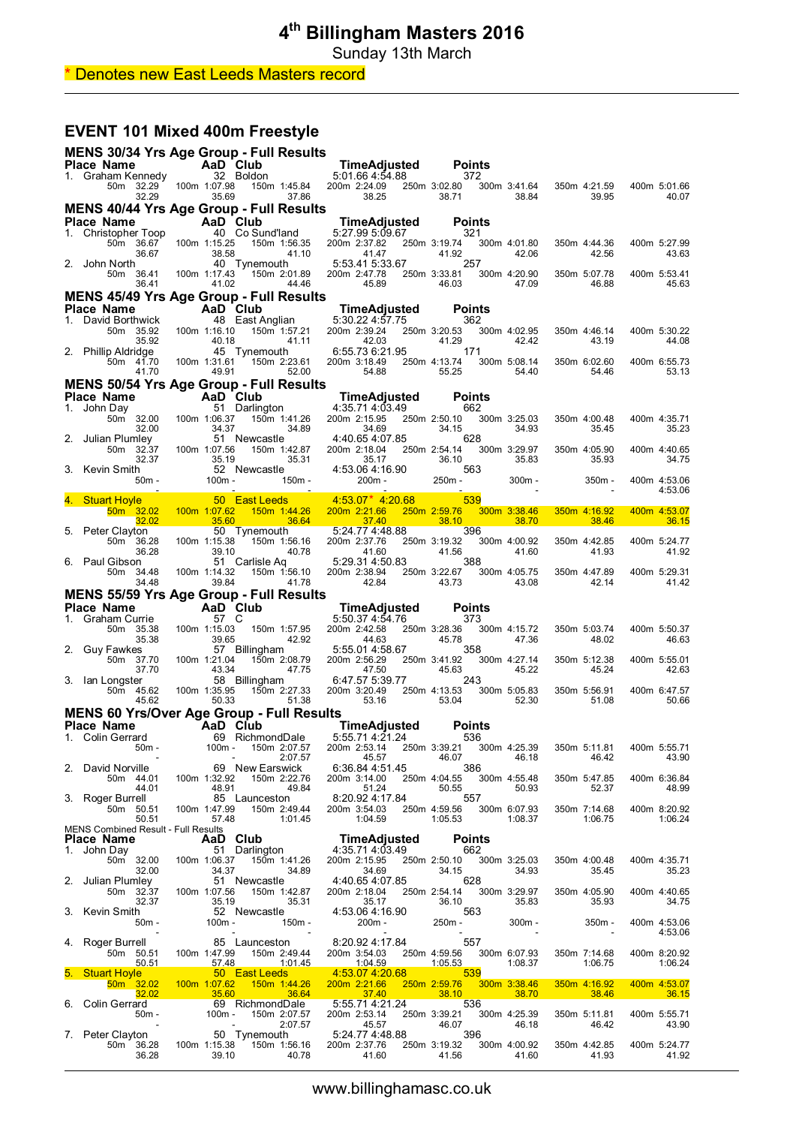Sunday 13th March

### \* Denotes new East Leeds Masters record

## **EVENT 101 Mixed 400m Freestyle**

|    | MENS 30/34 Yrs Age Group - Full Results                                                               |                        |                       |                                                      |                                    |                                          |                                                                |                                  |                           |                                                 |                        |                                    |                                                                                                                       |                         |
|----|-------------------------------------------------------------------------------------------------------|------------------------|-----------------------|------------------------------------------------------|------------------------------------|------------------------------------------|----------------------------------------------------------------|----------------------------------|---------------------------|-------------------------------------------------|------------------------|------------------------------------|-----------------------------------------------------------------------------------------------------------------------|-------------------------|
|    | <b>Place Name</b><br>1. Graham Kennedy                                                                |                        |                       | AaD Club<br>32 Boldon                                |                                    | TimeAdjusted<br>5:01.66 4:54.88          |                                                                |                                  | <b>Points</b><br>372      |                                                 |                        |                                    |                                                                                                                       |                         |
|    | 32.29                                                                                                 | 50m 32.29 100m 1:07.98 | 35.69                 |                                                      | 150m 1:45.84 200m 2:24.09<br>37.86 | 38.25                                    |                                                                | 250m 3:02.80<br>38.71            |                           | 300m 3:41.64<br>38.84                           |                        | 350m 4:21.59<br>39.95              |                                                                                                                       | 400m 5:01.66<br>40.07   |
|    | <b>MENS 40/44 Yrs Age Group - Full Results</b>                                                        |                        |                       |                                                      |                                    |                                          |                                                                |                                  |                           |                                                 |                        |                                    |                                                                                                                       |                         |
|    | Place Name<br>1. Christopher Toop                                                                     |                        |                       | AaD Club<br>40 Co Sund'Iand                          |                                    | TimeAdjusted<br>5:27.99 5:09.67          |                                                                |                                  | <b>Points</b><br>321      |                                                 |                        |                                    |                                                                                                                       |                         |
|    | 50m 36.67<br>36.67                                                                                    |                        | 100m 1:15.25<br>38.58 |                                                      | 150m 1:56.35<br>41.10              | 200m 2:37.82<br>41.47                    |                                                                | 250m 3:19.74<br>41.92            |                           | 300m 4:01.80<br>42.06                           |                        | 350m 4:44.36<br>42.56              |                                                                                                                       | 400m 5:27.99<br>43.63   |
|    | 2. John North<br>50m 36.41<br>36.41                                                                   |                        | 100m 1:17.43<br>41.02 | 40 Tynemouth                                         | 150m 2:01.89<br>44.46              | 5:53.41 5:33.67<br>200m 2:47.78<br>45.89 |                                                                | 250m 3:33.81<br>46.03            | 257                       | 300m 4:20.90<br>47.09                           |                        | 350m 5:07.78<br>46.88              |                                                                                                                       | 400m 5:53.41<br>45.63   |
|    | <b>MENS 45/49 Yrs Age Group - Full Results</b>                                                        |                        |                       |                                                      |                                    |                                          |                                                                |                                  |                           |                                                 |                        |                                    |                                                                                                                       |                         |
|    | Place Name<br>1. David Borthwick                                                                      |                        |                       | AaD Club<br>48 East Anglian                          |                                    | TimeAdjusted<br>5:30.22 4:57.75          |                                                                |                                  | <b>Points</b><br>362      |                                                 |                        |                                    |                                                                                                                       |                         |
|    | 50m 35.92<br>35.92                                                                                    |                        | 100m 1:16.10<br>40.18 |                                                      | 150m <sup>-</sup> 1:57.21<br>41.11 | 200m 2:39.24<br>42.03                    |                                                                | 250m 3:20.53<br>41.29            |                           | 300m 4:02.95<br>42.42                           |                        | 350m 4:46.14<br>43.19              |                                                                                                                       | 400m 5:30.22<br>44.08   |
|    | 2. Phillip Aldridge<br>50m 41.70<br>41.70                                                             |                        | 100m 1:31.61<br>49.91 | 45 Tynemouth                                         | 150m 2:23.61 200m 3:18.49<br>52.00 | 6:55.73 6:21.95<br>54.88                 |                                                                | 250m 4:13.74<br>55.25            | 171                       | 300m 5:08.14<br>54.40                           |                        | 350m 6:02.60<br>54.46              |                                                                                                                       | 400m 6:55.73<br>53.13   |
|    | <b>MENS 50/54 Yrs Age Group - Full Results</b>                                                        |                        |                       |                                                      |                                    |                                          |                                                                |                                  |                           |                                                 |                        |                                    |                                                                                                                       |                         |
|    | Place Name<br>1. John Day                                                                             |                        |                       | AaD Club<br>51 Darlington                            |                                    | TimeAdjusted<br>4:35.71 4:03.49          |                                                                |                                  | <b>Points</b><br>662      |                                                 |                        |                                    |                                                                                                                       |                         |
| 2. | 50m 32.00<br>32.00<br>Julian Plumley                                                                  |                        | 100m 1:06.37<br>34.37 | 51 Newcastle                                         | 150m 1:41.26<br>34.89              | 200m 2:15.95<br>34.69<br>4:40.65 4:07.85 |                                                                | 250m 2:50.10<br>34.15            | 628                       | 300m 3:25.03<br>34.93                           |                        | 350m 4:00.48<br>35.45              |                                                                                                                       | 400m 4:35.71<br>35.23   |
|    | 50m 32.37<br>32.37<br>3. Kevin Smith                                                                  |                        | 100m 1:07.56<br>35.19 | 52 Newcastle                                         | 150m 1:42.87<br>35.31              | 200m 2:18.04<br>35.17<br>4:53.06 4:16.90 |                                                                | 250m 2:54.14<br>36.10            | 563                       | 300m 3:29.97<br>35.83                           |                        | 350m 4:05.90<br>35.93              |                                                                                                                       | 400m 4:40.65<br>34.75   |
|    | $50m -$                                                                                               |                        | $100m -$              |                                                      | 150m -                             | $200m -$                                 |                                                                | $250m -$                         |                           | $300m -$                                        |                        | 350m -                             |                                                                                                                       | 400m 4:53.06<br>4:53.06 |
|    | 4. Stuart Hoyle<br>50m 32.02                                                                          |                        | 100m 1:07.62          | 50 East Leeds                                        | 150m 1:44.26                       | 4:53.07* 4:20.68<br>200m 2:21.66         |                                                                | 250m 2:59.76                     | 539                       | 300m 3:38.46                                    |                        | 350m 4:16.92                       |                                                                                                                       | 400m 4:53.07            |
|    | 32.02                                                                                                 |                        | 35.60                 |                                                      | 36.64                              | 37.40                                    |                                                                | 38.10                            |                           | 38.70                                           |                        | 38.46                              |                                                                                                                       | 36.15                   |
| 5. | Peter Clayton<br>50m 36.28<br>36.28                                                                   |                        | 100m 1:15.38<br>39.10 | 50 Tynemouth                                         | 150m 1:56.16<br>40.78              | 5:24.77 4:48.88<br>200m 2:37.76<br>41.60 |                                                                | 250m 3:19.32<br>41.56            | 396                       | 300m 4:00.92<br>41.60                           |                        | 350m 4:42.85<br>41.93              |                                                                                                                       | 400m 5:24.77<br>41.92   |
|    | 6. Paul Gibson<br>50m 34.48<br>34.48                                                                  |                        | 100m 1:14.32<br>39.84 | 51 Carlisle Aq                                       | 150m 1:56.10<br>41.78              | 5:29.31 4:50.83<br>200m 2:38.94<br>42.84 |                                                                | 250m 3:22.67<br>43.73            | 388                       | 300m 4:05.75<br>43.08                           |                        | 350m 4:47.89<br>42.14              |                                                                                                                       | 400m 5:29.31<br>41.42   |
|    | <b>MENS 55/59 Yrs Age Group - Full Results</b>                                                        |                        |                       |                                                      |                                    |                                          |                                                                |                                  |                           |                                                 |                        |                                    |                                                                                                                       |                         |
| 1. | Place Name<br>Graham Currie                                                                           |                        | 57 C                  | AaD Club                                             |                                    | TimeAdjusted<br>5:50.37 4:54.76          |                                                                |                                  | <b>Points</b><br>373      |                                                 |                        |                                    |                                                                                                                       |                         |
|    | 50m 35.38<br>35.38                                                                                    |                        | 100m 1:15.03<br>39.65 |                                                      | 150m 1:57.95<br>42.92              | 200m 2:42.58<br>44.63                    |                                                                | 250m 3:28.36<br>45.78            |                           | 300m 4:15.72<br>47.36                           |                        | 350m 5:03.74<br>48.02              |                                                                                                                       | 400m 5:50.37<br>46.63   |
|    | 2. Guy Fawkes<br>50m 37.70<br>37.70                                                                   |                        | 100m 1:21.04<br>43.34 | 57 Billingham                                        | 150m 2:08.79<br>47.75              | 5:55.01 4:58.67<br>200m 2:56.29<br>47.50 |                                                                | 250m 3:41.92<br>45.63            | 358                       | 300m 4:27.14<br>45.22                           |                        | 350m 5:12.38<br>45.24              |                                                                                                                       | 400m 5:55.01<br>42.63   |
|    | 3. Ian Longster<br>50m 45.62<br>45.62                                                                 |                        | 100m 1:35.95<br>50.33 | 58 Billingham                                        | 150m 2:27.33<br>51.38              | 6:47.57 5:39.77<br>200m 3:20.49<br>53.16 |                                                                | 250m 4:13.53<br>53.04            | 243                       | 300m 5:05.83<br>52.30                           |                        | 350m 5:56.91<br>51.08              |                                                                                                                       | 400m 6:47.57<br>50.66   |
|    | <b>MENS 60 Yrs/Over Age Group - Full Results</b>                                                      |                        |                       |                                                      |                                    |                                          |                                                                |                                  |                           |                                                 |                        |                                    |                                                                                                                       |                         |
|    | Place Name<br>1. Colin Gerrard                                                                        |                        |                       | AaD Club<br>69 RichmondDale                          |                                    | TimeAdjusted<br>5:55.71 4:21.24          |                                                                |                                  | <b>Points</b><br>536      |                                                 |                        |                                    |                                                                                                                       |                         |
|    |                                                                                                       | 50m -                  | 100m -                |                                                      | 150m 2:07.57<br>2:07.57            |                                          | 200m 2:53.14 250m 3:39.21<br>45.57<br>$6:36.844:51.45$ 386     |                                  | 46.07                     | 300m 4:25.39 350m 5:11.81<br>46.18              |                        | 46.42                              |                                                                                                                       | 400m 5:55.71<br>43.90   |
|    | 2. David Norville 69 New Earswick<br>50m 44.01 100m 1:32.92 150m 2:22.76<br>44.01<br>3. Roger Burrell |                        | 48.91                 | 85 Launceston 8:20.92 4:17.84 557                    | 49.84                              | 51.24                                    | 200m 3:14.00 250m 4:04.55 300m 4:55.48                         | 50.55                            |                           | 50.93                                           |                        | 350m 5:47.85<br>52.37              |                                                                                                                       | 400m 6:36.84<br>48.99   |
|    | 50m 50.51 100m 1:47.99<br>50.51                                                                       |                        | 57.48                 |                                                      | 150m 2:49.44<br>1:01.45            | 1:04.59                                  | 200m 3:54.03 250m 4:59.56 300m 6:07.93                         | 1:05.53                          |                           | 1:08.37                                         |                        | 350m 7:14.68<br>1:06.75            |                                                                                                                       | 400m 8:20.92<br>1:06.24 |
|    | MENS Combined Result - Full Results<br>Place Name                                                     |                        |                       | AaD Club                                             |                                    |                                          | TimeAdjusted                                                   |                                  | <b>Points</b>             |                                                 |                        |                                    |                                                                                                                       |                         |
|    | 1. John Day                                                                                           |                        |                       | <b>AaD CIUD</b><br>51 Darlington                     |                                    |                                          | 4:35.71 4:03.49 662                                            |                                  |                           |                                                 |                        |                                    |                                                                                                                       |                         |
|    | $32.00$<br>2. Julian Plumley                                                                          |                        | 34.37                 | 50m 32.00 100m 1:06.37 150m 1:41.26<br>51 Newcastle  | 34.89                              | 34.69                                    |                                                                | 34.15                            |                           | 200m 2:15.95 250m 2:50.10 300m 3:25.03<br>34.93 |                        | 350m 4:00.48<br>35.45              |                                                                                                                       | 400m 4:35.71<br>35.23   |
|    | 50m 32.37<br>32.37<br>3. Kevin Smith                                                                  |                        | 35.19                 | 100m 1:07.56  150m 1:42.87<br>52 Newcastle           | 35.31                              | 35.17                                    |                                                                | 36.10                            |                           | 200m 2:18.04 250m 2:54.14 300m 3:29.97<br>35.83 |                        | 350m 4:05.90<br>35.93              |                                                                                                                       | 400m 4:40.65<br>34.75   |
|    | $50m -$<br>4. Roger Burrell                                                                           |                        | $100m -$              | $\sim$ $-$<br>85 Launceston                          | $150m -$<br><b>Contract</b>        |                                          | 4:53.06 4:16.90<br>200m - 250m - 250m -<br>8:20.92 4:17.84 557 |                                  |                           | $300m -$                                        |                        | 350m -<br>$\overline{\phantom{a}}$ |                                                                                                                       | 400m 4:53.06<br>4:53.06 |
|    | 50m 50.51<br>5. Stuart Hoyle                                                                          | 50.51                  | 100m 1:47.99<br>57.48 | 50 East Leeds                                        | 150m 2:49.44                       | 200m 3:54.03<br>4:53.07 4:20.68          |                                                                | 1:05.53<br><u>539 - 539 </u>     | 250m 4:59.56 300m 6:07.93 | 1:08.37                                         |                        | 350m 7:14.68<br>1:06.75            |                                                                                                                       | 400m 8:20.92<br>1:06.24 |
|    | 50m 32.02                                                                                             |                        | 100m 1:07.62          |                                                      | 150m 1:44.26                       | 200m 2:21.66                             |                                                                |                                  | 250m 2:59.76 300m 3:38.46 |                                                 |                        | 350m 4:16.92                       |                                                                                                                       | 400m 4:53.07            |
|    | 32.02<br>6. Colin Gerrard<br>50m -                                                                    |                        | $100m -$              | 35.60 36.64 37.40<br>69 RichmondDale 5:55.71 4:21.24 | 150m 2:07.57                       | 37.40<br>200m 2:53.14                    |                                                                | $\overline{536}$<br>250m 3:39.21 | $\frac{38.10}{2}$         | 38.70<br>300m 4:25.39                           | <b>Service Service</b> | 38.46<br>350m 5:11.81              | <b>Contract Contract Contract Contract Contract Contract Contract Contract Contract Contract Contract Contract Co</b> | 36.15<br>400m 5:55.71   |
|    | 7. Peter Clayton<br>50m 36.28                                                                         |                        | 100m 1:15.38          | <b>Contract Contract</b><br>50 Tynemouth             | 2:07.57<br>150m 1:56.16            | 45.57<br>5:24.77 4:48.88<br>200m 2:37.76 |                                                                | 46.07<br>396                     | 250m 3:19.32 300m 4:00.92 | 46.18                                           |                        | 46.42<br>350m 4:42.85              |                                                                                                                       | 43.90<br>400m 5:24.77   |
|    | 36.28                                                                                                 |                        | 39.10                 |                                                      | 40.78                              | 41.60                                    |                                                                | 41.56                            |                           | 41.60                                           |                        | 41.93                              |                                                                                                                       | 41.92                   |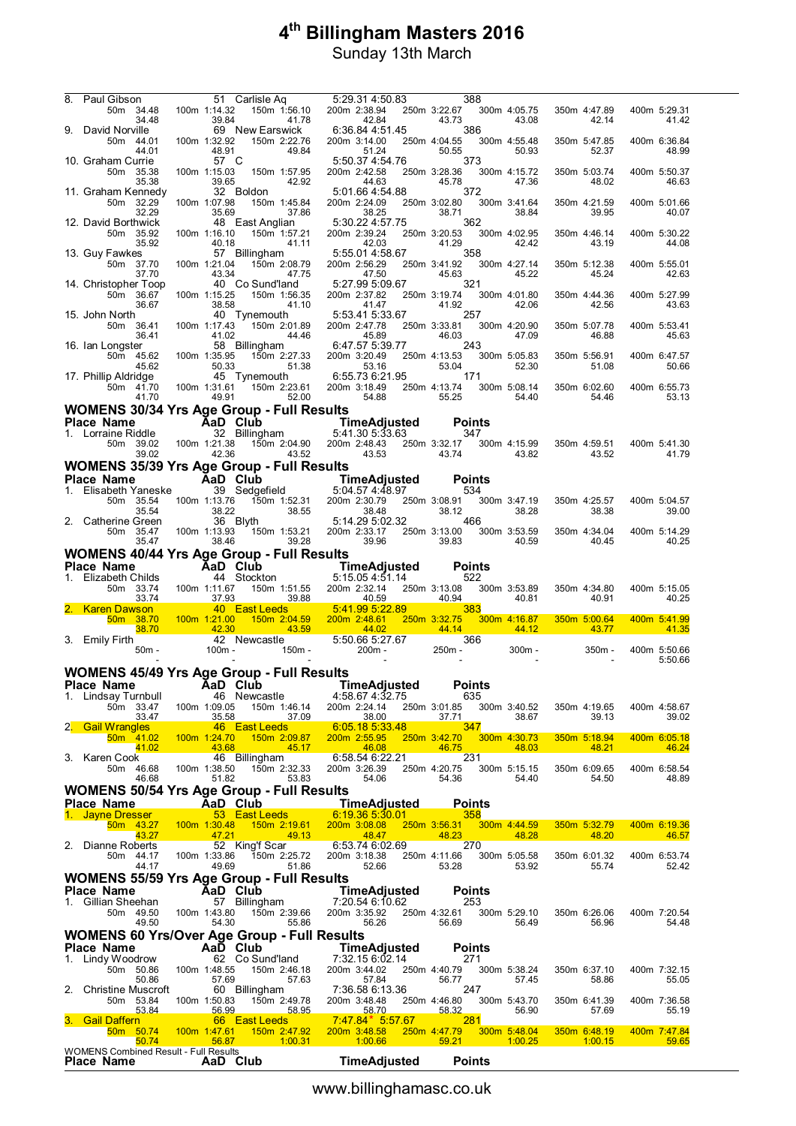| 8. | Paul Gibson<br>50m 34.48                                              |                                         | 100m 1:14.32                  | 51 Carlisle Aq                                                                                                                                  | 5:29.31 4:50.83<br>150m 1:56.10 200m 2:38.94                |       | 388<br>250m 3:22.67 300m 4:05.75                                                                                                     |                                | 350m 4:47.89                                                 | 400m 5:29.31          |
|----|-----------------------------------------------------------------------|-----------------------------------------|-------------------------------|-------------------------------------------------------------------------------------------------------------------------------------------------|-------------------------------------------------------------|-------|--------------------------------------------------------------------------------------------------------------------------------------|--------------------------------|--------------------------------------------------------------|-----------------------|
|    | 34.48<br>9. David Norville<br>50m 44.01                               |                                         | 39.84<br>100m 1:32.92         | 41.78<br>69 New Earswick<br>150m 2:22.76                                                                                                        | 42.84<br>6:36.84 4:51.45<br>200m 3:14.00                    |       | 43.73<br>386<br>250m 4:04.55 300m 4:55.48                                                                                            | 43.08                          | 42.14<br>350m 5:47.85                                        | 41.42<br>400m 6:36.84 |
|    | 44.01<br>10. Graham Currie<br>50m 35.38                               |                                         | 48.91<br>57 C<br>100m 1:15.03 | 49.84<br>150m 1:57.95                                                                                                                           | 51.24<br>5:50.37 4:54.76<br>200m 2:42.58                    |       | 50.55<br>373<br>250m 3:28.36                                                                                                         | 50.93<br>300m 4:15.72          | 52.37<br>350m 5:03.74                                        | 48.99<br>400m 5:50.37 |
|    | 35.38<br>11. Graham Kennedy<br>50m 32.29                              |                                         | 39.65<br>100m 1:07.98         | 42.92<br>32 Boldon<br>150m 1:45.84                                                                                                              | 44.63<br>5:01.66 4:54.88<br>200m 2:24.09                    |       | 45.78<br>372<br>250m 3:02.80 300m 3:41.64                                                                                            | 47.36                          | 48.02<br>350m 4:21.59                                        | 46.63<br>400m 5:01.66 |
|    | 32.29<br>12. David Borthwick<br>50m 35.92                             |                                         | 35.69<br>100m 1:16.10         | 37.86<br>48 East Anglian<br>150m 1:57.21                                                                                                        | 38.25<br>5:30.22 4:57.75 362<br>200m 2:39.24                |       | 38.71<br>250m 3:20.53                                                                                                                | 38.84<br>300m 4:02.95          | 39.95<br>350m 4:46.14                                        | 40.07<br>400m 5:30.22 |
|    | 35.92<br>13. Guy Fawkes<br>50m 37.70                                  |                                         | 40.18<br>100m 1:21.04         | 41.11<br>57 Billingham<br>150m 2:08.79                                                                                                          | 42.03<br>5:55.01 4:58.67<br>200m 2:56.29                    |       | 41.29<br>358<br>250m 3:41.92 300m 4:27.14                                                                                            | 42.42                          | 43.19<br>350m 5:12.38                                        | 44.08<br>400m 5:55.01 |
|    | 37.70<br>14. Christopher Toop<br>50m 36.67                            |                                         | 43.34<br>100m 1:15.25         | 47.75<br>40 Co Sund'land<br>150m 1:56.35                                                                                                        | 47.50<br>5:27.99 5:09.67<br>200m 2:37.82                    |       | 45.63<br>321<br>250m 3:19.74                                                                                                         | 45.22<br>300m 4:01.80          | 45.24<br>350m 4:44.36                                        | 42.63<br>400m 5:27.99 |
|    | 36.67<br>15. John North<br>50m 36.41                                  |                                         | 38.58<br>100m 1:17.43         | 41.10<br>40 Tynemouth<br>150m 2:01.89                                                                                                           | 41.47<br>5:53.41 5:33.67<br>200m 2:47.78                    |       | 41.92<br>257<br>250m 3:33.81                                                                                                         | 42.06<br>300m 4:20.90          | 42.56<br>350m 5:07.78                                        | 43.63<br>400m 5:53.41 |
|    | 36.41<br>16. Ian Longster<br>50m 45.62                                |                                         | 41.02<br>100m 1:35.95         | 44.46<br>58 Billingham<br>150m 2:27.33                                                                                                          | 45.89<br>6:47.57 5:39.77<br>200m 3:20.49                    |       | 46.03<br>243<br>250m 4:13.53                                                                                                         | 47.09<br>300m 5:05.83          | 46.88<br>350m 5:56.91                                        | 45.63<br>400m 6:47.57 |
|    | 45.62<br>17. Phillip Aldridge<br>50m 41.70                            |                                         | 50.33                         | 51.38<br>45 Tynemouth 6:55.73 6:21.95<br>100m 1:31.61  150m 2:23.61                                                                             | 53.16<br>200m 3:18.49                                       |       | 53.04<br>171<br>250m 4:13.74<br>55.25                                                                                                | 52.30<br>300m 5:08.14<br>54.40 | 51.08<br>350m 6:02.60                                        | 50.66<br>400m 6:55.73 |
|    | 41.70<br><b>WOMENS 30/34 Yrs Age Group - Full Results</b>             |                                         | 49.91                         | 52.00                                                                                                                                           | 54.88                                                       |       |                                                                                                                                      |                                | 54.46                                                        | 53.13                 |
|    | Place Name                                                            | <b>Example 25 Age Club</b>              |                               |                                                                                                                                                 |                                                             |       | <b>Points</b>                                                                                                                        |                                |                                                              |                       |
|    | 1. Lorraine Riddle<br>50m 39.02                                       |                                         |                               | 100m 1:21.38  150m 2:04.90                                                                                                                      | 200m 2:48.43 250m 3:32.17                                   |       | 347                                                                                                                                  | 300m 4:15.99                   | 350m 4:59.51                                                 | 400m 5:41.30          |
|    | 39.02                                                                 |                                         | 42.36                         | 43.52                                                                                                                                           | 43.53                                                       | 43.74 |                                                                                                                                      | 43.82                          | 43.52                                                        | 41.79                 |
|    | <b>WOMENS 35/39 Yrs Age Group - Full Results</b><br>Place Name        | <b>Example 25 Age Dividend Age Club</b> |                               |                                                                                                                                                 | <b>TimeAdjusted</b>                                         |       | <b>Points</b>                                                                                                                        |                                |                                                              |                       |
|    | 1. Elisabeth Yaneske                                                  |                                         |                               | 39 Sedgefield                                                                                                                                   | 5:04.57 4:48.97                                             |       | 534                                                                                                                                  |                                |                                                              |                       |
|    | 50m 35.54<br>35.54<br>2. Catherine Green                              |                                         | 38.22                         | 100m 1:13.76 150m 1:52.31<br>36 Blyth                                                                                                           | 200m 2:30.79<br>38.55<br>5:14.29 5:02.32                    |       | 250m 3:08.91<br>38.12<br>466                                                                                                         | 300m 3:47.19<br>38.28          | 350m 4:25.57<br>38.38                                        | 400m 5:04.57<br>39.00 |
|    | 50m 35.47<br>35.47                                                    |                                         | 38.46                         | 100m 1:13.93 150m 1:53.21<br>39.28                                                                                                              | 200m 2:33.17<br>39.96                                       |       | 250m 3:13.00<br>39.83                                                                                                                | 300m 3:53.59<br>40.59          | 350m 4:34.04<br>40.45                                        | 400m 5:14.29<br>40.25 |
|    | <b>WOMENS 40/44 Yrs Age Group - Full Results</b><br><b>Place Name</b> | <b>Example 2</b> AaD Club               |                               |                                                                                                                                                 |                                                             |       | <b>Points</b>                                                                                                                        |                                |                                                              |                       |
| 1. | Elizabeth Childs                                                      |                                         |                               | 44 Stockton                                                                                                                                     | <b>TimeAdjusted</b><br>5:15.05   4:51.14<br>5:15.05 4:51.14 |       | 522                                                                                                                                  |                                |                                                              |                       |
|    | 50m 33.74<br>33.74                                                    | 37.93                                   | 100m 1:11.67                  | 150m 1:51.55<br>39.88                                                                                                                           | 40.59                                                       |       | 200m 2:32.14 250m 3:13.08 300m 3:53.89<br>40.94                                                                                      | 40.81                          | 350m 4:34.80<br>40.91                                        | 400m 5:15.05<br>40.25 |
|    | 2. Karen Dawson<br>50m 38.70                                          | 100m 1:21.00                            |                               | 40 East Leeds 5:41.99 5:22.89<br>21.00 150m 2:04.59 200m 2:48.61 250m 3:32.75 3:                                                                |                                                             |       |                                                                                                                                      | 300m 4:16.87                   | 350m 5:00.64                                                 | 400m 5:41.99          |
|    | 38.70<br>3. Emily Firth<br>50m -                                      | $\overline{42.30}$                      | 100m -                        | 43.59<br>42 Newcastle<br>$150m -$                                                                                                               | 44.02<br>$5:50.665:27.67$<br>200m - 250m                    |       | $\frac{44.14}{ }$<br>366<br>250m -                                                                                                   | $\frac{44.12}{ }$              | 43.77<br><b>Service Service</b><br>$300m -$<br>$350m -$      | 41.35<br>400m 5:50.66 |
|    | <b>WOMENS 45/49 Yrs Age Group - Full Results</b>                      |                                         |                               |                                                                                                                                                 |                                                             |       |                                                                                                                                      |                                |                                                              | 5:50.66               |
|    | Place Name                                                            | <b>AaD</b> Club                         |                               |                                                                                                                                                 | TimeAdjusted                                                |       | <b>Points</b>                                                                                                                        |                                |                                                              |                       |
|    | 1. Lindsay Turnbull 46 Newcastle 4:58.67 4:32.75<br>50m 33.47         |                                         | 100m 1:09.05                  | 150m 1:46.14                                                                                                                                    | 200m 2:24.14                                                |       | 635<br>250m 3:01.85                                                                                                                  | 300m 3:40.52                   | 350m 4:19.65                                                 | 400m 4:58.67          |
|    | 33.47<br>2. Gail Wrangles                                             |                                         | 35.58                         | 37.09<br>46 East Leeds 6:05.18 5:33.48                                                                                                          | 38.00                                                       |       | 37.71<br>347<br><b>Contract Contract Contract Contract Contract Contract Contract Contract Contract Contract Contract Contract C</b> | 38.67                          | 39.13                                                        | 39.02                 |
|    | 50m 41.02<br>41.02                                                    |                                         | 43.68                         | 100m 1:24.70  150m 2:09.87<br>$\overline{45.17}$                                                                                                | 46.08                                                       |       | 200m 2:55.95 250m 3:42.70 300m 4:30.73<br>46.75                                                                                      | 48.03                          | 350m 5:18.94<br>48.21                                        | 400m 6:05.18<br>46.24 |
|    | 3. Karen Cook<br>50m 46.68                                            |                                         | 100m 1:38.50                  | 46 Billingham<br>150m 2:32.33                                                                                                                   | 6:58.54 6:22.21                                             |       | 231<br>200m 3:26.39 250m 4:20.75 300m 5:15.15                                                                                        |                                | 350m 6:09.65                                                 | 400m 6:58.54          |
|    | 46.68                                                                 |                                         | 51.82                         | 53.83                                                                                                                                           | 54.06                                                       |       | 54.36                                                                                                                                | 54.40                          | 54.50                                                        | 48.89                 |
|    |                                                                       |                                         |                               |                                                                                                                                                 |                                                             |       |                                                                                                                                      |                                |                                                              |                       |
|    | Place Name <b>AaD</b> Club <b>TimeAdjusted</b>                        |                                         |                               | <b>WOMENS 50/54 Yrs Age Group - Full Results</b>                                                                                                |                                                             |       | Points                                                                                                                               |                                |                                                              |                       |
|    | 1. Jayne Dresser<br>50m 43.27                                         |                                         |                               | 53 East Leeds<br>100m 1:30.48  150m 2:19.61  200m 3:08.08  250m 3:56.31  300m 4:44.59  350m 5:32.79                                             | $6:19.36\ 5:30.01$                                          |       | 358                                                                                                                                  |                                |                                                              | 400m 6:19.36          |
|    | 43.27 Page 13<br>2. Dianne Roberts                                    |                                         | 47.21                         | <b>1991 - 1992 - 1993 - 1993 - 1994 - 1994 - 1994 - 1994 - 1994 - 1994 - 1994 - 1994 - 1994 - 1994 - 1994</b><br>52 King'f Scar 6:53.74 6:02.69 | 48.47                                                       |       | 48.23<br>270                                                                                                                         | 48.28                          | 48.20<br><b>Service Service</b>                              | 46.57                 |
|    | 50m 44.17 100m 1:33.86<br>44.17                                       |                                         |                               | 150m 2:25.72<br>49.69<br>51.86                                                                                                                  | 52.66                                                       |       | 200m 3:18.38  250m 4:11.66  300m  5:05.58<br>53.28                                                                                   | 53.92                          | 350m 6:01.32<br>55.74                                        | 400m 6:53.74<br>52.42 |
|    | <b>WOMENS 55/59 Yrs Age Group - Full Results</b><br><b>Place Name</b> | <b>AaD</b> Club                         |                               |                                                                                                                                                 |                                                             |       | <b>Points</b>                                                                                                                        |                                |                                                              |                       |
|    | 1. Gillian Sheehan                                                    |                                         |                               | 57 Billingham                                                                                                                                   | TimeAdjusted<br>7:20.54 6:10.62                             |       | 253                                                                                                                                  |                                |                                                              |                       |
|    | 50m 49.50<br>49.50                                                    |                                         | 54.30                         | 100m 1:43.80 150m 2:39.66<br>55.86                                                                                                              | 56.26                                                       |       | 200m 3:35.92 250m 4:32.61 300m 5:29.10<br>56.69                                                                                      | 56.49                          | 350m 6:26.06<br>56.96                                        | 400m 7:20.54<br>54.48 |
|    | <b>WOMENS 60 Yrs/Over Age Group - Full Results</b>                    |                                         |                               |                                                                                                                                                 |                                                             |       |                                                                                                                                      |                                |                                                              |                       |
|    | Place Name<br>1. Lindy Woodrow                                        |                                         |                               | AaD Club TimeAdjusted<br>62 Co Sund'land                                                                                                        | 7:32.15 6:02.14                                             |       | <b>Points</b><br>271                                                                                                                 |                                |                                                              |                       |
|    | 50m 50.86<br>50.86                                                    |                                         | 57.69                         | 100m 1:48.55 150m 2:46.18                                                                                                                       | 57.63<br>57.84                                              |       | 200m 3:44.02 250m 4:40.79 300m 5:38.24<br>56.77                                                                                      | 57.45                          | 350m 6:37.10<br>58.86                                        | 400m 7:32.15<br>55.05 |
|    | 2. Christine Muscroft<br>50m 53.84                                    | 100m 1:50.83                            |                               | 60 Billingham                                                                                                                                   | 7:36.58 6:13.36<br>150m 2:49.78 200m 3:48.48                |       | 247<br>250m 4:46.80 300m 5:43.70                                                                                                     |                                | 350m 6:41.39                                                 | 400m 7:36.58          |
|    | 53.84<br>3. Gail Daffern<br>50m 50.74<br>50.74                        | 100m 1:47.61                            | 56.99                         | $-58.95$                                                                                                                                        | 58.70                                                       |       | 58.32<br>281<br>250m 4:47.79 300m 5:48.04                                                                                            | 56.90                          | 57.69<br>350m 6:48.19 400m 7:47.84<br><b>1:00.25</b> 1:00.15 | 55.19<br>59.65        |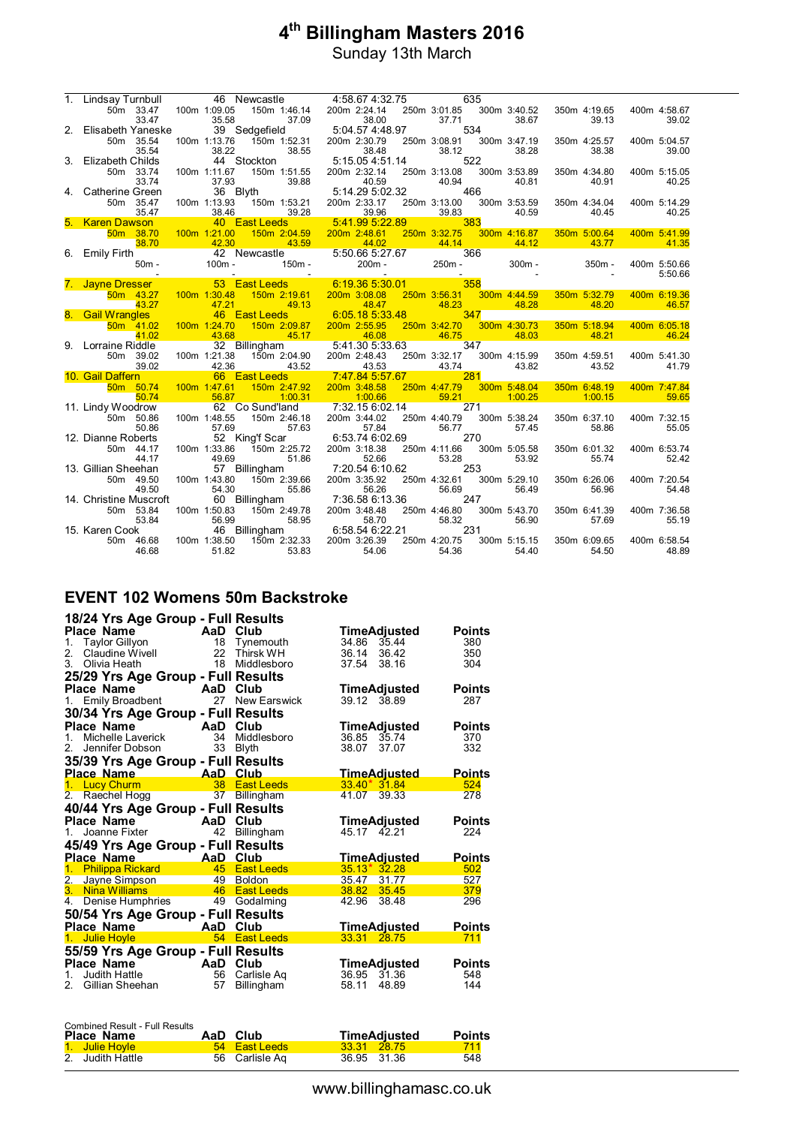| $1_{\cdot}$ | Lindsay Turnbull                                          | 46 Newcastle              |                                                                             | 4:58.67 4:32.75                      |                                                                                                                      | 635      |                       |                       |                       |
|-------------|-----------------------------------------------------------|---------------------------|-----------------------------------------------------------------------------|--------------------------------------|----------------------------------------------------------------------------------------------------------------------|----------|-----------------------|-----------------------|-----------------------|
|             | 50m 33.47 100m 1:09.05                                    |                           | 150m 1:46.14 200m 2:24.14                                                   |                                      | 250m 3:01.85                                                                                                         |          | 300m 3:40.52          | 350m 4:19.65          | 400m 4:58.67          |
|             | 33.47                                                     | 35.58                     | 37.09                                                                       | 38.00                                | 37.71                                                                                                                |          | 38.67                 | 39.13                 | 39.02                 |
| 2.          | Elisabeth Yaneske                                         | 39 Sedgefield             |                                                                             |                                      |                                                                                                                      | 534      |                       |                       |                       |
|             | 50m 35.54                                                 | 100m 1:13.76              | لان بن بن<br>1504.57 5:04.57 fom 1:52.31 asom<br>11 200m 2:30 asom 2:30 com |                                      | 250m 3:08.91                                                                                                         |          | 300m 3:47.19          | 350m 4:25.57          | 400m 5:04.57          |
|             | 35.54                                                     | 38.22                     | 38.55                                                                       | 38.48                                | 38.12                                                                                                                |          | 38.28                 | 38.38                 | 39.00                 |
| 3.          | Elizabeth Childs                                          | 44 Stockton               |                                                                             | 5:15.05 4:51.14                      |                                                                                                                      | 522      |                       |                       |                       |
|             | 50m 33.74<br>33.74                                        | 100m 1:11.67<br>37.93     | 150m 1:51.55<br>39.88                                                       | 200m 2:32.14<br>40.59                | 250m 3:13.08<br>40.94                                                                                                |          | 300m 3:53.89<br>40.81 | 350m 4:34.80<br>40.91 | 400m 5:15.05<br>40.25 |
| 4.          | Catherine Green                                           | 36 Blyth                  | 5:14.29 5:02.32                                                             |                                      |                                                                                                                      | 466      |                       |                       |                       |
|             | 50m 35.47                                                 | 100m 1:13.93              | 150m 1:53.21                                                                | 200m 2:33.17                         | 250m 3:13.00 300m 3:53.59                                                                                            |          |                       | 350m 4:34.04          | 400m 5:14.29          |
|             | 35.47                                                     | 38.46                     | 39.28                                                                       | 39.96                                | 39.83                                                                                                                |          | 40.59                 | 40.45                 | 40.25                 |
|             | 5. Karen Dawson                                           | 40 East Leeds             | <b>Service Service</b>                                                      | 5:41.99 5:22.89                      | <u>383 - 383 - 383 - 383 - 383 - 383 - 383 - 383 - 383 - 383 - 383 - 383 - 383 - 383 - 383 - 383 - 383 - 383 - 3</u> |          |                       |                       |                       |
|             | 50m 38.70                                                 | 100m 1:21.00              | 150m 2:04.59                                                                | 200m 2:48.61                         | 250m 3:32.75                                                                                                         |          | 300m 4:16.87          | 350m 5:00.64          | 400m 5:41.99          |
|             | 38.70                                                     | $\overline{42.30}$        | 43.59                                                                       | $\overline{44.02}$                   | $\frac{44.14}{ }$                                                                                                    |          | 44.12                 | 43.77                 | 41.35                 |
|             | 6. Emily Firth                                            |                           | 5.50.<br>50m - 100m - 100m - 150m -                                         | 5:50.66 5:27.67<br>200m - 250m -     |                                                                                                                      | 366      |                       |                       |                       |
|             | $50m -$                                                   |                           |                                                                             |                                      |                                                                                                                      | $250m -$ | $300m -$              | $350m -$              | 400m 5:50.66          |
|             |                                                           |                           |                                                                             |                                      |                                                                                                                      |          |                       |                       | 5:50.66               |
|             | 7. Jayne Dresser <b>63</b> East Leeds 6:19.36 5:30.01 358 |                           |                                                                             |                                      |                                                                                                                      |          |                       |                       |                       |
|             | 50m 43.27                                                 | 100m 1:30.48 150m 2:19.61 |                                                                             | 200m 3:08.08                         | 250m 3:56.31                                                                                                         |          | 300m 4:44.59          | 350m 5:32.79          | 400m 6:19.36          |
|             | 43.27                                                     | 47.21<br>46 East Leeds    | 49.13                                                                       | $\overline{48.47}$<br>6:05.185:33.48 | 48.23                                                                                                                | 347      | 48.28                 | 48.20                 | 46.57                 |
|             | 8. Gail Wrangles<br>$50m$ 41.02                           | 100m 1:24.70              | 150m 2:09.87                                                                | 200m 2:55.95                         | 250m 3:42.70                                                                                                         |          | 300m 4:30.73          | 350m 5:18.94          | 400m 6:05.18          |
|             | 41.02                                                     | 43.68                     | 45.17                                                                       | 46.08                                | 46.75                                                                                                                |          | 48.03                 | 48.21                 | 46.24                 |
|             | 9. Lorraine Riddle                                        | 32 Billingham             |                                                                             | $5:41.30\,5:33.63$                   |                                                                                                                      | 347      |                       |                       |                       |
|             | 50m 39.02                                                 | 100m 1:21.38              | 150m 2:04.90                                                                | 200m 2:48.43                         | 250m 3:32.17                                                                                                         |          | 300m 4:15.99          | 350m 4:59.51          | 400m 5:41.30          |
|             | 39.02                                                     | 42.36                     | 43.52 43.53                                                                 |                                      | 43.74                                                                                                                |          | 43.82                 | 43.52                 | 41.79                 |
|             | 10. Gail Daffern                                          | 66 East Leeds             |                                                                             | 7:47.84 5:57.67                      |                                                                                                                      | 281      |                       |                       |                       |
|             | 50m 50.74                                                 | 100m 1:47.61              | 150m 2:47.92                                                                | 200m 3:48.58                         | 250m 4:47.79                                                                                                         |          | 300m 5:48.04          | 350m 6:48.19          | 400m 7:47.84          |
|             | 50.74                                                     | 56.87                     | 1:00.31                                                                     | 1:00.66                              | 59.21                                                                                                                |          | 1:00.25               | 1:00.15               | 59.65                 |
|             | 11. Lindy Woodrow                                         |                           | 62 Co Sund'land 7:32.15 6:02.14                                             |                                      |                                                                                                                      | 271      |                       |                       |                       |
|             | 50m 50.86                                                 | 100m 1:48.55              | 150m 2:46.18                                                                | 200m 3:44.02                         | 250m 4:40.79                                                                                                         |          | 300m 5:38.24          | 350m 6:37.10          | 400m 7:32.15          |
|             | 50.86                                                     | 57.69                     | 57.63                                                                       | 57.84                                | 56.77                                                                                                                | 270      | 57.45                 | 58.86                 | 55.05                 |
|             | 12. Dianne Roberts<br>50m 44.17                           | 100m 1:33.86              | 52 King'f Scar<br>150m 2:25.72                                              | 6:53.74 6:02.69<br>200m 3:18.38      | 250m 4:11.66                                                                                                         |          | 300m 5:05.58          | 350m 6:01.32          | 400m 6:53.74          |
|             | 44.17                                                     | 49.69                     | 51.86                                                                       | 52.66                                | 53.28                                                                                                                |          | 53.92                 | 55.74                 | 52.42                 |
|             | 13. Gillian Sheehan                                       | 57 Billingham             |                                                                             | 7:20.54 6:10.62                      |                                                                                                                      | 253      |                       |                       |                       |
|             | 50m 49.50                                                 | 100m 1:43.80              | 150m 2:39.66                                                                | 200m 3:35.92                         | 250m 4:32.61                                                                                                         |          | 300m 5:29.10          | 350m 6:26.06          | 400m 7:20.54          |
|             | 49.50                                                     | 54.30                     | 55.86                                                                       | 56.26                                | 56.69                                                                                                                |          | 56.49                 | 56.96                 | 54.48                 |
|             | 14. Christine Muscroft                                    | 60 Billingham             |                                                                             | 7:36.58 6:13.36                      |                                                                                                                      | 247      |                       |                       |                       |
|             | 50m 53.84                                                 | 100m 1:50.83              | 150m 2:49.78                                                                | 200m 3:48.48                         | 250m 4:46.80                                                                                                         |          | 300m 5:43.70          | 350m 6:41.39          | 400m 7:36.58          |
|             | 53.84                                                     | 56.99                     | 58.95                                                                       | 58.70                                | 58.32                                                                                                                |          | 56.90                 | 57.69                 | 55.19                 |
|             | 15. Karen Cook                                            | 46 Billingham             |                                                                             | 6:58.54 6:22.21                      |                                                                                                                      | 231      |                       |                       |                       |
|             | 50m 46.68                                                 | 100m 1:38.50              | 150m 2:32.33 200m 3:26.39                                                   |                                      | 250m 4:20.75                                                                                                         |          | 300m 5:15.15          | 350m 6:09.65          | 400m 6:58.54          |
|             | 46.68                                                     | 51.82                     | 53.83                                                                       | 54.06                                | 54.36                                                                                                                |          | 54.40                 | 54.50                 | 48.89                 |

### **EVENT 102 Womens 50m Backstroke**

| 18/24 Yrs Age Group - Full Results               |                |                                  |                                       |                      |
|--------------------------------------------------|----------------|----------------------------------|---------------------------------------|----------------------|
| Place Name<br><b>Example 2</b>                   |                | Club                             | TimeAdjusted                          | <b>Points</b>        |
| <b>Taylor Gillyon</b><br>1.                      | 18             | Tynemouth                        | 34.86 35.44                           | 380                  |
| Claudine Wivell<br>2.                            |                | 22 Thirsk WH                     | 36.14<br>36.42                        | 350                  |
| 3.<br>Olivia Heath                               | 18             | Middlesboro                      | 37.54<br>38.16                        | 304                  |
| 25/29 Yrs Age Group - Full Results               |                |                                  |                                       |                      |
| Place Name                                       | <b>AaD</b>     | Club                             | <b>TimeAdjusted</b>                   | <b>Points</b>        |
| Emily Broadbent<br>1.                            | 27             | <b>New Earswick</b>              | 39.12 38.89                           | 287                  |
| 30/34 Yrs Age Group - Full Results               |                |                                  |                                       |                      |
| Place Name<br>AaD                                |                | Club                             | TimeAdjusted                          | <b>Points</b>        |
| Michelle Laverick<br>1.                          | 34             | Middlesboro                      | 36.85<br>35.74                        | 370                  |
| Jennifer Dobson<br>2.                            | 33             | <b>Blyth</b>                     | 38.07<br>37.07                        | 332                  |
| 35/39 Yrs Age Group - Full Results               |                |                                  |                                       |                      |
| Place Name                                       | AaD            | Club                             | <u>TimeAdjusted_</u>                  | <u>Points</u>        |
| 1. Lucy Churm                                    | 38             | <b>East Leeds</b>                | $33.40*31.84$                         | 524                  |
| 2. Raechel Hogg                                  | 37             | <b>Billingham</b>                | 41.07<br>39.33                        | 278                  |
| 40/44 Yrs Age Group - Full Results               |                |                                  |                                       |                      |
|                                                  |                |                                  |                                       |                      |
|                                                  |                |                                  |                                       |                      |
| Place Name<br><b>AaD</b><br>1. Joanne Fixter     | 42             | Club                             | <b>TimeAdjusted</b><br>45.17 42.21    | <b>Points</b><br>224 |
|                                                  |                | Billingham                       |                                       |                      |
| 45/49 Yrs Age Group - Full Results               |                |                                  |                                       |                      |
| Place Name<br>1.                                 | AaD Club<br>45 | <b>East Leeds</b>                | <u>TimeAdjusted</u><br>$35.13*32.28$  | <b>Points</b><br>502 |
| <b>Philippa Rickard</b>                          | 49             | <b>Boldon</b>                    | 35.47<br>31.77                        | 527                  |
| 2. Jayne Simpson<br>3.<br>Nina Williams          | 46             | <b>East Leeds</b>                | 38.82<br>35.45                        | 379                  |
| Denise Humphries<br>4.                           | 49             | Godalming                        | 42.96<br>38.48                        | 296                  |
|                                                  |                |                                  |                                       |                      |
| 50/54 Yrs Age Group - Full Results<br>Place Name | AaD            | Club                             |                                       | <b>Points</b>        |
| 1.<br><b>Julie Hoyle</b>                         | 54             | <b>East Leeds</b>                | <b>TimeAdjusted</b><br>33.31<br>28.75 | 711                  |
|                                                  |                |                                  |                                       |                      |
| 55/59 Yrs Age Group - Full Results<br>Place Name |                | Club                             |                                       |                      |
| <b>Example 2</b><br>$1_{-}$                      |                |                                  | TimeAdjusted                          | <b>Points</b><br>548 |
| Judith Hattle<br>Gillian Sheehan<br>2.           | 56<br>57       | Carlisle Ag<br><b>Billingham</b> | 36.95<br>31.36<br>58.11<br>48.89      | 144                  |

| <b>Combined Result - Full Results</b> |                |                     |               |
|---------------------------------------|----------------|---------------------|---------------|
| Place Name                            | AaD Club       | <b>TimeAdjusted</b> | <b>Points</b> |
| 1. Julie Hovle                        | 54 East Leeds  | 33.31 28.75         | 711           |
| 2. Judith Hattle                      | 56 Carlisle Ag | 36.95 31.36         | 548           |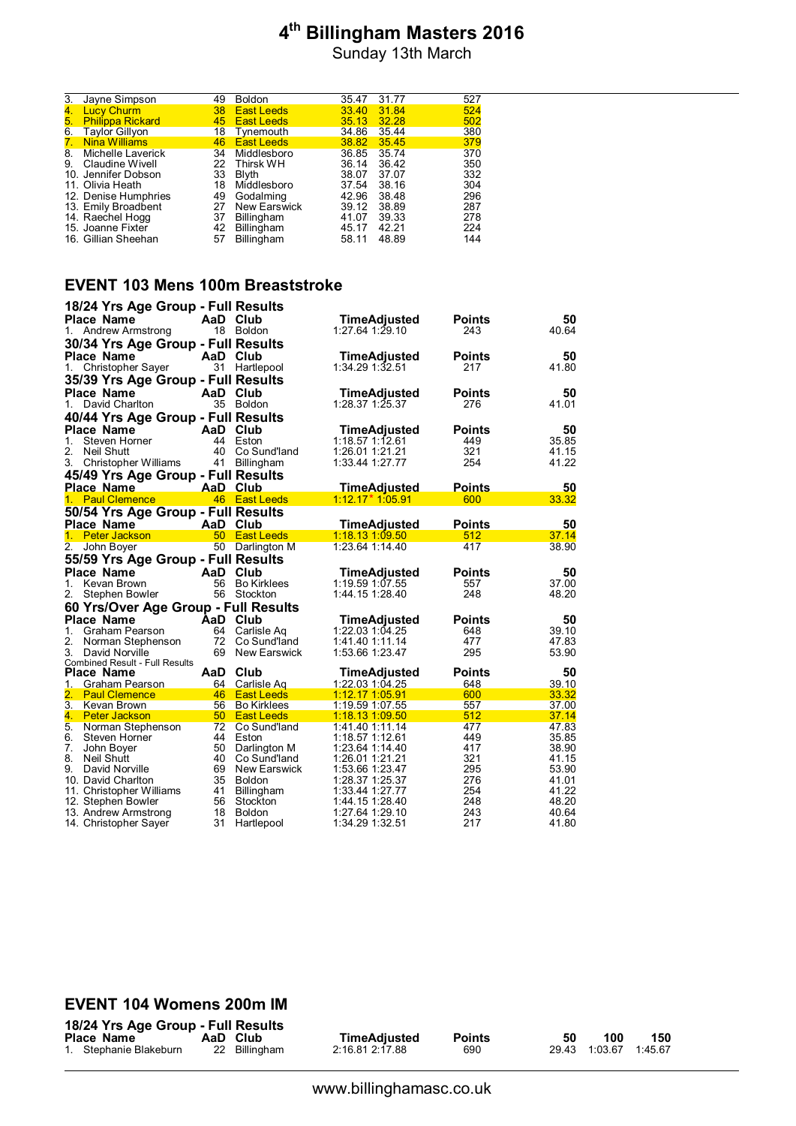Sunday 13th March

| 3.               | Jayne Simpson           | 49 | <b>Boldon</b> | 35.47 | 31.77 | 527 |
|------------------|-------------------------|----|---------------|-------|-------|-----|
| $\overline{4}$ . | <b>Lucy Churm</b>       | 38 | East Leeds    | 33.40 | 31.84 | 524 |
| 5.               | <b>Philippa Rickard</b> | 45 | East Leeds    | 35.13 | 32.28 | 502 |
| 6.               | <b>Taylor Gillyon</b>   | 18 | Tynemouth     | 34.86 | 35.44 | 380 |
| 7.               | <b>Nina Williams</b>    | 46 | East Leeds    | 38.82 | 35.45 | 379 |
| 8.               | Michelle Laverick       | 34 | Middlesboro   | 36.85 | 35.74 | 370 |
| 9.               | Claudine Wivell         | 22 | Thirsk WH     | 36.14 | 36.42 | 350 |
|                  | 10. Jennifer Dobson     | 33 | Blyth         | 38.07 | 37.07 | 332 |
|                  | 11. Olivia Heath        | 18 | Middlesboro   | 37.54 | 38.16 | 304 |
|                  | 12. Denise Humphries    | 49 | Godalming     | 42.96 | 38.48 | 296 |
|                  | 13. Emily Broadbent     | 27 | New Earswick  | 39.12 | 38.89 | 287 |
|                  | 14. Raechel Hogg        | 37 | Billingham    | 41.07 | 39.33 | 278 |
|                  | 15. Joanne Fixter       | 42 | Billingham    | 45.17 | 42.21 | 224 |
|                  | 16. Gillian Sheehan     | 57 | Billingham    | 58.11 | 48.89 | 144 |
|                  |                         |    |               |       |       |     |

#### **EVENT 103 Mens 100m Breaststroke**

|          | 18/24 Yrs Age Group - Full Results             |          |                               |                                 |               |                |
|----------|------------------------------------------------|----------|-------------------------------|---------------------------------|---------------|----------------|
|          | <b>Place Name</b>                              | AaD Club |                               | TimeAdjusted                    | Points        | 50             |
| 1.       | Andrew Armstrong                               |          | 18 Boldon                     | 1:27.64 1:29.10                 | 243           | 40.64          |
|          | 30/34 Yrs Age Group - Full Results             |          |                               |                                 |               |                |
|          | <b>Place Name</b>                              | AaD Club |                               | <b>TimeAdjusted</b>             | <b>Points</b> | 50             |
| 1.       | Christopher Sayer                              | 31       | Hartlepool                    | 1:34.29 1:32.51                 | 217           | 41.80          |
|          | 35/39 Yrs Age Group - Full Results             |          |                               |                                 |               |                |
|          | <b>Place Name</b>                              | AaD Club |                               | TimeAdjusted                    | <b>Points</b> | 50             |
| 1.       | David Charlton                                 |          | 35 Boldon                     | 1:28.37 1:25.37                 | 276           | 41.01          |
|          | 40/44 Yrs Age Group - Full Results             |          |                               |                                 |               |                |
|          |                                                | AaD      |                               |                                 |               |                |
| 1.       | <b>Place Name</b><br>Steven Horner             | 44       | Club<br>Eston                 | TimeAdjusted<br>1:18.57 1:12.61 | Points<br>449 | 50<br>35.85    |
|          |                                                |          |                               |                                 |               |                |
| 2.<br>3. | Neil Shutt                                     | 40       | Co Sund'land                  | 1:26.01 1:21.21                 | 321<br>254    | 41.15<br>41.22 |
|          | Christopher Williams                           | 41       | <b>Billingham</b>             | 1:33.44 1:27.77                 |               |                |
|          | 45/49 Yrs Age Group - Full Results             |          |                               |                                 |               |                |
|          | Place Name                                     | AaD Club |                               | <u>TimeAdjusted</u>             | Points        | 50             |
| 1.       | <b>Paul Clemence</b>                           |          | 46 East Leeds                 | 1:12.17 * 1:05.91               | 600           | 33.32          |
|          | 50/54 Yrs Age Group - Full Results             |          |                               |                                 |               |                |
|          | <b>Place Name</b>                              | AaD      | Club                          | <b>TimeAdjusted</b>             | <b>Points</b> | 50             |
| 1.       | <b>Peter Jackson</b>                           | 50       | <b>East Leeds</b>             | 1:18.13 1:09.50                 | 512           | 37.14          |
| 2.       | John Boyer                                     | 50       | Darlington M                  | 1:23.64 1:14.40                 | 417           | 38.90          |
|          | 55/59 Yrs Age Group - Full Results             |          |                               |                                 |               |                |
|          | <b>Place Name</b>                              | AaD      | Club                          | TimeAdjusted                    | <b>Points</b> | 50             |
| 1.       | Kevan Brown                                    | 56       | <b>Bo Kirklees</b>            | 1:19.59 1:07.55                 | 557           | 37.00          |
| 2.       | Stephen Bowler                                 |          | 56 Stockton                   | 1:44.15 1:28.40                 | 248           | 48.20          |
|          | 60 Yrs/Over Age Group - Full Results           |          |                               |                                 |               |                |
|          | <b>Place Name</b>                              | AaD      | Club                          | TimeAdjusted                    | Points        | 50             |
| 1.       | Graham Pearson                                 | 64       | Carlisle Ag                   | 1:22.03 1:04.25                 | 648           | 39.10          |
| 2.       | Norman Stephenson                              |          | 72 Co Sund'land               | 1:41.40 1:11.14                 | 477           | 47.83          |
| 3.       | David Norville                                 | 69       | New Earswick                  | 1:53.66 1:23.47                 | 295           | 53.90          |
|          | <b>Combined Result - Full Results</b>          |          |                               |                                 |               |                |
|          | Place Name                                     | AaD      | Club                          | TimeAdjusted                    | <b>Points</b> | 50             |
| 1.       | Graham Pearson                                 |          | 64 Carlisle Ag                | 1:22.03 1:04.25                 | 648           | 39.10          |
| 2.       | <b>Paul Clemence</b>                           |          | 46 East Leeds                 | <u>1:12.17 1:05.91</u>          | 600           | 33.32          |
|          | 3. Kevan Brown                                 |          | 56 Bo Kirklees                | 1:19.59 1:07.55                 | 557           | 37.00          |
|          | 4. Peter Jackson                               |          | 50 East Leeds                 | 1:18.13 1:09.50                 | 512           | 37.14          |
|          | 5. Norman Stephenson                           |          | 72 Co Sund'land               | 1:41.40 1:11.14                 | 477           | 47.83          |
| 6.       | Steven Horner                                  | 44       | Eston                         | 1:18.57 1:12.61                 | 449           | 35.85          |
| 7.       | John Boyer                                     | 50       | Darlington M                  | 1:23.64 1:14.40                 | 417           | 38.90          |
| 8.       | Neil Shutt                                     | 40       | Co Sund'land                  | 1:26.01 1:21.21                 | 321           | 41.15          |
| 9.       | David Norville                                 | 69       | New Earswick                  | 1:53.66 1:23.47                 | 295           | 53.90          |
|          | 10. David Charlton                             | 35<br>41 | <b>Boldon</b>                 | 1:28.37 1:25.37                 | 276<br>254    | 41.01<br>41.22 |
|          | 11. Christopher Williams<br>12. Stephen Bowler | 56       | <b>Billingham</b><br>Stockton | 1:33.44 1:27.77                 | 248           | 48.20          |
|          | 13. Andrew Armstrong                           | 18       | <b>Boldon</b>                 |                                 |               | 40.64          |
|          |                                                |          |                               | 1:27.64 1:29.10                 | 243           |                |

#### **EVENT 104 Womens 200m IM**

| 18/24 Yrs Age Group - Full Res |          |  |
|--------------------------------|----------|--|
| <b>Place Name</b>              | AaD Clut |  |

**1899 | 1888 | 1888 | 1888 | 1888 | 1888 | 1888 | 1888 | 1888 | 1888 | 1888 | 1888 | 1888 | 1888 | 1888 | 1888 | 1888 | 1888 | 1888 | 1888 | 1888 | 1888 | 1888 | 1888 | 1888 | 1888 | 1888 | 1888 | 1888 | 1888 | 1888 | 1888** 

**Place Name AaD Club TimeAdjusted Points 50 100 150** 1. Stephanie Blakeburn 22 Billingham 2:16.81 2:17.88 690 29.43 1:03.67 1:45.67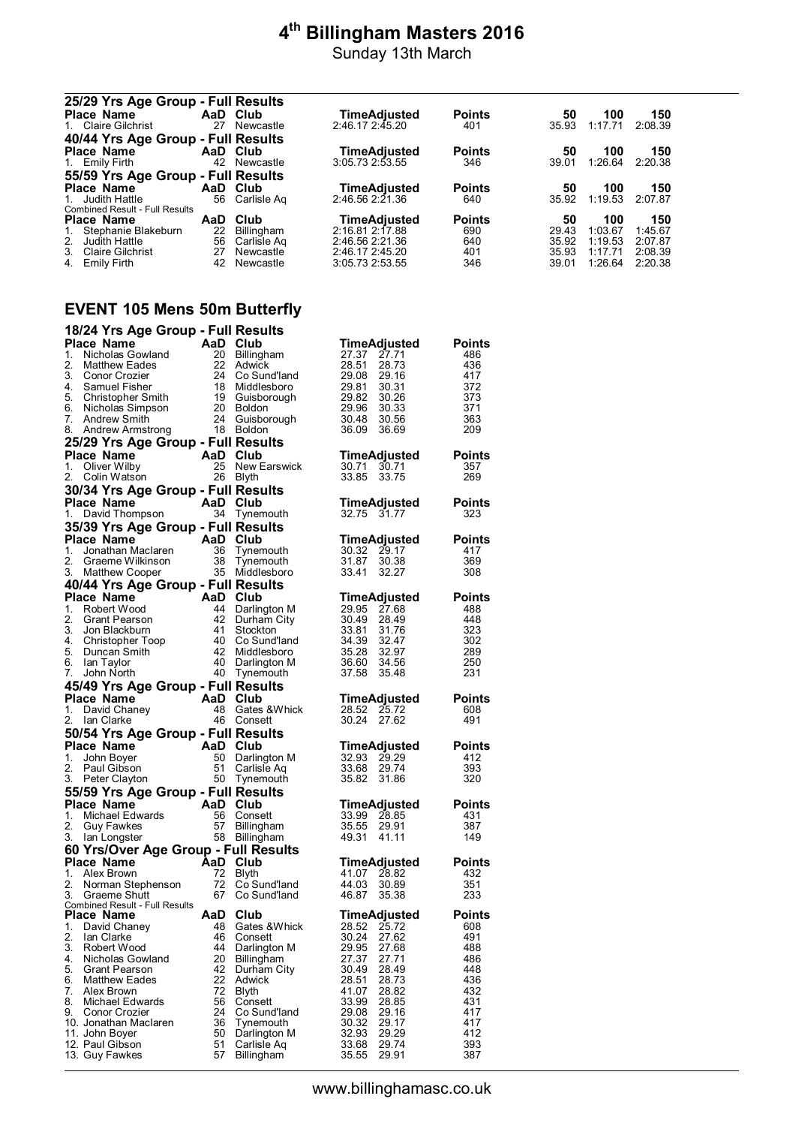Sunday 13th March

|    |            | TimeAdjusted                                                                                                                                                                                                                               | <b>Points</b>                                                                               | 50                   | 100         | 150            |
|----|------------|--------------------------------------------------------------------------------------------------------------------------------------------------------------------------------------------------------------------------------------------|---------------------------------------------------------------------------------------------|----------------------|-------------|----------------|
| 27 |            |                                                                                                                                                                                                                                            | 401                                                                                         | 35.93                | 1:17.71     | 2:08.39        |
|    |            |                                                                                                                                                                                                                                            |                                                                                             |                      |             |                |
|    |            | TimeAdjusted                                                                                                                                                                                                                               | <b>Points</b>                                                                               | 50                   | 100         | 150            |
|    |            |                                                                                                                                                                                                                                            | 346                                                                                         | 39.01                | 1:26.64     | 2:20.38        |
|    |            |                                                                                                                                                                                                                                            |                                                                                             |                      |             |                |
|    |            | <b>TimeAdjusted</b>                                                                                                                                                                                                                        | <b>Points</b>                                                                               | 50                   | 100         | 150            |
| 56 |            |                                                                                                                                                                                                                                            | 640                                                                                         | 35.92                | 1:19.53     | 2:07.87        |
|    |            |                                                                                                                                                                                                                                            |                                                                                             |                      |             |                |
|    |            |                                                                                                                                                                                                                                            |                                                                                             |                      |             | 150            |
|    |            |                                                                                                                                                                                                                                            |                                                                                             |                      |             | 1:45.67        |
| 56 |            | 2:46.56 2:21.36                                                                                                                                                                                                                            | 640                                                                                         | 35.92                | 1:19.53     | 2:07.87        |
| 27 | Newcastle  | 2:46.17 2:45.20                                                                                                                                                                                                                            | 401                                                                                         | 35.93                | 1:17.71     | 2:08.39        |
|    |            |                                                                                                                                                                                                                                            |                                                                                             |                      |             |                |
|    | AaD.<br>22 | 25/29 Yrs Age Group - Full Results<br>AaD Club<br>Newcastle<br>40/44 Yrs Age Group - Full Results<br>AaD Club<br>42 Newcastle<br>55/59 Yrs Age Group - Full Results<br>AaD Club<br>Carlisle Ag<br>Club<br><b>Billingham</b><br>Carlisle Ag | 2:46.17 2:45.20<br>3:05.732:53.55<br>$2:46.56$ $2:21.36$<br>TimeAdjusted<br>2:16.81 2:17.88 | <b>Points</b><br>690 | 50<br>29.43 | 100<br>1:03.67 |

### **EVENT 105 Mens 50m Butterfly**

|          | 18/24 Yrs Age Group - Full Results                    |          |                            |                                  |               |
|----------|-------------------------------------------------------|----------|----------------------------|----------------------------------|---------------|
|          | Place Name                                            | AaD Club |                            | <b>TimeAdjusted</b>              | <b>Points</b> |
| 1.       | Nicholas Gowland                                      | 20       | Billingham                 | 27.37 27.71                      | 486           |
| 2.       | Matthew Eades                                         | 22       | Adwick                     | 28.51<br>28.73                   | 436           |
| 3.       | Conor Crozier                                         | 24       | Co Sund'land               | 29.08 29.16                      | 417           |
|          | 4. Samuel Fisher<br>5. Christopher Smith              | 18<br>19 | Middlesboro<br>Guisborough | 30.31<br>29.81<br>29.82          | 372<br>373    |
|          | 6. Nicholas Simpson                                   | 20       | <b>Boldon</b>              | 30.26<br>29.96<br>30.33          | 371           |
| 7.       | Andrew Smith                                          | 24       | Guisborough                | 30.48<br>30.56                   | 363           |
| 8.       | Andrew Armstrong                                      |          | 18 Boldon                  | 36.09<br>36.69                   | 209           |
|          | 25/29 Yrs Age Group - Full Results                    |          |                            |                                  |               |
|          | Place Name                                            | AaD Club |                            | TimeAdjusted                     | <b>Points</b> |
| 1.       | Oliver Wilby                                          | 25       | New Earswick               | 30.71<br>30.71                   | 357           |
| 2.       | Colin Watson                                          | 26       | Blyth                      | 33.85<br>33.75                   | 269           |
|          | 30/34 Yrs Age Group - Full Results                    |          |                            |                                  |               |
|          | Place Name                                            | AaD Club |                            | TimeAdjusted                     | <b>Points</b> |
| 1.       | David Thompson                                        | 34       | Tynemouth                  | 32.75 31.77                      | 323           |
|          | 35/39 Yrs Age Group - Full Results                    |          |                            |                                  |               |
|          | Place Name                                            | AaD Club |                            | TimeAdjusted                     | Points        |
| 1.       | Jonathan Maclaren                                     | 36       | Tynemouth                  | 30.32 29.17                      | 417           |
| 2.       | Graeme Wilkinson                                      | 38       | Tynemouth                  | 31.87<br>30.38                   | 369           |
| 3.       | <b>Matthew Cooper</b>                                 | 35       | Middlesboro                | 33.41<br>32.27                   | 308           |
|          | 40/44 Yrs Age Group - Full Results                    |          |                            |                                  |               |
|          | <b>Place Name</b>                                     | AaD Club |                            | TimeAdjusted                     | <b>Points</b> |
| 1.<br>2. | Robert Wood                                           | 44<br>42 | Darlington M               | 29.95 27.68                      | 488           |
| 3.       | Grant Pearson<br>Jon Blackburn                        | 41       | Durham City<br>Stockton    | 30.49<br>28.49<br>33.81<br>31.76 | 448<br>323    |
| 4.       | Christopher Toop                                      | 40       | Co Sund'land               | 34.39 32.47                      | 302           |
| 5.       | Duncan Smith                                          | 42       | Middlesboro                | 35.28 32.97                      | 289           |
| 6.       | lan Taylor                                            |          | 40 Darlington M            | 36.60<br>34.56                   | 250           |
| 7.       | John North                                            | 40       | Tynemouth                  | 37.58<br>35.48                   | 231           |
|          | 45/49 Yrs Age Group - Full Results                    |          |                            |                                  |               |
|          |                                                       |          |                            |                                  |               |
|          | <b>Place Name</b>                                     | AaD Club |                            | <b>TimeAdjusted</b>              | Points        |
| 1.       | David Chaney                                          | 48       | Gates & Whick              | 28.52 25.72                      | 608           |
| 2.       | lan Clarke                                            |          | 46 Consett                 | 30.24<br>27.62                   | 491           |
|          | 50/54 Yrs Age Group - Full Results                    |          |                            |                                  |               |
|          | <b>Place Name</b>                                     |          |                            | TimeAdjusted                     | <b>Points</b> |
| 1.       | AaD Club<br>John Boyer                                | 50       | Darlington M               | 32.93 29.29                      | 412           |
| 2.       | Paul Gibson                                           | 51       | Carlisle Aq                | 33.68<br>29.74<br>35.82<br>31.86 | 393<br>320    |
|          | 3. Peter Clayton                                      |          | 50 Tynemouth               |                                  |               |
|          | 55/59 Yrs Age Group - Full Results<br>Place Name      | AaD Club |                            |                                  | Points        |
| 1.       | Michael Edwards                                       | 56       | Consett                    | TimeAdjusted<br>33.99 28.85      | 431           |
| 2.       | Guy Fawkes                                            | 57       | <b>Billingham</b>          | 35.55 29.91                      | 387           |
| 3.       | Ian Longster                                          | 58       | Billingham                 | 49.31<br>41.11                   | 149           |
|          | 60 Yrs/Over Age Group - Full Results                  |          |                            |                                  |               |
|          | Place Name                                            | AaD Club |                            | TimeAdjusted                     | Points        |
| 1.       | Alex Brown                                            | 72       | Blyth                      | 41.07<br>28.82                   | 432           |
| 2.       | Norman Stephenson                                     | 72       | Co Sund'land               | 44.03<br>30.89                   | 351           |
| 3.       | Graeme Shutt<br><b>Combined Result - Full Results</b> | 67       | Co Sund'land               | 46.87<br>35.38                   | 233           |
|          |                                                       | AaD      | Club                       | TimeAdjusted                     | <b>Points</b> |
| 1.       | <b>Place Name</b><br>David Chaney                     | 48       | Gates & Whick              | 28.52<br>25.72                   | 608           |
| 2.       | Ian Clarke                                            | 46       | Consett                    | 30.24<br>27.62                   | 491           |
| 3.       | Robert Wood                                           | 44       | Darlington M               | 29.95<br>27.68                   | 488           |
| 4.       | Nicholas Gowland                                      | 20       | Billingham                 | 27.37<br>27.71                   | 486           |
| 5.       | Grant Pearson                                         | 42       | Durham City                | 30.49<br>28.49                   | 448           |
| 6.<br>7. | <b>Matthew Eades</b><br>Alex Brown                    | 22<br>72 | Adwick                     | 28.51<br>28.73<br>41.07<br>28.82 | 436           |
| 8.       | Michael Edwards                                       | 56       | Blyth<br>Consett           | 33.99<br>28.85                   | 432<br>431    |
| 9.       | Conor Crozier                                         | 24       | Co Sund'land               | 29.08<br>29.16                   | 417           |
|          | 10. Jonathan Maclaren                                 | 36       | Tynemouth                  | 30.32<br>29.17                   | 417           |
|          | 11. John Boyer                                        | 50       | Darlington M               | 29.29<br>32.93                   | 412           |
|          | 12. Paul Gibson<br>13. Guy Fawkes                     | 51<br>57 | Carlisle Aq<br>Billingham  | 33.68<br>29.74<br>35.55<br>29.91 | 393<br>387    |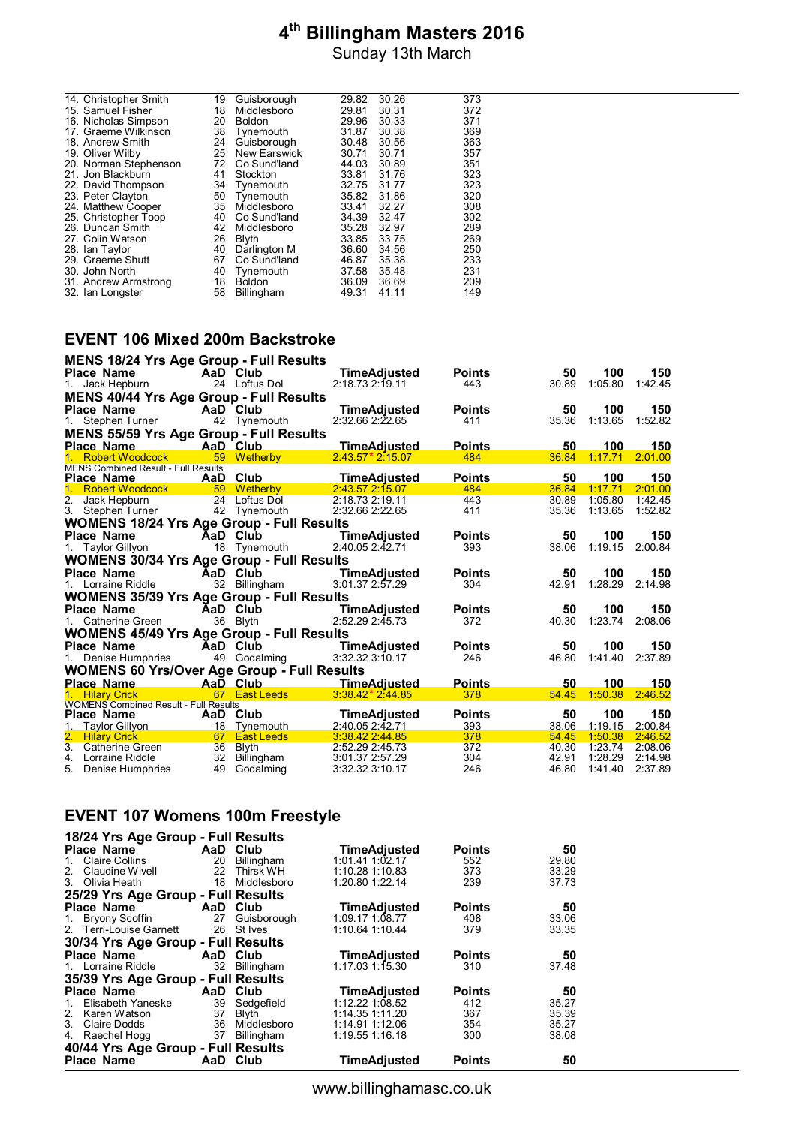Sunday 13th March

| 14. Christopher Smith | 19 | Guisborough         | 29.82 | 30.26 | 373 |
|-----------------------|----|---------------------|-------|-------|-----|
| 15. Samuel Fisher     | 18 | Middlesboro         | 29.81 | 30.31 | 372 |
| 16. Nicholas Simpson  | 20 | <b>Boldon</b>       | 29.96 | 30.33 | 371 |
| 17. Graeme Wilkinson  | 38 | Tynemouth           | 31.87 | 30.38 | 369 |
| 18. Andrew Smith      | 24 | Guisborough         | 30.48 | 30.56 | 363 |
| 19. Oliver Wilby      | 25 | <b>New Earswick</b> | 30.71 | 30.71 | 357 |
| 20. Norman Stephenson | 72 | Co Sund'land        | 44.03 | 30.89 | 351 |
| 21. Jon Blackburn     | 41 | Stockton            | 33.81 | 31.76 | 323 |
| 22. David Thompson    | 34 | Tynemouth           | 32.75 | 31.77 | 323 |
| 23. Peter Clayton     | 50 | Tynemouth           | 35.82 | 31.86 | 320 |
| 24. Matthew Cooper    | 35 | Middlesboro         | 33.41 | 32.27 | 308 |
| 25. Christopher Toop  | 40 | Co Sund'land        | 34.39 | 32.47 | 302 |
| 26. Duncan Smith      | 42 | Middlesboro         | 35.28 | 32.97 | 289 |
| 27. Colin Watson      | 26 | Blyth               | 33.85 | 33.75 | 269 |
| 28. Ian Taylor        | 40 | Darlington M        | 36.60 | 34.56 | 250 |
| 29. Graeme Shutt      | 67 | Co Sund'land        | 46.87 | 35.38 | 233 |
| 30. John North        | 40 | Tynemouth           | 37.58 | 35.48 | 231 |
| 31. Andrew Armstrong  | 18 | <b>Boldon</b>       | 36.09 | 36.69 | 209 |
| 32. Ian Longster      | 58 | <b>Billingham</b>   | 49.31 | 41.11 | 149 |
|                       |    |                     |       |       |     |

#### **EVENT 106 Mixed 200m Backstroke**

| <b>MENS 18/24 Yrs Age Group - Full Results</b>     |                               |                                    |               |                |                    |                    |
|----------------------------------------------------|-------------------------------|------------------------------------|---------------|----------------|--------------------|--------------------|
| <b>Place Name</b>                                  | AaD Club                      | <b>TimeAdjusted</b>                | <b>Points</b> | 50             | 100                | 150                |
| 1. Jack Hepburn                                    | 24 Loftus Dol                 | 2:18.73 2:19.11                    | 443           | 30.89          | 1:05.80            | 1:42.45            |
| <b>MENS 40/44 Yrs Age Group - Full Results</b>     |                               |                                    |               |                |                    |                    |
| Place Name                                         | AaD Club                      | <b>TimeAdjusted</b>                | <b>Points</b> | 50             | 100                | 150                |
| 1. Stephen Turner                                  | 42 Tynemouth                  | 2:32.66 2:22.65                    | 411           | 35.36          | 1:13.65            | 1:52.82            |
| <b>MENS 55/59 Yrs Age Group - Full Results</b>     |                               |                                    |               |                |                    |                    |
| <b>Place Name</b>                                  | AaD Club                      | <b>TimeAdjusted</b>                | <b>Points</b> | 50             | 100                | 150                |
| 1. Robert Woodcock                                 | 59 Wetherby                   | $2:43.57*2:15.07$                  | 484           | 36.84          | 1:17.71            | 2:01.00            |
| <b>MENS Combined Result - Full Results</b>         |                               |                                    |               |                |                    |                    |
| <b>Place Name</b>                                  | AaD Club                      | TimeAdiusted                       | <b>Points</b> | 50             | 100                | 150                |
| Robert Woodcock                                    | 59 Wetherby                   | 2:43.57 2:15.07                    | 484           | 36.84          | 1:17.71            | 2:01.00            |
| 2. Jack Hepburn                                    | 24 Loftus Dol                 | 2:18.73 2:19.11                    | 443           | 30.89          | 1:05.80            | 1:42.45            |
| 3. Stephen Turner                                  | 42 Tynemouth                  | 2:32.66 2:22.65                    | 411           | 35.36          | 1:13.65            | 1:52.82            |
| <b>WOMENS 18/24 Yrs Age Group - Full Results</b>   |                               |                                    |               |                |                    |                    |
| <b>Place Name</b>                                  | AaD Club                      | <b>TimeAdjusted</b>                | <b>Points</b> | 50             | 100                | 150                |
| 1. Taylor Gillyon                                  | 18 Tynemouth                  | 2:40.05 2:42.71                    | 393           | 38.06          | 1:19.15            | 2:00.84            |
| <b>WOMENS 30/34 Yrs Age Group - Full Results</b>   |                               |                                    |               |                |                    |                    |
| <b>Place Name</b>                                  | AaD Club                      | TimeAdjusted                       | <b>Points</b> | 50             | 100                | 150                |
| 1. Lorraine Riddle                                 | 32 Billingham                 | 3:01.372:57.29                     | 304           | 42.91          | 1:28.29            | 2:14.98            |
| <b>WOMENS 35/39 Yrs Age Group - Full Results</b>   |                               |                                    |               |                |                    |                    |
| Place Name                                         | AaD Club                      | <b>TimeAdjusted</b>                | <b>Points</b> | 50             | 100                | 150                |
| 1. Catherine Green                                 | 36 Blyth                      | 2:52.29 2:45.73                    | 372           | 40.30          | 1:23.74            | 2:08.06            |
|                                                    |                               |                                    |               |                |                    |                    |
| <b>WOMENS 45/49 Yrs Age Group - Full Results</b>   |                               |                                    |               |                |                    |                    |
| Place Name                                         | AaD Club                      | <b>TimeAdjusted</b>                | <b>Points</b> | 50             | 100                | 150                |
| 1. Denise Humphries                                | 49 Godalming                  | 3:32.323:50.17                     | 246           | 46.80          | 1:41.40            | 2:37.89            |
| <b>WOMENS 60 Yrs/Over Age Group - Full Results</b> |                               |                                    |               |                |                    |                    |
| <b>Place Name</b>                                  | AaD Club                      | ________TimeAdiusted               | <b>Points</b> | 50             | 100                | 150                |
| 1. Hilary Crick                                    | 67 East Leeds                 | $3:38.42*2:44.85$                  | 378           | 54.45          | 1:50.38            | 2:46.52            |
| <b>WOMENS Combined Result - Full Results</b>       |                               |                                    |               |                | 100                |                    |
| <b>Place Name</b>                                  | AaD Club                      | TimeAdjusted                       | <b>Points</b> | 50             |                    | 150                |
| Taylor Gillyon<br>2. Hilary Crick                  | 18 Tynemouth<br>67 East Leeds | 2:40.05 2:42.71<br>3:38.42 2:44.85 | 393<br>378    | 38.06<br>54.45 | 1:19.15<br>1:50.38 | 2:00.84<br>2:46.52 |
| 3. Catherine Green<br>36                           | Blyth                         | 2:52.29 2:45.73                    | 372           | 40.30          | 1:23.74            | 2:08.06            |
| 32<br>4. Lorraine Riddle                           | Billingham                    | 3:01.37 2:57.29                    | 304           | 42.91          | 1:28.29            | 2:14.98            |
| 5. Denise Humphries                                | 49 Godalming                  | 3:32.32 3:10.17                    | 246           | 46.80          | 1:41.40            | 2:37.89            |

#### **EVENT 107 Womens 100m Freestyle**

| 18/24 Yrs Age Group - Full Results |      |                |                     |               |       |
|------------------------------------|------|----------------|---------------------|---------------|-------|
| Place Name                         |      | AaD Club       | <b>TimeAdjusted</b> | <b>Points</b> | 50    |
| Claire Collins<br>$1_{-}$          | 20   | Billingham     | $1:01.41$ $1:02.17$ | 552           | 29.80 |
| Claudine Wivell<br>2 <sup>1</sup>  | 22   | Thirsk WH      | 1:10.28 1:10.83     | 373           | 33.29 |
| 3. Olivia Heath                    | 18   | Middlesboro    | 1:20.80 1:22.14     | 239           | 37.73 |
| 25/29 Yrs Age Group - Full Results |      |                |                     |               |       |
| Place Name                         |      | AaD Club       | <b>TimeAdjusted</b> | <b>Points</b> | 50    |
| 1. Bryony Scoffin                  | 27   | Guisborough    | 1:09.17 1:08.77     | 408           | 33.06 |
| 2. Terri-Louise Garnett            |      | 26 St Ives     | 1:10.64 1:10.44     | 379           | 33.35 |
| 30/34 Yrs Age Group - Full Results |      |                |                     |               |       |
| Place Name                         | AaD. | Club           | <b>TimeAdjusted</b> | <b>Points</b> | 50    |
| 1. Lorraine Riddle                 | 32   | Billingham     | $1:17.03$ 1:15.30   | 310           | 37.48 |
| 35/39 Yrs Age Group - Full Results |      |                |                     |               |       |
| Place Name                         | AaD  | Club           | <b>TimeAdjusted</b> | <b>Points</b> | 50    |
| Elisabeth Yaneske<br>$1_{-}$       |      | 39 Sedgefield  | $1:12.22$ 1:08.52   | 412           | 35.27 |
| 2. Karen Watson                    | 37   | Blyth          | 1:14.35 1:11.20     | 367           | 35.39 |
| 3. Claire Dodds                    |      | 36 Middlesboro | 1:14.91 1:12.06     | 354           | 35.27 |
| Raechel Hogg<br>4.                 | 37   | Billingham     | 1:19.55 1:16.18     | 300           | 38.08 |
| 40/44 Yrs Age Group - Full Results |      |                |                     |               |       |
| <b>Place Name</b>                  |      | AaD Club       | <b>TimeAdjusted</b> | <b>Points</b> | 50    |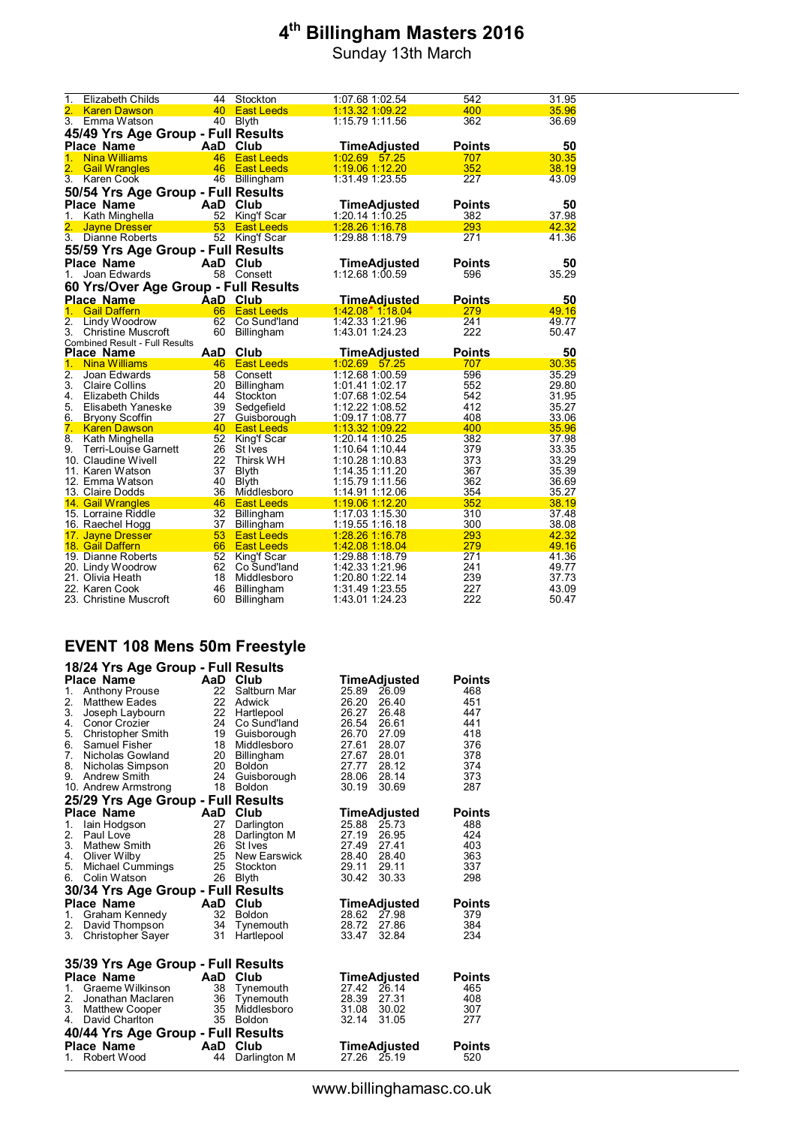Sunday 13th March

| $\mathbf 1$      | Elizabeth Childs                             | 44       | Stockton                         | 1:07.68 1:02.54                    | 542           | 31.95          |
|------------------|----------------------------------------------|----------|----------------------------------|------------------------------------|---------------|----------------|
| 2.               | <b>Karen Dawson</b>                          | 40       | <b>East Leeds</b>                | 1:13.32 1:09.22                    | 400           | 35.96          |
| 3.               | Emma Watson                                  | 40       | <b>Blyth</b>                     | 1:15.79 1:11.56                    | 362           | 36.69          |
|                  | 45/49 Yrs Age Group - Full Results           |          |                                  |                                    |               |                |
|                  | <b>Place Name</b>                            |          | AaD Club                         | <b>TimeAdjusted</b>                | <b>Points</b> | 50             |
| 1 <sub>1</sub>   | <b>Nina Williams</b>                         | 46       | <b>East Leeds</b>                | 1:02.69 57.25                      | 707           | 30.35          |
| 2.               | <b>Gail Wrangles</b>                         | 46       | <b>East Leeds</b>                | 1:19.06 1:12.20                    | 352           | 38.19          |
| $\overline{3}$ . | <b>Karen Cook</b>                            |          | 46 Billingham                    | 1:31.49 1:23.55                    | 227           | 43.09          |
|                  | 50/54 Yrs Age Group - Full Results           |          |                                  |                                    |               |                |
|                  | <b>Place Name</b>                            |          | AaD Club                         | <b>TimeAdjusted</b>                | <b>Points</b> | 50             |
| 1.               | Kath Minghella                               | 52       | King'f Scar                      | 1:20.14 1:10.25                    | 382           | 37.98          |
| 2.               | <b>Jayne Dresser</b>                         | 53       | <b>East Leeds</b>                | 1:28.26 1:16.78                    | 293           | 42.32          |
| $\overline{3}$ . | Dianne Roberts                               | 52       | King'f Scar                      | 1:29.88 1:18.79                    | 271           | 41.36          |
|                  | 55/59 Yrs Age Group - Full Results           |          |                                  |                                    |               |                |
|                  | <b>Place Name</b>                            |          | AaD Club                         | TimeAdjusted                       | <b>Points</b> | 50             |
| 1.               | Joan Edwards                                 |          | 58 Consett                       | 1:12.68 1:00.59                    | 596           | 35.29          |
|                  | 60 Yrs/Over Age Group - Full Results         |          |                                  |                                    |               |                |
|                  | <b>Place Name</b>                            |          | AaD Club                         | <u>TimeAdjusted</u>                | <b>Points</b> | 50             |
| 1.               | <b>Gail Daffern</b>                          | 66       | <b>East Leeds</b>                | $1:42.08*1:18.04$                  | 279           | 49.16          |
| $\overline{2}$ . | Lindy Woodrow                                | 62       | Co Sund'land                     | 1:42.33 1:21.96                    | 241           | 49.77          |
| 3.               | <b>Christine Muscroft</b>                    | 60       | Billingham                       | 1:43.01 1:24.23                    | 222           | 50.47          |
|                  | <b>Combined Result - Full Results</b>        |          |                                  |                                    |               |                |
|                  |                                              |          |                                  |                                    |               |                |
|                  | <b>Place Name</b>                            | AaD      | Club                             | TimeAdjusted                       | <b>Points</b> | 50             |
| 1.               | <b>Nina Williams</b>                         | 46       | <b>East Leeds</b>                | 1:02.69 57.25                      | 707           | 30.35          |
| 2.               | Joan Edwards                                 | 58       | Consett                          | 1:12.68 1:00.59                    | 596           | 35.29          |
| 3.               | Claire Collins                               | 20       | Billingham                       | 1:01.41 1:02.17                    | 552           | 29.80          |
| 4.               | Elizabeth Childs                             | 44       | Stockton                         | 1:07.68 1:02.54                    | 542           | 31.95          |
| 5.               | Elisabeth Yaneske                            | 39       | Sedgefield                       | 1:12.22 1:08.52                    | 412           | 35.27          |
| 6.<br>7.         | <b>Bryony Scoffin</b><br><b>Karen Dawson</b> | 27<br>40 | Guisborough<br><b>East Leeds</b> | 1:09.17 1:08.77<br>1:13.32 1:09.22 | 408<br>400    | 33.06<br>35.96 |
| 8.               | Kath Minghella                               | 52       | King'f Scar                      | 1:20.14 1:10.25                    | 382           | 37.98          |
| 9.               | Terri-Louise Garnett                         | 26       | St Ives                          | 1:10.64 1:10.44                    | 379           | 33.35          |
|                  | 10. Claudine Wivell                          | 22       | Thirsk WH                        | 1:10.28 1:10.83                    | 373           | 33.29          |
|                  | 11. Karen Watson                             | 37       | <b>Blyth</b>                     | 1:14.35 1:11.20                    | 367           | 35.39          |
|                  | 12.  Emma Watson                             | 40       | <b>Blyth</b>                     | 1:15.79 1:11.56                    | 362           | 36.69          |
|                  | 13. Claire Dodds                             | 36       | Middlesboro                      | 1:14.91 1:12.06                    | 354           | 35.27          |
|                  | 14. Gail Wrangles                            | 46       | <b>East Leeds</b>                | <u>1:19.06 1:12.20</u>             | 352           | 38.19          |
|                  | 15. Lorraine Riddle                          | 32       | Billingham                       | 1:17.03 1:15.30                    | 310           | 37.48          |
|                  | 16. Raechel Hogg                             | 37       | Billingham<br><b>East Leeds</b>  | 1:19.55 1:16.18                    | 300           | 38.08          |
|                  | 17. Jayne Dresser<br>18. Gail Daffern        | 53<br>66 | <b>East Leeds</b>                | 1:28.26 1:16.78<br>1:42.08 1:18.04 | 293<br>279    | 42.32<br>49.16 |
|                  | 19. Dianne Roberts                           | 52       | <b>King'f Scar</b>               | 1:29.88 1:18.79                    | 271           | 41.36          |
|                  | 20. Lindy Woodrow                            | 62       | Co Sund'land                     | 1:42.33 1:21.96                    | 241           | 49.77          |
|                  | 21. Olivia Heath                             | 18       | Middlesboro                      | 1:20.80 1:22.14                    | 239           | 37.73          |
|                  | 22. Karen Cook<br>23. Christine Muscroft     | 46<br>60 | Billingham<br><b>Billingham</b>  | 1:31.49 1:23.55<br>1:43.01 1:24.23 | 227<br>222    | 43.09<br>50.47 |

#### **EVENT 108 Mens 50m Freestyle**

|          | 18/24 Yrs Age Group - Full Results      |           |                          |                                  |                      |
|----------|-----------------------------------------|-----------|--------------------------|----------------------------------|----------------------|
| 1.       | Place Name<br><b>Anthony Prouse</b>     | AaD<br>22 | Club<br>Saltburn Mar     | TimeAdjusted<br>26.09<br>25.89   | <b>Points</b><br>468 |
| 2.       | <b>Matthew Eades</b>                    |           | 22 Adwick                | 26.20<br>26.40                   | 451                  |
| 3.       | Joseph Laybourn                         | 22        | Hartlepool               | 26.27<br>26.48                   | 447                  |
| 4.       | Conor Crozier                           | 24        | Co Sund'land             | 26.54<br>26.61                   | 441                  |
| 5.       | <b>Christopher Smith</b>                | 19        | Guisborough              | 27.09<br>26.70                   | 418                  |
| 6.       | Samuel Fisher                           | 18        | Middlesboro              | 28.07<br>27.61                   | 376                  |
| 7.       | Nicholas Gowland                        | 20        | <b>Billingham</b>        | 28.01<br>27.67                   | 378                  |
| 8.       | Nicholas Simpson                        | 20        | <b>Boldon</b>            | 27.77<br>28.12                   | 374                  |
| 9.       | Andrew Smith                            | 24        | Guisborough              | 28.14<br>28.06                   | 373                  |
|          | 10. Andrew Armstrong                    | 18        | <b>Boldon</b>            | 30.19<br>30.69                   | 287                  |
|          | 25/29 Yrs Age Group - Full Results      |           |                          |                                  |                      |
|          | <b>Place Name</b>                       | AaD       | Club                     | TimeAdjusted                     | <b>Points</b>        |
| 1.       | lain Hodgson                            | 27        | Darlington               | 25.88<br>25.73                   | 488                  |
| 2.       | Paul Love                               | 28        | Darlington M             | 27.19<br>26.95                   | 424                  |
| 3.       | <b>Mathew Smith</b>                     | 26        | St Ives                  | 27.49<br>27.41                   | 403                  |
| 4.       | Oliver Wilby                            | 25        | New Earswick             | 28.40<br>28.40                   | 363                  |
| 5.       | <b>Michael Cummings</b>                 | 25        | Stockton                 | 29.11<br>29.11                   | 337                  |
| 6.       | Colin Watson                            | 26        | <b>Blyth</b>             | 30.33<br>30.42                   | 298                  |
|          | 30/34 Yrs Age Group - Full Results      |           |                          |                                  |                      |
|          | Place Name                              | AaD       | Club                     | TimeAdjusted                     | <b>Points</b>        |
| 1.       | Graham Kennedy                          | 32        | <b>Boldon</b>            | 28.62 27.98                      | 379                  |
| 2.       | David Thompson                          | 34        | Tynemouth                | 28.72<br>27.86                   | 384                  |
| 3.       | <b>Christopher Sayer</b>                | 31        | Hartlepool               | 32.84<br>33.47                   | 234                  |
|          |                                         |           |                          |                                  |                      |
|          | 35/39 Yrs Age Group - Full Results      |           |                          |                                  |                      |
|          | <b>Place Name</b>                       | AaD Club  |                          | TimeAdjusted                     | <b>Points</b>        |
| $1_{-}$  | Graeme Wilkinson                        | 38<br>36  | Tynemouth                | 27.42<br>26.14                   | 465                  |
| 2.<br>3. | Jonathan Maclaren                       | 35        | Tynemouth<br>Middlesboro | 28.39<br>27.31<br>31.08<br>30.02 | 408<br>307           |
| 4.       | <b>Matthew Cooper</b><br>David Charlton |           | 35 Boldon                | 32.14<br>31.05                   | 277                  |
|          |                                         |           |                          |                                  |                      |
|          | 40/44 Yrs Age Group - Full Results      |           |                          |                                  |                      |
|          | Place Name                              | AaD       | Club                     | TimeAdjusted                     | <b>Points</b>        |
| 1.       | Robert Wood                             | 44        | Darlington M             | 27.26<br>25.19                   | 520                  |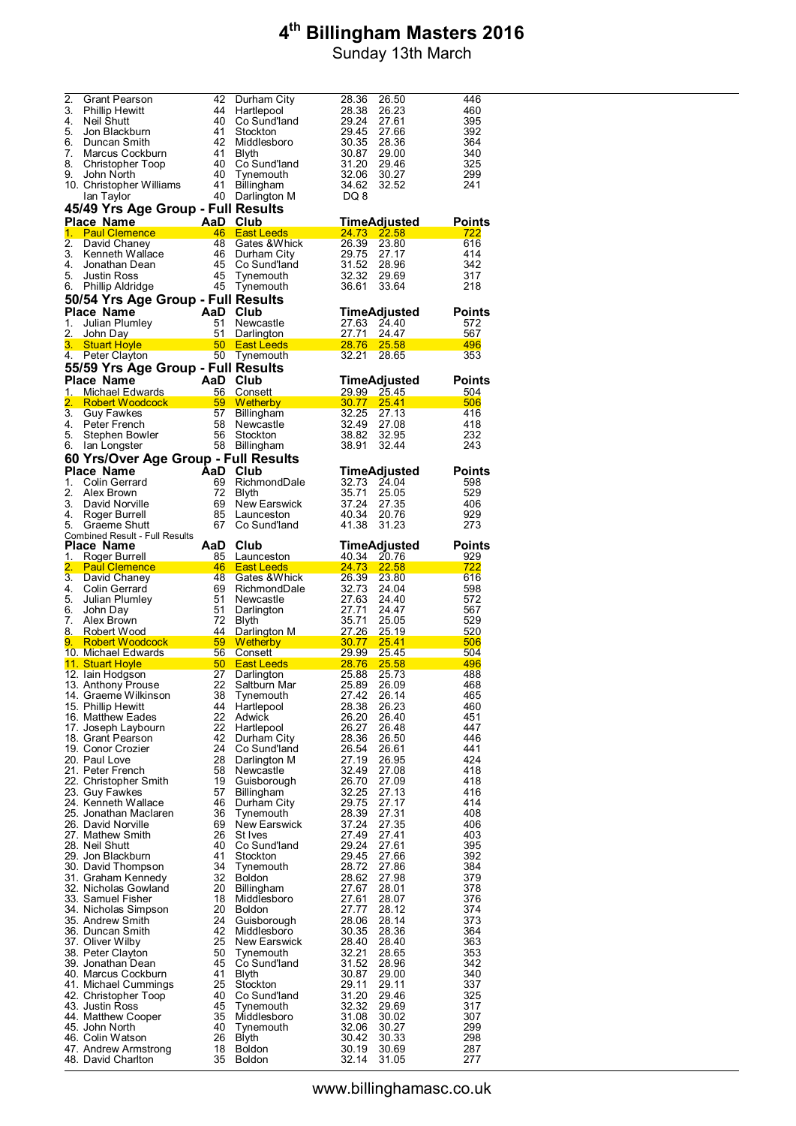| 2.       | Grant Pearson                                      | 42       | Durham City                                                | 28.36<br>26.50                          | 446           |
|----------|----------------------------------------------------|----------|------------------------------------------------------------|-----------------------------------------|---------------|
| 3.       | <b>Phillip Hewitt</b>                              | 44       | Hartlepool                                                 | 28.38<br>26.23                          | 460           |
| 4.       | Neil Shutt                                         | 40       | Co Sund'land                                               | 29.24<br>27.61                          | 395           |
| 5.       | Jon Blackburn                                      | 41       | Stockton                                                   | 29.45<br>27.66                          | 392           |
| 6.       | Duncan Smith                                       | 42       | Middlesboro                                                | 30.35<br>28.36                          | 364           |
| 7.       | Marcus Cockburn                                    | 41       | Blyth                                                      | 30.87<br>29.00                          | 340           |
| 8.       | <b>Christopher Toop</b>                            | 40       | Co Sund'land                                               | 31.20<br>29.46                          | 325           |
| 9.       | John North                                         | 40       | Tynemouth                                                  | 32.06<br>30.27                          | 299           |
|          | 10. Christopher Williams                           | 41       | Billingham                                                 | 34.62<br>32.52                          | 241           |
|          | lan Taylor                                         |          | 40 Darlington M                                            | DQ 8                                    |               |
|          | 45/49 Yrs Age Group - Full Results                 |          |                                                            |                                         |               |
|          | <b>Place Name</b>                                  |          | isest است<br>AaD Club<br><del>46 East L</del>              | <b>TimeAdjusted</b>                     | <b>Points</b> |
|          | 1. Paul Clemence                                   |          | 46 East Leeds                                              | <b>24.73</b><br>22.58                   | 722           |
| 2.       | David Chaney                                       |          | 48 Gates & Whick                                           | 26.39<br>23.80                          | 616           |
| 3.       |                                                    | 46       | Durham City                                                | 29.75<br>27.17                          | 414           |
| 4.       | Kenneth Wallace<br>Jonathan Dean                   |          | 45 Co Sund'land                                            | 31.52<br>28.96                          | 342           |
| 5.       | <b>Justin Ross</b>                                 | 45       | Tynemouth                                                  | 32.32<br>29.69                          | 317           |
|          | 6. Phillip Aldridge                                |          | 45 Tynemouth                                               | 36.61<br>33.64                          | 218           |
|          | 50/54 Yrs Age Group - Full Results                 |          |                                                            |                                         |               |
|          | <b>Place Name</b>                                  |          | AaD Club                                                   | <b>TimeAdjusted</b>                     | <b>Points</b> |
| 1.       | Julian Plumley                                     | 51       | Newcastle                                                  | 27.63<br>24.40                          | 572           |
| 2.       | John Day                                           | 51       | Darlington                                                 | 24.47<br>27.71                          | 567           |
| $3_{-}$  | <b>Stuart Hoyle</b>                                |          | 50 East Leeds                                              | <b>28.76</b><br>25.58                   | 496           |
|          | 4. Peter Clayton                                   |          | 50 Tynemouth                                               | 32.21 28.65                             | 353           |
|          | 55/59 Yrs Age Group - Full Results                 |          |                                                            |                                         |               |
|          | <b>Place Name</b>                                  |          | <b>AaD Club</b>                                            |                                         |               |
|          |                                                    |          |                                                            | TimeAdjusted                            | <b>Points</b> |
| 1.<br>2. | Michael Edwards                                    |          | 56 Consett<br>59 Wetherby                                  | <u>29.99</u><br>25.45<br>30.77<br>25.41 | 504<br>506    |
| 3.       | Robert Woodcock<br><b>Guy Fawkes</b>               |          | 57 Billingham                                              | 32.25<br>27.13                          | 416           |
| 4.       | Peter French                                       |          | 58 Newcastle                                               | 32.49<br>27.08                          | 418           |
| 5.       | Stephen Bowler                                     | 56       | Stockton                                                   | 38.82<br>32.95                          | 232           |
| 6.       | lan Longster                                       |          | 58 Billingham                                              | 38.91<br>32.44                          | 243           |
|          |                                                    |          |                                                            |                                         |               |
|          | 60 Yrs/Over Age Group - Full Results<br>Place Name |          |                                                            |                                         |               |
|          |                                                    |          | AaD Club                                                   | <b>TimeAdjusted</b>                     | <b>Points</b> |
| 1.       | Colin Gerrard                                      | 69       | RichmondDale                                               | 32.73<br>24.04                          | 598           |
| 2.       | Alex Brown                                         | 72<br>69 | Blyth                                                      | 35.71<br>25.05                          | 529           |
| 3.<br>4. | David Norville                                     |          | New Earswick<br>85 Launceston                              | 37.24<br>27.35<br>40.34<br>20.76        | 406<br>929    |
| 5.       | Roger Burrell<br>Graeme Shutt                      | 67       | Co Sund'land                                               | 41.38<br>31.23                          | 273           |
|          | Combined Result - Full Results                     |          |                                                            |                                         |               |
|          | Place Name                                         | AaD      | Club                                                       | TimeAdjusted                            | <b>Points</b> |
| 1.       | Roger Burrell                                      |          | 85 Launceston                                              | 40.34<br>20.76                          | 929           |
|          |                                                    |          |                                                            |                                         |               |
|          |                                                    |          | 46 East Leeds                                              | <b>24.73</b>                            | 722           |
|          | 2. Paul Clemence and the state                     | 48       | Gates & Whick                                              | 22.58<br>26.39                          | 616           |
| 4.       | 3. David Chaney<br>Colin Gerrard                   | 69       | RichmondDale                                               | 23.80<br>32.73<br>24.04                 | 598           |
| 5.       | Julian Plumley                                     | 51       | Newcastle                                                  | 27.63<br>24.40                          | 572           |
|          | John Day                                           | 51       | Darlington                                                 | 27.71<br>24.47                          | 567           |
| 6.<br>7. | Alex Brown                                         | 72       | Blyth                                                      | 35.71<br>25.05                          | 529           |
| 8.       | Robert Wood                                        | 44       | Darlington M                                               | <u>27.26</u><br>25.19                   | 520           |
| 9.       | Robert Woodcock Nobel                              |          | 59 Wetherby <b>Same Street Street Street Street Street</b> | 30.77<br>25.41                          | 506           |
|          | 10. Michael Edwards                                |          | 56 Consett                                                 | <u>29.99</u><br>25.45                   | 504           |
|          | <u>11. Stuart Hoyle</u>                            |          | 50 East Leeds <b>East Act 2019</b>                         | 28.76<br><b>25.58</b>                   | 496           |
|          | 12. Iain Hodgson                                   | 27       | Darlington                                                 | 25.88<br>25.73                          | 488           |
|          | 13. Anthony Prouse                                 | 22       | Saltburn Mar                                               | 25.89<br>26.09                          | 468           |
|          | 14. Graeme Wilkinson                               | 38       | Tynemouth                                                  | 27.42<br>26.14                          | 465           |
|          | 15. Phillip Hewitt                                 | 44       | Hartlepool                                                 | 28.38<br>26.23                          | 460           |
|          | 16. Matthew Eades                                  | 22       | Adwick                                                     | 26.20<br>26.40                          | 451           |
|          | 17. Joseph Laybourn                                | 22       | Hartlepool                                                 | 26.27<br>26.48                          | 447           |
|          | 18. Grant Pearson                                  | 42       | Durham City                                                | 28.36<br>26.50<br>26.61                 | 446           |
|          | 19. Conor Crozier<br>20. Paul Love                 | 24<br>28 | Co Sund'land                                               | 26.54<br>27.19<br>26.95                 | 441<br>424    |
|          | 21. Peter French                                   | 58       | Darlington M<br>Newcastle                                  | 32.49<br>27.08                          | 418           |
|          | 22. Christopher Smith                              | $19$     | Guisborough                                                | 26.70<br>27.09                          | 418           |
|          | 23. Guy Fawkes                                     | 57       | Billingham                                                 | 32.25<br>27.13                          | 416           |
|          | 24. Kenneth Wallace                                | 46       | Durham City                                                | 27.17<br>29.75                          | 414           |
|          | 25. Jonathan Maclaren                              | 36       | Tynemouth                                                  | 27.31<br>28.39                          | 408           |
|          | 26. David Norville                                 | 69       | New Earswick                                               | 37.24<br>27.35                          | 406           |
|          | 27. Mathew Smith                                   | 26       | St Ives                                                    | 27.41<br>27.49                          | 403           |
|          | 28. Neil Shutt                                     | 40       | Co Sund'land                                               | 29.24<br>27.61                          | 395           |
|          | 29. Jon Blackburn                                  | 41       | Stockton                                                   | 29.45<br>27.66                          | 392           |
|          | 30. David Thompson                                 | 34       | Tynemouth                                                  | 27.86<br>28.72                          | 384           |
|          | 31. Graham Kennedy                                 | 32       | <b>Boldon</b>                                              | 27.98<br>28.62                          | 379           |
|          | 32. Nicholas Gowland                               | 20       | Billingham                                                 | 27.67<br>28.01                          | 378           |
|          | 33. Samuel Fisher                                  | 18       | Middlesboro                                                | 27.61<br>28.07                          | 376           |
|          | 34. Nicholas Simpson                               | 20<br>24 | <b>Boldon</b>                                              | 27.77<br>28.12<br>28.06<br>28.14        | 374<br>373    |
|          | 35. Andrew Smith<br>36. Duncan Smith               | 42       | Guisborough<br>Middlesboro                                 | 30.35<br>28.36                          | 364           |
|          | 37. Oliver Wilby                                   | 25       | New Earswick                                               | 28.40<br>28.40                          | 363           |
|          | 38. Peter Clayton                                  | 50       | Tynemouth                                                  | 32.21<br>28.65                          | 353           |
|          | 39. Jonathan Dean                                  | 45       | Co Sund'land                                               | 31.52<br>28.96                          | 342           |
|          | 40. Marcus Cockburn                                | 41       | Blyth                                                      | 30.87<br>29.00                          | 340           |
|          | 41. Michael Cummings                               | 25       | Stockton                                                   | 29.11<br>29.11                          | 337           |
|          | 42. Christopher Toop                               | 40       | Co Sund'land                                               | 31.20<br>29.46                          | 325           |
|          | 43. Justin Ross                                    | 45       | Tynemouth                                                  | 32.32<br>29.69                          | 317           |
|          | 44. Matthew Cooper                                 | 35       | Middlesboro                                                | 31.08<br>30.02                          | 307           |
|          | 45. John North                                     | 40       | Tynemouth                                                  | 32.06<br>30.27                          | 299           |
|          | 46.  Colin Watson                                  | 26       | Blyth                                                      | 30.42<br>30.33                          | 298           |
|          | 47. Andrew Armstrong<br>48. David Charlton         | 18<br>35 | <b>Boldon</b><br><b>Boldon</b>                             | 30.19<br>30.69<br>32.14<br>31.05        | 287<br>277    |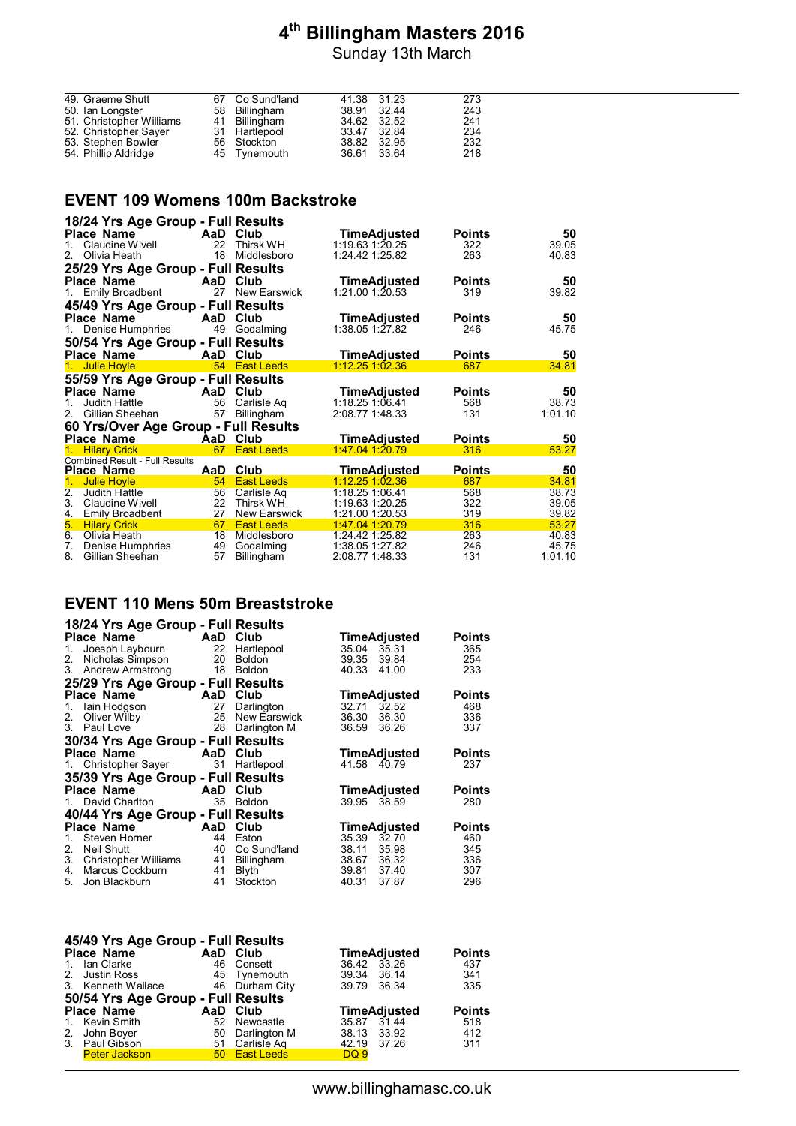Sunday 13th March

| 49. Graeme Shutt         | 67 Co Sund'land | 41.38 31.23 | 273 |
|--------------------------|-----------------|-------------|-----|
| 50. Ian Longster         | 58 Billingham   | 38.91 32.44 | 243 |
| 51. Christopher Williams | 41 Billingham   | 34.62 32.52 | 241 |
| 52. Christopher Sayer    | 31 Hartlepool   | 33.47 32.84 | 234 |
| 53. Stephen Bowler       | 56 Stockton     | 38.82 32.95 | 232 |
| 54. Phillip Aldridge     | 45 Tynemouth    | 36.61 33.64 | 218 |
|                          |                 |             |     |

#### **EVENT 109 Womens 100m Backstroke**

| 18/24 Yrs Age Group - Full Results           |          |                             |                                    |               |                |
|----------------------------------------------|----------|-----------------------------|------------------------------------|---------------|----------------|
| <b>Place Name</b>                            | AaD      | Club                        | <b>TimeAdjusted</b>                | <b>Points</b> | 50             |
| Claudine Wivell<br>1.                        | 22       | Thirsk WH                   | $1:19.63$ 1:20.25                  | 322           | 39.05          |
| Olivia Heath<br>2.                           | 18       | Middlesboro                 | 1:24.42 1:25.82                    | 263           | 40.83          |
| 25/29 Yrs Age Group - Full Results           |          |                             |                                    |               |                |
| <b>Place Name</b>                            | AaD      | Club                        | <b>TimeAdjusted</b>                | <b>Points</b> | 50             |
| 1. Emily Broadbent                           | 27       | <b>New Earswick</b>         | 1:21.00 1:20.53                    | 319           | 39.82          |
| 45/49 Yrs Age Group - Full Results           |          |                             |                                    |               |                |
| <b>Place Name</b>                            | AaD      | Club                        | TimeAdjusted                       | <b>Points</b> | 50             |
| 1. Denise Humphries                          | 49       | Godalming                   | $1:38.05$ 1:27.82                  | 246           | 45.75          |
| 50/54 Yrs Age Group - Full Results           |          |                             |                                    |               |                |
| <b>Place Name</b>                            | AaD      | Club                        | <b>TimeAdjusted</b>                | <b>Points</b> | 50             |
| 1. Julie Hoyle                               |          | 54 East Leeds               | $1:12.25$ 1:02.36                  | 687           | 34.81          |
| 55/59 Yrs Age Group - Full Results           |          |                             |                                    |               |                |
| Place Name                                   | AaD      | Club                        | TimeAdjusted                       | <b>Points</b> | 50             |
| Judith Hattle<br>1.                          | 56       | Carlisle Ag                 | 1:18.25 1:06.41                    | 568           | 38.73          |
| 2. Gillian Sheehan                           | 57       | Billingham                  | 2:08.77 1:48.33                    | 131           | 1:01.10        |
| 60 Yrs/Over Age Group - Full Results         |          |                             |                                    |               |                |
| <b>Place Name</b>                            | AaD      | Club                        | <b>TimeAdjusted</b>                | <b>Points</b> | 50             |
| <b>Hilary Crick</b><br>1.                    | 67       | <b>East Leeds</b>           | $1:47.04$ 1:20.79                  | 316           | 53.27          |
| <b>Combined Result - Full Results</b>        |          |                             |                                    |               |                |
| Place Name                                   | AaD      | Club                        | TimeAdjusted<br>$1:12.25$ 1:02.36  | <b>Points</b> | 50             |
| <b>Julie Hoyle</b><br>1.                     | 54       | <b>East Leeds</b>           |                                    | 687           | 34.81          |
| 2.<br>Judith Hattle<br>3.<br>Claudine Wivell | 56       | Carlisle Aq<br>22 Thirsk WH | 1:18.25 1:06.41<br>1:19.63 1:20.25 | 568<br>322    | 38.73<br>39.05 |
| <u>4.</u><br>Emily Broadbent                 | 27       | New Earswick                | 1:21.00 1:20.53                    | 319           | 39.82          |
|                                              |          |                             |                                    |               |                |
|                                              |          |                             |                                    |               |                |
| 5.<br><b>Hilary Crick</b>                    | 67       | <b>East Leeds</b>           | 1:47.04 1:20.79                    | 316           | 53.27          |
| 6.<br>Olivia Heath<br>7.<br>Denise Humphries | 18<br>49 | Middlesboro<br>Godalming    | 1:24.42 1:25.82<br>1:38.05 1:27.82 | 263<br>246    | 40.83<br>45.75 |

# **EVENT 110 Mens 50m Breaststroke**

| 18/24 Yrs Age Group - Full Results |     |                   |                     |               |
|------------------------------------|-----|-------------------|---------------------|---------------|
| <b>Place Name</b>                  | AaD | Club              | TimeAdjusted        | Points        |
| Joesph Laybourn<br>1.              | 22  | Hartlepool        | 35.04<br>35.31      | 365           |
| Nicholas Simpson<br>2.             | 20  | <b>Boldon</b>     | 39.35<br>39.84      | 254           |
| 3. Andrew Armstrong                | 18  | <b>Boldon</b>     | 40.33<br>41.00      | 233           |
| 25/29 Yrs Age Group - Full Results |     |                   |                     |               |
| <b>Place Name</b>                  | AaD | Club              | TimeAdjusted        | Points        |
| lain Hodgson<br>1.                 | 27  | Darlington        | 32.71<br>32.52      | 468           |
| Oliver Wilby<br>2.                 | 25  | New Earswick      | 36.30<br>36.30      | 336           |
| Paul Love<br>3.                    | 28  | Darlington M      | 36.59<br>36.26      | 337           |
| 30/34 Yrs Age Group - Full Results |     |                   |                     |               |
| <b>Place Name</b>                  | AaD | Club              | <b>TimeAdjusted</b> | <b>Points</b> |
| 1. Christopher Sayer               | 31  | Hartlepool        | 41.58<br>40.79      | 237           |
| 35/39 Yrs Age Group - Full Results |     |                   |                     |               |
| <b>Place Name</b>                  | AaD | Club              | TimeAdjusted        | Points        |
| David Charlton<br>1.               | 35  | <b>Boldon</b>     | 39.95 38.59         | 280           |
| 40/44 Yrs Age Group - Full Results |     |                   |                     |               |
| Place Name                         | AaD | Club              | TimeAdjusted        | Points        |
| Steven Horner<br>1.                | 44  | Eston             | 35.39<br>32.70      | 460           |
| 2.<br>Neil Shutt                   | 40  | Co Sund'land      | 35.98<br>38.11      | 345           |
| 3.<br>Christopher Williams         | 41  | <b>Billingham</b> | 38.67 36.32         | 336           |
| Marcus Cockburn<br>4.              | 41  | <b>Blyth</b>      | 39.81 37.40         | 307           |
| 5.<br>Jon Blackburn                | 41  | Stockton          | 40.31<br>37.87      | 296           |

|         | 45/49 Yrs Age Group - Full Results |          |                |                     |               |  |  |  |  |
|---------|------------------------------------|----------|----------------|---------------------|---------------|--|--|--|--|
|         | <b>Place Name</b>                  | AaD Club |                | TimeAdjusted        | <b>Points</b> |  |  |  |  |
| $1_{-}$ | lan Clarke                         |          | 46 Consett     | 36.42 33.26         | 437           |  |  |  |  |
|         | 2. Justin Ross                     |          | 45 Tynemouth   | 39.34 36.14         | 341           |  |  |  |  |
|         | 3. Kenneth Wallace                 |          | 46 Durham City | 39.79 36.34         | 335           |  |  |  |  |
|         | 50/54 Yrs Age Group - Full Results |          |                |                     |               |  |  |  |  |
|         | <b>Place Name</b>                  | AaD Club |                | <b>TimeAdjusted</b> | <b>Points</b> |  |  |  |  |
|         | 1. Kevin Smith                     |          | 52 Newcastle   | 35.87 31.44         | 518           |  |  |  |  |
|         | 2. John Boyer                      | 50       | Darlington M   | 38.13 33.92         | 412           |  |  |  |  |
|         | 3. Paul Gibson                     |          | 51 Carlisle Ag | 42.19 37.26         | 311           |  |  |  |  |
|         | <b>Peter Jackson</b>               |          | 50 East Leeds  | DQ 9                |               |  |  |  |  |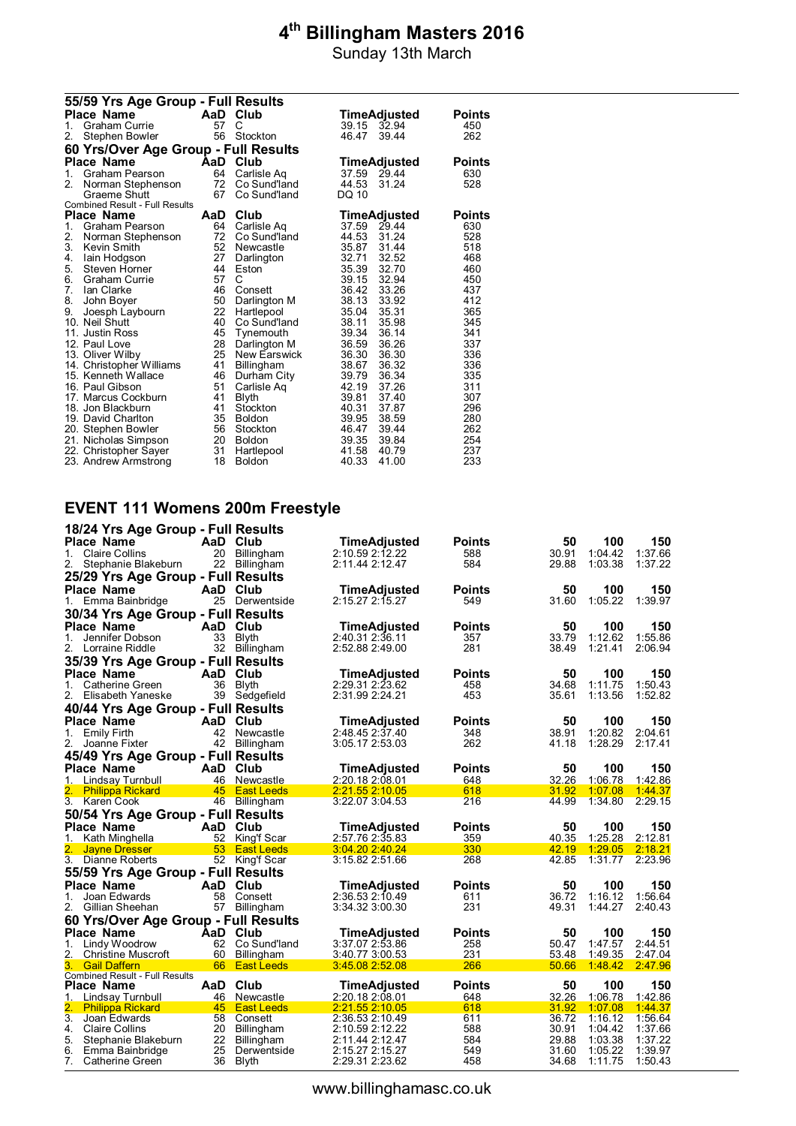Sunday 13th March

|    | 55/59 Yrs Age Group - Full Results           |          |                              |                |                |               |  |  |  |
|----|----------------------------------------------|----------|------------------------------|----------------|----------------|---------------|--|--|--|
|    | Place Name                                   |          | AaD Club                     |                | TimeAdjusted   | <b>Points</b> |  |  |  |
| 1. | Graham Currie                                | 57       | C                            |                | 39.15 32.94    | 450           |  |  |  |
| 2. | Stephen Bowler                               | 56       | Stockton                     | 46.47          | 39.44          | 262           |  |  |  |
|    | 60 Yrs/Over Age Group - Full Results         |          |                              |                |                |               |  |  |  |
|    | <b>Place Name</b>                            | AaD      | Club                         |                | TimeAdjusted   | Points        |  |  |  |
| 1. | Graham Pearson                               | 64       | Carlisle Ag                  |                | 37.59 29.44    | 630           |  |  |  |
| 2. | Norman Stephenson                            | 72       | Co Sund'land                 | 44.53          | 31.24          | 528           |  |  |  |
|    | Graeme Shutt                                 | 67       | Co Sund'land                 | DQ 10          |                |               |  |  |  |
|    | Combined Result - Full Results               |          |                              |                |                |               |  |  |  |
|    | Place Name                                   | AaD      | Club                         |                | TimeAdjusted   | <b>Points</b> |  |  |  |
| 1. | Graham Pearson                               | 64       | Carlisle Ag                  | 37.59          | 29.44          | 630           |  |  |  |
| 2. | Norman Stephenson                            | 72       | Co Sund'land                 | 44.53          | 31.24          | 528           |  |  |  |
| 3. | Kevin Smith                                  | 52       | Newcastle                    | 35.87          | 31.44          | 518           |  |  |  |
| 4. | lain Hodgson                                 | 27       | Darlington                   | 32.71          | 32.52          | 468           |  |  |  |
| 5. | Steven Horner                                | 44       | Eston                        | 35.39          | 32.70          | 460           |  |  |  |
| 6. | <b>Graham Currie</b>                         | 57       | C                            | 39.15          | 32.94          | 450           |  |  |  |
| 7. | Ian Clarke                                   | 46       | Consett                      | 36.42          | 33.26          | 437           |  |  |  |
| 8. | John Boyer                                   | 50       | Darlington M                 | 38.13          | 33.92          | 412           |  |  |  |
| 9. | Joesph Laybourn                              | 22       | Hartlepool                   | 35.04          | 35.31          | 365           |  |  |  |
|    | 10. Neil Shutt                               | 40       | Co Sund'land                 | 38.11          | 35.98          | 345           |  |  |  |
|    | 11. Justin Ross                              | 45       | Tynemouth                    | 39.34          | 36.14          | 341           |  |  |  |
|    | 12. Paul Love                                | 28<br>25 | Darlington M<br>New Earswick | 36.59<br>36.30 | 36.26<br>36.30 | 337<br>336    |  |  |  |
|    | 13. Oliver Wilby<br>14. Christopher Williams | 41       |                              | 38.67          | 36.32          | 336           |  |  |  |
|    | 15. Kenneth Wallace                          | 46       | Billingham<br>Durham City    | 39.79          | 36.34          | 335           |  |  |  |
|    | 16. Paul Gibson                              | 51       | Carlisle Ag                  | 42.19          | 37.26          | 311           |  |  |  |
|    | 17. Marcus Cockburn                          | 41       | Blyth                        | 39.81          | 37.40          | 307           |  |  |  |
|    | 18. Jon Blackburn                            | 41       | Stockton                     | 40.31          | 37.87          | 296           |  |  |  |
|    | 19. David Charlton                           | 35       | <b>Boldon</b>                | 39.95          | 38.59          | 280           |  |  |  |
|    | 20. Stephen Bowler                           | 56       | Stockton                     | 46.47          | 39.44          | 262           |  |  |  |
|    | 21. Nicholas Simpson                         | 20       | <b>Boldon</b>                | 39.35          | 39.84          | 254           |  |  |  |
|    | 22. Christopher Sayer                        | 31       | Hartlepool                   | 41.58          | 40.79          | 237           |  |  |  |
|    | 23. Andrew Armstrong                         | 18       | <b>Boldon</b>                | 40.33          | 41.00          | 233           |  |  |  |

#### **EVENT 111 Womens 200m Freestyle**

|                  | 18/24 Yrs Age Group - Full Results                  |      |                   |                                    |               |                |                    |                    |
|------------------|-----------------------------------------------------|------|-------------------|------------------------------------|---------------|----------------|--------------------|--------------------|
|                  | <b>Place Name</b>                                   | AaD  | Club              | TimeAdjusted                       | <b>Points</b> | 50             | 100                | 150                |
| 1.               | <b>Claire Collins</b>                               | 20   | Billingham        | 2:10.59 2:12.22                    | 588           | 30.91          | 1:04.42            | 1:37.66            |
| 2.               | Stephanie Blakeburn                                 | 22   | Billingham        | 2:11.44 2:12.47                    | 584           | 29.88          | 1:03.38            | 1:37.22            |
|                  | 25/29 Yrs Age Group - Full Results                  |      |                   |                                    |               |                |                    |                    |
|                  | <b>Place Name</b>                                   | AaD  | Club              | TimeAdjusted                       | Points        | 50             | 100                | 150                |
|                  | 1. Emma Bainbridge                                  | 25   | Derwentside       | 2:15.27 2:15.27                    | 549           | 31.60          | 1:05.22            | 1:39.97            |
|                  | 30/34 Yrs Age Group - Full Results                  |      |                   |                                    |               |                |                    |                    |
|                  | Place Name                                          | AaD  | Club              | TimeAdjusted                       | <b>Points</b> | 50             | 100                | 150                |
| $1_{-}$          | Jennifer Dobson                                     | 33   | <b>Blyth</b>      | 2:40.31 2:36.11                    | 357           | 33.79          | 1:12.62            | 1:55.86            |
|                  | 2. Lorraine Riddle                                  | 32   | Billingham        | 2:52.88 2:49.00                    | 281           | 38.49          | 1:21.41            | 2:06.94            |
|                  | 35/39 Yrs Age Group - Full Results                  |      |                   |                                    |               |                |                    |                    |
|                  | <b>Place Name</b>                                   | AaD  | Club              | TimeAdjusted                       | Points        | 50             | 100                | 150                |
| 1.               | Catherine Green                                     | 36   | <b>B</b> lvth     | 2:29.31 2:23.62                    | 458           | 34.68          | 1:11.75            | 1:50.43            |
| 2.               | Elisabeth Yaneske                                   | 39   | Sedgefield        | 2:31.99 2:24.21                    | 453           | 35.61          | 1:13.56            | 1:52.82            |
|                  | 40/44 Yrs Age Group - Full Results                  |      |                   |                                    |               |                |                    |                    |
|                  | <b>Place Name</b>                                   | AaD  | Club              | <b>TimeAdjusted</b>                | <b>Points</b> | 50             | 100                | 150                |
| 1. Emily Firth   |                                                     | 42   | Newcastle         | 2:48.45 2:37.40                    | 348           | 38.91          | 1:20.82            | 2:04.61            |
|                  | 2. Joanne Fixter                                    | 42   | Billingham        | 3:05.17 2:53.03                    | 262           | 41.18          | 1:28.29            | 2:17.41            |
|                  |                                                     |      |                   |                                    |               |                |                    |                    |
|                  | 45/49 Yrs Age Group - Full Results                  |      |                   |                                    |               |                |                    |                    |
|                  | Place Name                                          | AaD  | Club              | TimeAdjusted                       | <b>Points</b> | 50             | 100                | 150                |
|                  | 1. Lindsay Turnbull                                 | 46   | Newcastle         | 2:20.18 2:08.01                    | 648           | 32.26          | 1:06.78            | 1:42.86            |
|                  | <b>Philippa Rickard</b><br>3. Karen Cook            | 45   | <b>East Leeds</b> | 2:21.55 2:10.05<br>3:22.07 3:04.53 | 618<br>216    | 31.92<br>44.99 | 1:07.08<br>1:34.80 | 1:44.37<br>2:29.15 |
|                  |                                                     |      | 46 Billingham     |                                    |               |                |                    |                    |
|                  | 50/54 Yrs Age Group - Full Results                  |      |                   |                                    |               |                |                    |                    |
|                  | <b>Place Name</b>                                   | AaD. | Club              | TimeAdjusted                       | Points        | 50             | 100                | 150                |
|                  | 1. Kath Minghella                                   | 52   | King'f Scar       | 2:57.76 2:35.83                    | 359           | 40.35          | 1:25.28            | 2:12.81            |
|                  | <b>Jayne Dresser</b>                                | 53   | <b>East Leeds</b> | 3:04.20 2:40.24                    | 330           | 42.19          | 1:29.05            | 2:18.21<br>2:23.96 |
|                  | 3. Dianne Roberts                                   |      | 52 King'f Scar    |                                    | 268           | 42.85          | 1:31.77            |                    |
|                  | 55/59 Yrs Age Group - Full Results                  |      |                   |                                    |               |                |                    |                    |
|                  | Place Name                                          | AaD  | Club              | TimeAdjusted                       | <b>Points</b> | 50             | 100                | 150                |
| 1.               | Joan Edwards                                        | 58   | Consett           | 2:36.53 2:10.49                    | 611           | 36.72          | 1:16.12            | 1:56.64            |
| 2.               | Gillian Sheehan                                     | 57   | Billingham        | 3:34.32 3:00.30                    | 231           | 49.31          | 1:44.27            | 2:40.43            |
|                  | 60 Yrs/Over Age Group - Full Results                |      |                   |                                    |               |                |                    |                    |
|                  | <b>Place Name</b>                                   | AaD  | Club              | <b>TimeAdjusted</b>                | Points        | 50             | 100                | 150                |
| 1.               | Lindy Woodrow                                       | 62   | Co Sund'land      | 3:37.07 2:53.86                    | 258           | 50.47          | 1:47.57            | 2:44.51            |
| 2.               | <b>Christine Muscroft</b>                           | 60   | Billingham        | 3:40.77 3:00.53                    | 231           | 53.48          | 1:49.35            | 2:47.04            |
| 3.               | <b>Gail Daffern</b>                                 | 66   | <b>East Leeds</b> | 3:45.08 2:52.08                    | 266           | 50.66          | 1:48.42            | 2:47.96            |
|                  | <b>Combined Result - Full Results</b><br>Place Name | AaD  | Club              | TimeAdjusted                       | <b>Points</b> | 50             | 100                | 150                |
|                  | 1. Lindsay Turnbull                                 | 46   | Newcastle         | 2:20.18 2:08.01                    | 648           | 32.26          | 1:06.78            | 1:42.86            |
| 2.               | <b>Philippa Rickard</b>                             | 45   | <b>East Leeds</b> | 2:21.55 2:10.05                    | 618           | 31.92          | 1:07.08            | 1:44.37            |
| $\overline{3}$ . | Joan Edwards                                        | 58   | Consett           | 2:36.53 2:10.49                    | 611           | 36.72          | 1:16.12            | 1:56.64            |
| 4.               | <b>Claire Collins</b>                               | 20   | <b>Billingham</b> | 2:10.59 2:12.22                    | 588           | 30.91          | 1:04.42            | 1:37.66            |
| 5.               | Stephanie Blakeburn                                 | 22   | Billingham        | 2:11.44 2:12.47                    | 584           | 29.88          | 1:03.38            | 1:37.22            |
| 6.               | Emma Bainbridge                                     | 25   | Derwentside       | 2:15.27 2:15.27                    | 549           | 31.60          | 1:05.22            | 1:39.97            |
| 7.               | Catherine Green                                     | 36   | Blyth             | 2:29.31 2:23.62                    | 458           | 34.68          | 1:11.75            | 1:50.43            |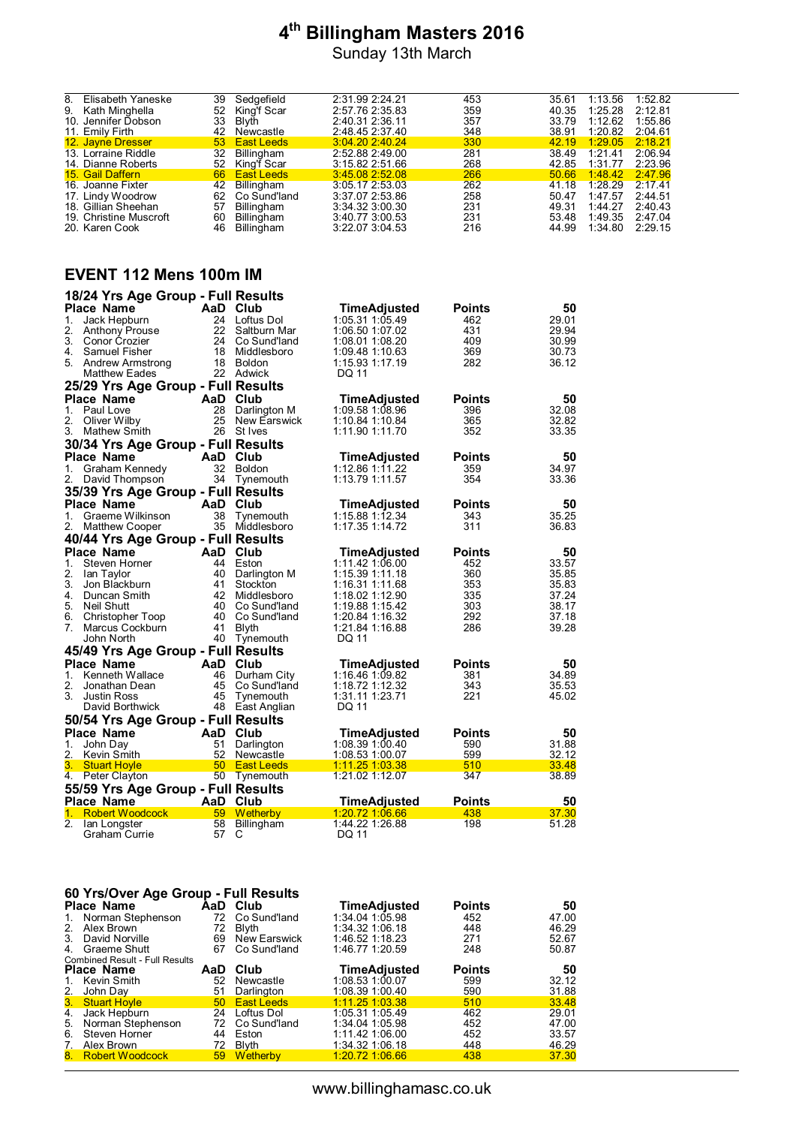8. Elisabeth Yaneske 39 Sedgefield 2:31.99 2:24.21 453 35.61 1:13.56 1:52.82<br>
9. Kath Minghella 52 King'f Scar 2:57.76 2:35.83 359 40.36 1:52.82 2:15.81<br>
1. Jonator Debesse 2:25 Blutb 2:40.93.944 357 359 40.35 1:15.82 2:15 9. Sedgefield 2:31.99 2:24.21 453 35.61 1:13.56 1:52.82<br>
52 King'f Scar 2:57.76 2:35.83 359 40.35 1:25.28 2:12.81<br>
13 Blyth 2:40.31 2:36.83 44.2 33.79 1:12.62 1:55.86<br>
52 East Leeds 3:04.20 2:40.24 330 42.19 1:20.62 2:04.6 10. Jennifer Dobson 33 Blyth 2:40.31 2:36.11 357 33.79 1:12.62 1:55.86 11. Emily Firth 42 Newcastle 2:48.45 2:37.40 348 38.91 1:20.82 2:04.61 12. Jayne Dresser 53 East Leeds 3:04.20 2:40.24 330 42.19 1:29.05 2:18.21 13. Lorraine Riddle 32 Billingham 2:52.88 2:49.00 281 38.49 1:21.41 2:06.94 12. Diane Riddle 132 Newcastle 2:48.45 2:37.40 348 38.91 1:20.82 2:04.61<br>
12. Jayne Dresser 52 Kingham 2:55.88 2:49.24 330 42.19 1:29.05 2:18.21<br>
13. Lornaine Roberts 52 King'f Scar 3:15.82 2:51.66 268 42.85 1:31.77 2:23.9 15. Gail Daffern 66 East Leeds 3:45.08 2:52.08 266 50.66 1:48.42 2:47.96 16. Joanne Fixter 42 Billingham 3:05.17 2:53.03 262 41.18 1:28.29 2:17.41 17. Lindy Woodrow 62 Co Sund'land 3:37.07 2:53.86 258 50.47 1:47.57 2:44.51 18. Gillian Sheehan 57 Billingham 3:34.32 3:00.30 231 49.31 1:44.27 2:40.43<br>19. Christine Muscroft 60 Billingham 3:40.77 3:00.53 231 53.48 1:49.35 2:47.04<br>20. Karen Cook 46 Billingham 3:22.07 3:04.53 2:16 44.99 1:34.80 2:2 19. Christine Muscroft 60 Billingham 3:40.77 3:00.53 231 53.48 1:49.35 2:47.04 20. Karen Cook 46 Billingham 3:22.07 3:04.53 216 44.99 1:34.80 2:29.15

#### **EVENT 112 Mens 100m IM**

|         | 18/24 Yrs Age Group - Full Results |     |                 |                        |               |       |
|---------|------------------------------------|-----|-----------------|------------------------|---------------|-------|
|         | <b>Place Name</b>                  |     | AaD Club        | <b>TimeAdjusted</b>    | <b>Points</b> | 50    |
| 1.      | Jack Hepburn                       | 24  | Loftus Dol      | 1:05.31 1:05.49        | 462           | 29.01 |
| 2.      | <b>Anthony Prouse</b>              | 22  | Saltburn Mar    | 1:06.50 1:07.02        | 431           | 29.94 |
| 3.      | Conor Crozier                      |     | 24 Co Sund'land | 1:08.01 1:08.20        | 409           | 30.99 |
| 4.      | Samuel Fisher                      |     | 18 Middlesboro  | 1:09.48 1:10.63        | 369           | 30.73 |
|         | 5. Andrew Armstrong                |     | 18 Boldon       | 1:15.93 1:17.19        | 282           | 36.12 |
|         | <b>Matthew Eades</b>               |     | 22 Adwick       | DQ 11                  |               |       |
|         | 25/29 Yrs Age Group - Full Results |     |                 |                        |               |       |
|         | <b>Place Name</b>                  | AaD | Club            | <b>TimeAdjusted</b>    | <b>Points</b> | 50    |
|         | 1. Paul Love                       | 28  | Darlington M    | 1:09.58 1:08.96        | 396           | 32.08 |
| 2.      | Oliver Wilby                       | 25  | New Earswick    | 1:10.84 1:10.84        | 365           | 32.82 |
| 3.      | Mathew Smith                       |     | 26 St Ives      | 1:11.90 1:11.70        | 352           | 33.35 |
|         | 30/34 Yrs Age Group - Full Results |     |                 |                        |               |       |
|         | <b>Place Name</b>                  |     | AaD Club        | <b>TimeAdjusted</b>    | <b>Points</b> | 50    |
| 1.      | Graham Kennedy                     | 32  | Boldon          | 1:12.86 1:11.22        | 359           | 34.97 |
| 2.      | David Thompson                     |     | 34 Tynemouth    | 1:13.79 1:11.57        | 354           | 33.36 |
|         | 35/39 Yrs Age Group - Full Results |     |                 |                        |               |       |
|         | <b>Place Name</b>                  |     | AaD Club        | TimeAdjusted           | <b>Points</b> | 50    |
| 1.      | Graeme Wilkinson                   | 38  | Tynemouth       | 1:15.88 1:12.34        | 343           | 35.25 |
| 2.      | Matthew Cooper                     | 35  | Middlesboro     | 1:17.35 1:14.72        | 311           | 36.83 |
|         | 40/44 Yrs Age Group - Full Results |     |                 |                        |               |       |
|         | <b>Place Name</b>                  |     | AaD Club        | TimeAdjusted           | <b>Points</b> | 50    |
| 1.      | Steven Horner                      |     | 44 Eston        | 1:11.42 1:06.00        | 452           | 33.57 |
| 2.      | lan Taylor                         |     | 40 Darlington M | 1:15.39 1:11.18        | 360           | 35.85 |
| 3.      | Jon Blackburn                      | 41  | Stockton        | 1:16.31 1:11.68        | 353           | 35.83 |
|         | 4. Duncan Smith                    |     | 42 Middlesboro  | 1:18.02 1:12.90        | 335           | 37.24 |
| 5.      | Neil Shutt                         |     | 40 Co Sund'land | 1:19.88 1:15.42        | 303           | 38.17 |
|         | 6. Christopher Toop                |     | 40 Co Sund'land | 1:20.84 1:16.32        | 292           | 37.18 |
| 7.      | Marcus Cockburn                    | 41  | Blyth           | 1:21.84 1:16.88        | 286           | 39.28 |
|         | John North                         |     | 40 Tynemouth    | DQ 11                  |               |       |
|         | 45/49 Yrs Age Group - Full Results |     |                 |                        |               |       |
|         | <b>Place Name</b>                  | AaD | Club            | <b>TimeAdjusted</b>    | <b>Points</b> | 50    |
| $1_{-}$ | Kenneth Wallace                    | 46  | Durham City     | 1:16.46 1:09.82        | 381           | 34.89 |
| 2.      | Jonathan Dean                      | 45  | Co Sund'land    | 1:18.72 1:12.32        | 343           | 35.53 |
| 3.      | <b>Justin Ross</b>                 | 45  | Tynemouth       | 1:31.11 1:23.71        | 221           | 45.02 |
|         | David Borthwick                    |     | 48 East Anglian | DQ 11                  |               |       |
|         | 50/54 Yrs Age Group - Full Results |     |                 |                        |               |       |
|         | <b>Place Name</b>                  | AaD | Club            | TimeAdjusted           | <b>Points</b> | 50    |
| 1.      | John Day                           | 51  | Darlington      | 1:08.39 1:00.40        | 590           | 31.88 |
| 2.      | Kevin Smith                        | 52  | Newcastle       | 1:08.53 1:00.07        | 599           | 32.12 |
| 3.      | <b>Stuart Hoyle</b>                |     | 50 East Leeds   | <u>1:11.25 1:03.38</u> | 510           | 33.48 |
| 4.      | Peter Clayton                      |     | 50 Tynemouth    | 1:21.02 1:12.07        | 347           | 38.89 |
|         | 55/59 Yrs Age Group - Full Results |     |                 |                        |               |       |
|         | <b>Place Name</b>                  |     | AaD Club        | TimeAdjusted           | <b>Points</b> | 50    |
| 1.      | <b>Robert Woodcock</b>             | 59  | Wetherby        | <u>1:20.72 1:06.66</u> | 438           | 37.30 |
| 2.      | lan Longster                       | 58  | Billingham      | 1:44.22 1:26.88        | 198           | 51.28 |
|         | Graham Currie                      | 57  | С               | DQ 11                  |               |       |

|    | 60 Yrs/Over Age Group - Full Results  |                 |                   |                   |               |       |  |  |  |
|----|---------------------------------------|-----------------|-------------------|-------------------|---------------|-------|--|--|--|
|    | <b>Place Name</b>                     |                 | AaD Club          | TimeAdjusted      | <b>Points</b> | 50    |  |  |  |
| 1. | Norman Stephenson                     | 72              | Co Sund'land      | 1:34.04 1:05.98   | 452           | 47.00 |  |  |  |
|    | 2. Alex Brown                         | 72              | Blvth             | 1:34.32 1:06.18   | 448           | 46.29 |  |  |  |
|    | 3. David Norville                     | 69              | New Earswick      | 1:46.52 1:18.23   | 271           | 52.67 |  |  |  |
|    | 4. Graeme Shutt                       | 67              | Co Sund'land      | 1:46.77 1:20.59   | 248           | 50.87 |  |  |  |
|    | <b>Combined Result - Full Results</b> |                 |                   |                   |               |       |  |  |  |
|    | <b>Place Name</b>                     | AaD             | Club              | TimeAdjusted      | <b>Points</b> | 50    |  |  |  |
|    | 1. Kevin Smith                        | 52              | Newcastle         | 1:08.53 1:00.07   | 599           | 32.12 |  |  |  |
|    | 2. John Day                           | 51              | Darlington        | $1:08.39$ 1:00.40 | 590           | 31.88 |  |  |  |
|    | 3. Stuart Hoyle                       | 50 <sup>°</sup> | <b>East Leeds</b> | 1:11.25 1:03.38   | 510           | 33.48 |  |  |  |
| 4. | Jack Hepburn                          | 24              | Loftus Dol        | 1:05.31 1:05.49   | 462           | 29.01 |  |  |  |
|    | 5. Norman Stephenson                  |                 | 72 Co Sund'land   | 1:34.04 1:05.98   | 452           | 47.00 |  |  |  |
| 6. | Steven Horner                         | 44              | Eston             | 1:11.42 1:06.00   | 452           | 33.57 |  |  |  |
| 7. | Alex Brown                            | 72              | Blyth             | 1:34.32 1:06.18   | 448           | 46.29 |  |  |  |
|    | 8. Robert Woodcock                    | 59              | Wetherby          | 1:20.72 1:06.66   | 438           | 37.30 |  |  |  |
|    |                                       |                 |                   |                   |               |       |  |  |  |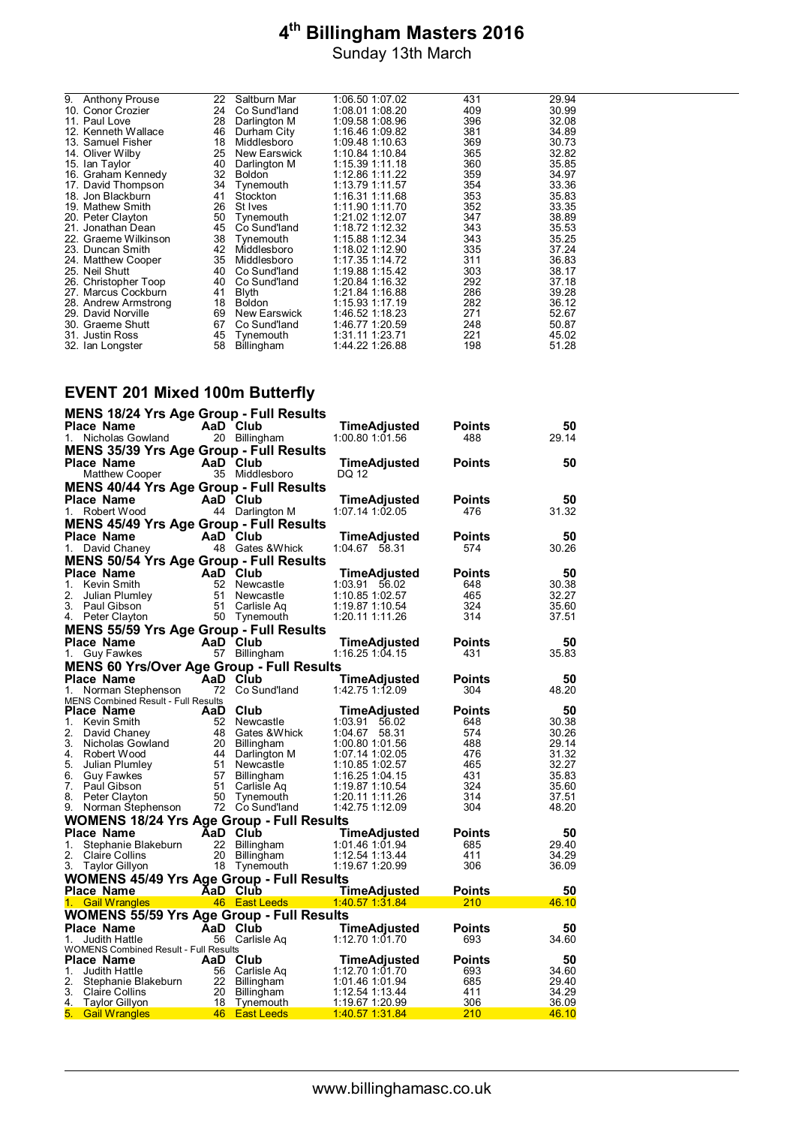| 9. | <b>Anthony Prouse</b> | 22 | Saltburn Mar  | 1:06.50 1:07.02 | 431 | 29.94 |
|----|-----------------------|----|---------------|-----------------|-----|-------|
|    | 10. Conor Crozier     | 24 | Co Sund'land  | 1:08.01 1:08.20 | 409 | 30.99 |
|    | 11. Paul Love         | 28 | Darlington M  | 1:09.58 1:08.96 | 396 | 32.08 |
|    | 12. Kenneth Wallace   | 46 | Durham City   | 1:16.46 1:09.82 | 381 | 34.89 |
|    | 13. Samuel Fisher     | 18 | Middlesboro   | 1:09.48 1:10.63 | 369 | 30.73 |
|    | 14. Oliver Wilby      | 25 | New Earswick  | 1:10.84 1:10.84 | 365 | 32.82 |
|    | 15. Ian Taylor        | 40 | Darlington M  | 1:15.39 1:11.18 | 360 | 35.85 |
|    | 16. Graham Kennedy    | 32 | <b>Boldon</b> | 1:12.86 1:11.22 | 359 | 34.97 |
|    | 17. David Thompson    | 34 | Tynemouth     | 1:13.79 1:11.57 | 354 | 33.36 |
|    | 18. Jon Blackburn     | 41 | Stockton      | 1:16.31 1:11.68 | 353 | 35.83 |
|    | 19. Mathew Smith      | 26 | St Ives       | 1:11.90 1:11.70 | 352 | 33.35 |
|    | 20. Peter Clayton     | 50 | Tynemouth     | 1:21.02 1:12.07 | 347 | 38.89 |
|    | 21. Jonathan Dean     | 45 | Co Sund'land  | 1:18.72 1:12.32 | 343 | 35.53 |
|    | 22. Graeme Wilkinson  | 38 | Tvnemouth     | 1:15.88 1:12.34 | 343 | 35.25 |
|    | 23. Duncan Smith      | 42 | Middlesboro   | 1:18.02 1:12.90 | 335 | 37.24 |
|    | 24. Matthew Cooper    | 35 | Middlesboro   | 1:17.35 1:14.72 | 311 | 36.83 |
|    | 25. Neil Shutt        | 40 | Co Sund'land  | 1:19.88 1:15.42 | 303 | 38.17 |
|    | 26. Christopher Toop  | 40 | Co Sund'land  | 1:20.84 1:16.32 | 292 | 37.18 |
|    | 27. Marcus Cockburn   | 41 | Blyth         | 1:21.84 1:16.88 | 286 | 39.28 |
|    | 28. Andrew Armstrong  | 18 | <b>Boldon</b> | 1:15.93 1:17.19 | 282 | 36.12 |
|    | 29. David Norville    | 69 | New Earswick  | 1:46.52 1:18.23 | 271 | 52.67 |
|    | 30. Graeme Shutt      | 67 | Co Sund'land  | 1:46.77 1:20.59 | 248 | 50.87 |
|    | 31. Justin Ross       | 45 | Tynemouth     | 1:31.11 1:23.71 | 221 | 45.02 |
|    | 32. Ian Longster      | 58 | Billingham    | 1:44.22 1:26.88 | 198 | 51.28 |
|    |                       |    |               |                 |     |       |

## **EVENT 201 Mixed 100m Butterfly**

| <b>MENS 18/24 Yrs Age Group - Full Results</b>           |                                |                                    |                      |                |
|----------------------------------------------------------|--------------------------------|------------------------------------|----------------------|----------------|
| <b>Place Name</b>                                        | AaD Club                       | <b>TimeAdjusted</b>                | Points               | 50             |
| 1.<br>Nicholas Gowland                                   | 20 Billingham                  | 1:00.80 1:01.56                    | 488                  | 29.14          |
| <b>MENS 35/39 Yrs Age Group - Full Results</b>           |                                |                                    |                      |                |
| <b>Place Name</b>                                        | AaD Club                       | <b>TimeAdjusted</b>                | <b>Points</b>        | 50             |
| Matthew Cooper                                           | 35 Middlesboro                 | DQ 12                              |                      |                |
| <b>MENS 40/44 Yrs Age Group - Full Results</b>           |                                |                                    |                      |                |
| Place Name                                               | AaD Club                       | TimeAdjusted                       | <b>Points</b>        | 50             |
| 1.<br>Robert Wood                                        | 44 Darlington M                | 1:07.14 1:02.05                    | 476                  | 31.32          |
| <b>MENS 45/49 Yrs Age Group - Full Results</b>           |                                |                                    |                      |                |
| <b>Place Name</b>                                        | AaD Club                       | TimeAdjusted                       | Points               | 50             |
| 1.<br>David Chaney                                       | 48 Gates & Whick               | 1:04.67 58.31                      | 574                  | 30.26          |
|                                                          |                                |                                    |                      |                |
| <b>MENS 50/54 Yrs Age Group - Full Results</b>           |                                |                                    |                      |                |
| Place Name                                               | AaD Club                       | <b>TimeAdjusted</b>                | Points               | 50             |
| 1. Kevin Smith                                           | 52 Newcastle                   | 1:03.91 56.02                      | 648                  | 30.38          |
| 2.<br>Julian Plumley<br>3. Paul Gibson                   | 51 Newcastle<br>51 Carlisle Ag | 1:10.85 1:02.57<br>1:19.87 1:10.54 | 465<br>324           | 32.27<br>35.60 |
| 4. Peter Clayton                                         | 50 Tynemouth                   | 1:20.11 1:11.26                    | 314                  | 37.51          |
|                                                          |                                |                                    |                      |                |
| <b>MENS 55/59 Yrs Age Group - Full Results</b>           |                                |                                    |                      |                |
| <b>Place Name</b>                                        | AaD Club                       | <b>TimeAdjusted</b>                | <b>Points</b><br>431 | 50             |
| 1.<br><b>Guy Fawkes</b>                                  | 57 Billingham                  | 1:16.25 1:04.15                    |                      | 35.83          |
| <b>MENS 60 Yrs/Over Age Group - Full Results</b>         |                                |                                    |                      |                |
| <b>Place Name</b>                                        | AaD Club                       | TimeAdjusted                       | <b>Points</b>        | 50             |
| 1.<br>Norman Stephenson                                  | 72 Co Sund'Iand                | 1:42.75 1:12.09                    | 304                  | 48.20          |
| <b>MENS Combined Result - Full Results</b><br>Place Name | AaD Club                       | <b>TimeAdjusted</b>                | <b>Points</b>        | 50             |
| 1. Kevin Smith                                           | 52 Newcastle                   | 1:03.91 56.02                      | 648                  | 30.38          |
| 2.<br>David Chaney                                       | 48 Gates & Whick               | 1:04.67 58.31                      | 574                  | 30.26          |
| 3.<br>Nicholas Gowland                                   | 20 Billingham                  | 1:00.80 1:01.56                    | 488                  | 29.14          |
| 4. Robert Wood                                           | 44 Darlington M                | 1:07.14 1:02.05                    | 476                  | 31.32          |
| 5. Julian Plumley                                        | 51 Newcastle                   | 1:10.85 1:02.57                    | 465                  | 32.27          |
| 6.<br><b>Guy Fawkes</b>                                  | 57 Billingham                  | 1:16.25 1:04.15                    | 431                  | 35.83          |
| 7. Paul Gibson                                           | 51 Carlisle Aq                 | 1:19.87 1:10.54                    | 324                  | 35.60          |
| 8. Peter Clayton                                         | 50 Tynemouth                   | 1:20.11 1:11.26                    | 314                  | 37.51          |
| 9. Norman Stephenson                                     | 72 Co Sund'land                | 1:42.75 1:12.09                    | 304                  | 48.20          |
| <b>WOMENS 18/24 Yrs Age Group - Full Results</b>         |                                |                                    |                      |                |
| <b>Place Name</b>                                        | AaD Club                       | <b>TimeAdjusted</b>                | <b>Points</b>        | 50             |
| 1.<br>Stephanie Blakeburn                                | 22 Billingham                  | 1:01.46 1:01.94                    | 685                  | 29.40          |
| 2.<br>Claire Collins                                     | 20 Billingham                  | 1:12.54 1:13.44                    | 411                  | 34.29          |
| 3. Taylor Gillyon                                        | 18 Tynemouth                   | 1:19.67 1:20.99                    | 306                  | 36.09          |
| <b>WOMENS 45/49 Yrs Age Group - Full Results</b>         |                                |                                    |                      |                |
| Place Name                                               | AaD Club                       | <b>TimeAdjusted</b>                | <b>Points</b>        | 50             |
| <b>Gail Wrangles</b><br>1.                               | 46 East Leeds                  | 1:40.57 1:31.84                    | 210                  | <u>46.10</u>   |
| <b>WOMENS 55/59 Yrs Age Group - Full Results</b>         |                                |                                    |                      |                |
| <b>Place Name</b>                                        | AaD Club                       | TimeAdjusted                       | <b>Points</b>        | 50             |
| 1.<br>Judith Hattle                                      | 56 Carlisle Aq                 | 1:12.70 1:01.70                    | 693                  | 34.60          |
| <b>WOMENS Combined Result - Full Results</b>             |                                |                                    |                      |                |
| <b>Place Name</b>                                        | AaD Club                       | TimeAdjusted                       | <b>Points</b>        | 50             |
| 1.<br>Judith Hattle                                      | 56 Carlisle Aq                 | 1:12.70 1:01.70                    | 693                  | 34.60          |
| 2.<br>Stephanie Blakeburn                                | 22 Billingham                  | 1:01.46 1:01.94                    | 685                  | 29.40          |
| 3. Claire Collins<br>4.                                  | 20 Billingham                  | 1:12.54 1:13.44                    | 411<br>306           | 34.29          |
| Taylor Gillyon<br>5. Gail Wrangles                       | 18 Tynemouth<br>46 East Leeds  | 1:19.67 1:20.99<br>1:40.57 1:31.84 | 210                  | 36.09<br>46.10 |
|                                                          |                                |                                    |                      |                |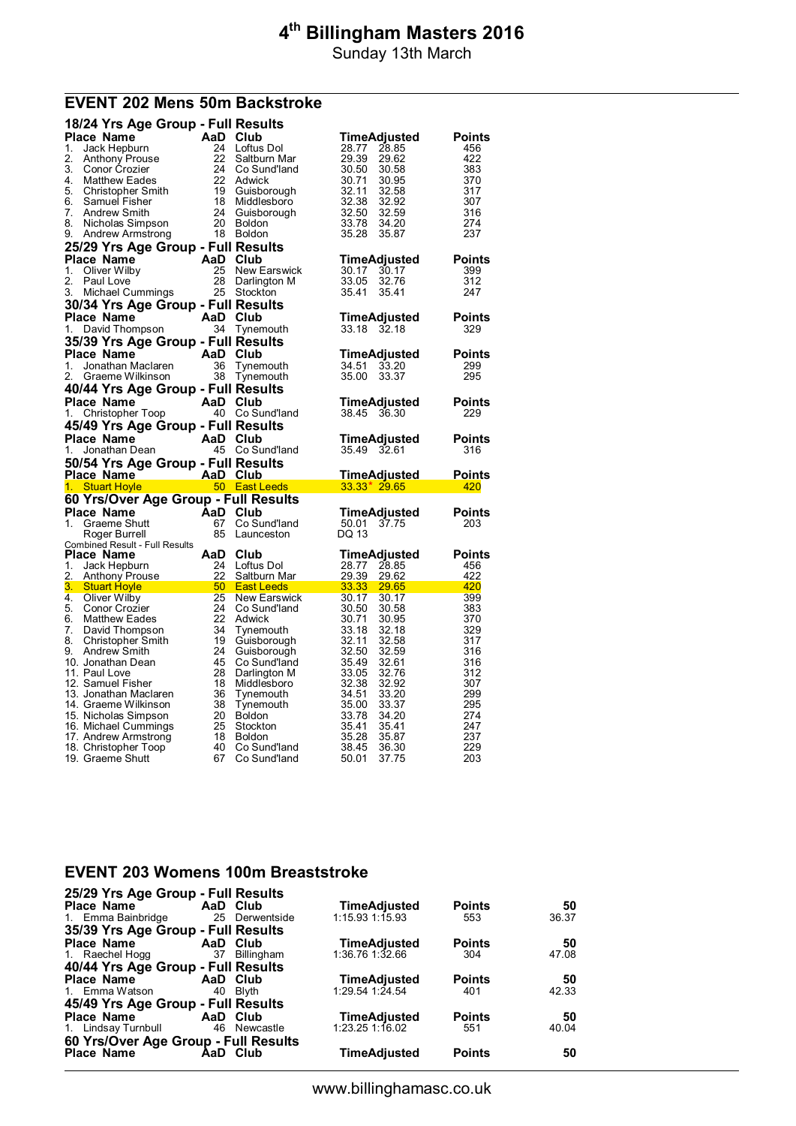Sunday 13th March

### **EVENT 202 Mens 50m Backstroke**

| 18/24 Yrs Age Group - Full Results                                                                                                |                 |                              |                                  |               |
|-----------------------------------------------------------------------------------------------------------------------------------|-----------------|------------------------------|----------------------------------|---------------|
| Place Name                                                                                                                        | AaD Club        |                              | TimeAdjusted                     | <b>Points</b> |
| 1.<br>Jack Hepburn                                                                                                                | 24              | Loftus Dol                   | 28.77<br>28.85                   | 456           |
| 2.<br>Anthony Prouse                                                                                                              | 22              | Saltburn Mar                 | 29.39<br>29.62                   | 422           |
| 3.<br>Conor Crozier<br>4.<br><b>Matthew Eades</b>                                                                                 | 24<br>22        | Co Sund'land<br>Adwick       | 30.50<br>30.58<br>30.71<br>30.95 | 383<br>370    |
| 5.<br>Christopher Smith                                                                                                           | 19              | Guisborough                  | 32.11<br>32.58                   | 317           |
| 6.<br>Samuel Fisher                                                                                                               | 18              | Middlesboro                  | 32.38<br>32.92                   | 307           |
| 7.<br>Andrew Smith                                                                                                                | 24              | Guisborough                  | 32.50<br>32.59                   | 316           |
| 8.<br>Nicholas Simpson                                                                                                            | 20              | <b>Boldon</b>                | 33.78<br>34.20                   | 274           |
| 9.<br>Andrew Armstrong                                                                                                            | 18              | <b>Boldon</b>                | 35.28<br>35.87                   | 237           |
| 25/29 Yrs Age Group - Full Results                                                                                                |                 |                              |                                  |               |
| Place Name                                                                                                                        | AaD Club        |                              | TimeAdjusted                     | Points        |
| 1.<br>Oliver Wilby<br>2.                                                                                                          | 25<br>28        | <b>New Earswick</b>          | 30.17<br>30.17<br>33.05          | 399<br>312    |
| Paul Love<br>3.<br>Michael Cummings                                                                                               |                 | Darlington M<br>25 Stockton  | 32.76<br>35.41<br>35.41          | 247           |
| 30/34 Yrs Age Group - Full Results                                                                                                |                 |                              |                                  |               |
| Place Name                                                                                                                        | AaD             | Club                         | TimeAdjusted                     | <b>Points</b> |
| 1.<br>David Thompson                                                                                                              | 34              | Tynemouth                    | 33.18 32.18                      | 329           |
| 35/39 Yrs Age Group - Full Results                                                                                                |                 |                              |                                  |               |
| Place Name                                                                                                                        | AaD Club        |                              | TimeAdjusted                     | Points        |
| 1.<br>Jonathan Maclaren                                                                                                           | 36              | Tynemouth                    | 33.20<br>34.51                   | 299           |
| 2.<br>Graeme Wilkinson                                                                                                            | 38              | Tynemouth                    | 35.00<br>33.37                   | 295           |
| 40/44 Yrs Age Group - Full Results                                                                                                |                 |                              |                                  |               |
| Place Name                                                                                                                        | AaD Club        |                              | TimeAdjusted                     | <b>Points</b> |
| 1.<br>Christopher Toop                                                                                                            |                 | 40 Co Sund'land              | 38.45 36.30                      | 229           |
| 45/49 Yrs Age Group - Full Results                                                                                                |                 |                              |                                  |               |
| Place Name                                                                                                                        | AaD             | Club                         | TimeAdjusted                     | Points        |
|                                                                                                                                   |                 |                              |                                  |               |
| 1.<br>Jonathan Dean                                                                                                               |                 | 45 Co Sund'land              | 35.49 32.61                      | 316           |
| 50/54 Yrs Age Group - Full Results                                                                                                |                 |                              |                                  |               |
| AaD Club<br>Place Name                                                                                                            |                 |                              | <u>TimeAdiusted_</u>             | Points        |
| $1 -$<br><b>Stuart Hoyle</b>                                                                                                      |                 | 50 East Leeds                | $33.33*$ 29.65                   | 420           |
| 60 Yrs/Over Age Group - Full Results                                                                                              |                 |                              |                                  |               |
| Place Name                                                                                                                        | AaD Club        |                              | TimeAdjusted                     | Points        |
| 1.<br>Graeme Shutt                                                                                                                | 67              | Co Sund'land                 | 37.75<br>50.01                   | 203           |
| Roger Burrell                                                                                                                     | 85              | Launceston                   | DQ 13                            |               |
| <b>Combined Result - Full Results</b><br>Place Name                                                                               | AaD             | Club                         | TimeAdjusted                     | Points        |
| 1.<br>Jack Hepburn                                                                                                                | 24              | Loftus Dol                   | 28.77<br>28.85                   | 456           |
| 2.<br><b>Anthony Prouse</b>                                                                                                       | 22              | Saltburn Mar                 | 29.39<br>29.62                   | 422           |
| 3. Stuart Hoyle<br>and the state of the state of the state of the state of the state of the state of the state of the state of th | 50 <sup>°</sup> | <b>East Leeds</b>            | 33.33<br>29.65                   | 420           |
| 4.<br>Oliver Wilby                                                                                                                | 25              | <b>New Earswick</b>          | 30.17<br>30.17                   | 399           |
| 5.<br>Conor Crozier<br>6.<br><b>Matthew Eades</b>                                                                                 | 24<br>22        | Co Sund'land<br>Adwick       | 30.50<br>30.58<br>30.71<br>30.95 | 383<br>370    |
| 7.<br>David Thompson                                                                                                              | 34              | Tynemouth                    | 33.18<br>32.18                   | 329           |
| 8.<br>Christopher Smith                                                                                                           | 19              | Guisborough                  | 32.11<br>32.58                   | 317           |
| 9.<br>Andrew Smith                                                                                                                | 24              | Guisborough                  | 32.50<br>32.59                   | 316           |
| 10. Jonathan Dean                                                                                                                 | 45              | Co Sund'Iand                 | 35.49<br>32.61                   | 316           |
| 11. Paul Love                                                                                                                     | 28              | Darlington M                 | 33.05<br>32.76                   | 312           |
| 12. Samuel Fisher<br>13. Jonathan Maclaren                                                                                        | 18<br>36        | Middlesboro<br>Tynemouth     | 32.38<br>32.92<br>34.51<br>33.20 | 307<br>299    |
| 14. Graeme Wilkinson                                                                                                              | 38              | Tynemouth                    | 35.00<br>33.37                   | 295           |
| 15. Nicholas Simpson                                                                                                              | 20              | <b>Boldon</b>                | 33.78<br>34.20                   | 274           |
| 16. Michael Cummings                                                                                                              | 25              | Stockton                     | 35.41<br>35.41                   | 247           |
| 17. Andrew Armstrong                                                                                                              | 18              | <b>Boldon</b>                | 35.87<br>35.28                   | 237           |
| 18. Christopher Toop<br>19. Graeme Shutt                                                                                          | 40<br>67        | Co Sund'land<br>Co Sund'land | 36.30<br>38.45<br>37.75<br>50.01 | 229<br>203    |

#### **EVENT 203 Womens 100m Breaststroke**

| 25/29 Yrs Age Group - Full Results   |          |                |                     |               |       |
|--------------------------------------|----------|----------------|---------------------|---------------|-------|
| <b>Place Name</b>                    | AaD Club |                | <b>TimeAdjusted</b> | <b>Points</b> | 50    |
| 1. Emma Bainbridge                   |          | 25 Derwentside | $1:15.93$ 1:15.93   | 553           | 36.37 |
| 35/39 Yrs Age Group - Full Results   |          |                |                     |               |       |
| Place Name                           | AaD Club |                | TimeAdjusted        | <b>Points</b> | 50    |
| 1. Raechel Hogg                      | 37       | Billingham     | 1:36.76 1:32.66     | 304           | 47.08 |
| 40/44 Yrs Age Group - Full Results   |          |                |                     |               |       |
| Place Name                           | AaD Club |                | TimeAdjusted        | <b>Points</b> | 50    |
| 1. Emma Watson                       |          | 40 Blyth       | $1:29.54$ 1:24.54   | 401           | 42.33 |
| 45/49 Yrs Age Group - Full Results   |          |                |                     |               |       |
| <b>Place Name</b>                    |          | AaD Club       | <b>TimeAdjusted</b> | <b>Points</b> | 50    |
| 1. Lindsay Turnbull                  |          | 46 Newcastle   | $1:23.25$ 1:16.02   | 551           | 40.04 |
| 60 Yrs/Over Age Group - Full Results |          |                |                     |               |       |
| <b>Place Name</b>                    |          | AaD Club       | TimeAdjusted        | <b>Points</b> | 50    |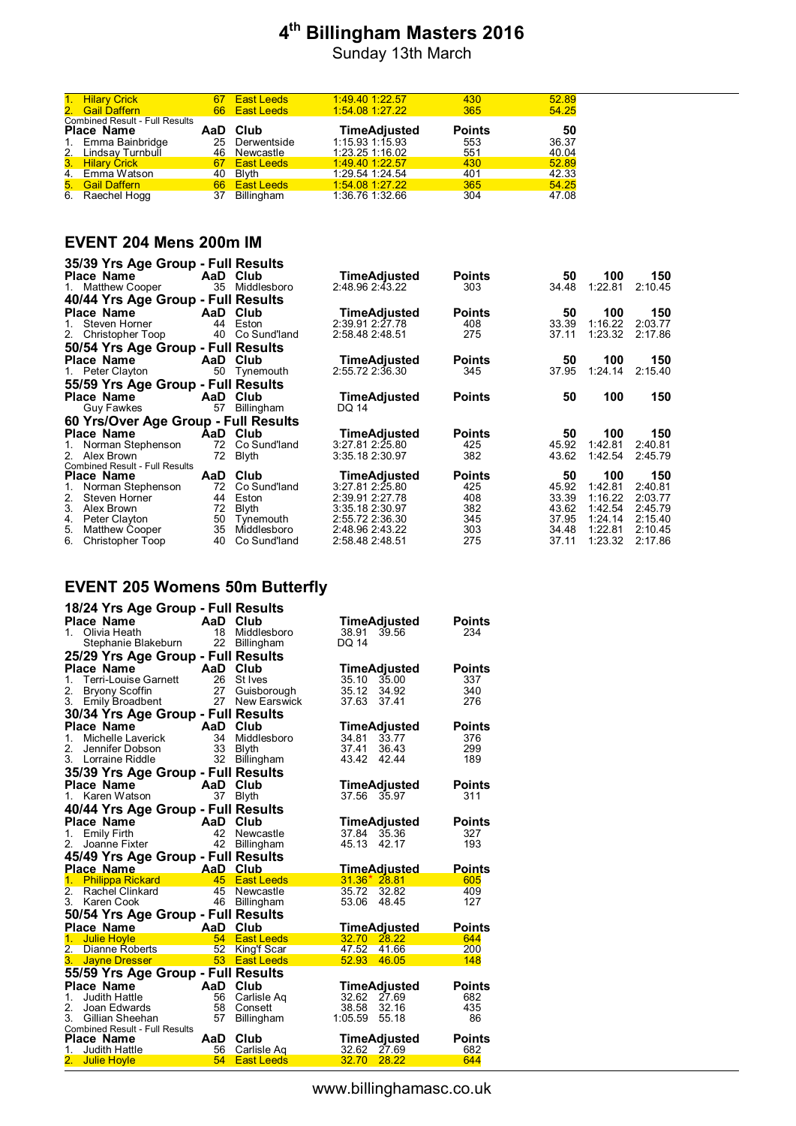Sunday 13th March

| 1. Hilary Crick                                            | 67  | <b>East Leeds</b> | $1:49.40$ 1:22.57   | 430           | 52.89 |
|------------------------------------------------------------|-----|-------------------|---------------------|---------------|-------|
| 2. Gail Daffern                                            | 66  | <b>East Leeds</b> | 1:54.08 1:27.22     | 365           | 54.25 |
| <b>Combined Result - Full Results</b><br><b>Place Name</b> | AaD | Club              | <b>TimeAdjusted</b> | <b>Points</b> | 50    |
| 1. Emma Bainbridge                                         | 25  | Derwentside       | 1:15.93 1:15.93     | 553           | 36.37 |
| 2. Lindsay Turnbull                                        | 46  | Newcastle         | 1:23.25 1:16.02     | 551           | 40.04 |
| 3. Hilary Crick                                            | 67  | <b>East Leeds</b> | 1:49.40 1:22.57     | 430           | 52.89 |
| 4. Emma Watson                                             | 40  | Blyth             | 1:29.54 1:24.54     | 401           | 42.33 |
| 5. Gail Daffern                                            | 66  | <b>East Leeds</b> | 1:54.08 1:27.22     | 365           | 54.25 |
| 6. Raechel Hogg                                            | 37  | Billingham        | 1:36.76 1:32.66     | 304           | 47.08 |

#### **EVENT 204 Mens 200m IM**

| 35/39 Yrs Age Group - Full Results    |      |               |                     |               |       |         |         |
|---------------------------------------|------|---------------|---------------------|---------------|-------|---------|---------|
| <b>Place Name</b>                     |      | AaD Club      | <b>TimeAdjusted</b> | <b>Points</b> | 50    | 100     | 150     |
| 1. Matthew Cooper                     | 35   | Middlesboro   | 2:48.96 2:43.22     | 303           | 34.48 | 1:22.81 | 2:10.45 |
| 40/44 Yrs Age Group - Full Results    |      |               |                     |               |       |         |         |
| Place Name                            |      | AaD Club      | <b>TimeAdjusted</b> | <b>Points</b> | 50    | 100     | 150     |
| Steven Horner<br>$1_{-}$              | 44   | Eston         | 2:39.91 2:27.78     | 408           | 33.39 | 1:16.22 | 2:03.77 |
| 2. Christopher Toop                   | 40   | Co Sund'land  | 2:58.48 2:48.51     | 275           | 37.11 | 1:23.32 | 2:17.86 |
| 50/54 Yrs Age Group - Full Results    |      |               |                     |               |       |         |         |
| <b>Place Name</b>                     | AaD. | Club          | <b>TimeAdjusted</b> | <b>Points</b> | 50    | 100     | 150     |
| 1. Peter Clayton                      |      | 50 Tynemouth  | 2:55.72 2:36.30     | 345           | 37.95 | 1:24.14 | 2:15.40 |
| 55/59 Yrs Age Group - Full Results    |      |               |                     |               |       |         |         |
| Place Name                            | AaD  | Club          | <b>TimeAdjusted</b> | <b>Points</b> | 50    | 100     | 150     |
| Guy Fawkes                            | 57   | Billingham    | DQ 14               |               |       |         |         |
| 60 Yrs/Over Age Group - Full Results  |      |               |                     |               |       |         |         |
| <b>Place Name</b>                     |      | AaD Club      | TimeAdjusted        | <b>Points</b> | 50    | 100     | 150     |
| Norman Stephenson<br>1.               | 72   | Co Sund'land  | 3:27.81 2:25.80     | 425           | 45.92 | 1:42.81 | 2:40.81 |
| 2.<br>Alex Brown                      | 72   | Blyth         | 3:35.18 2:30.97     | 382           | 43.62 | 1:42.54 | 2:45.79 |
| <b>Combined Result - Full Results</b> |      |               |                     |               |       |         |         |
| <b>Place Name</b>                     | AaD  | Club          | <b>TimeAdjusted</b> | <b>Points</b> | 50    | 100     | 150     |
| Norman Stephenson<br>1.               | 72   | Co Sund'land  | 3:27.812:25.80      | 425           | 45.92 | 1:42.81 | 2:40.81 |
| 2.<br>Steven Horner                   | 44   | Eston         | 2:39.91 2:27.78     | 408           | 33.39 | 1:16.22 | 2:03.77 |
| 3.<br>Alex Brown                      | 72   | <b>B</b> lvth | 3:35.18 2:30.97     | 382           | 43.62 | 1:42.54 | 2:45.79 |
| Peter Clayton<br>4.                   | 50   | Tynemouth     | 2:55.72 2:36.30     | 345           | 37.95 | 1:24.14 | 2:15.40 |
| 5.<br>Matthew Cooper                  | 35   | Middlesboro   | 2:48.96 2:43.22     | 303           | 34.48 | 1:22.81 | 2:10.45 |
| 6.<br>Christopher Toop                | 40   | Co Sund'land  | 2:58.48 2:48.51     | 275           | 37.11 | 1:23.32 | 2:17.86 |

## **EVENT 205 Womens 50m Butterfly**

| 18/24 Yrs Age Group - Full Results                         |                       |                    |                     |               |
|------------------------------------------------------------|-----------------------|--------------------|---------------------|---------------|
| <b>Place Name</b>                                          | AaD Club              |                    | TimeAdjusted        | Points        |
| 1.<br>Olivia Heath                                         |                       | 18 Middlesboro     | 38.91 39.56         | 234           |
| Stephanie Blakeburn                                        | 22                    | <b>Billingham</b>  | DQ 14               |               |
| 25/29 Yrs Age Group - Full Results                         |                       |                    |                     |               |
| <b>Place Name</b>                                          | AaD Club              |                    | TimeAdjusted        | <b>Points</b> |
| 1.<br>Terri-Louise Garnett                                 |                       | 26 St Ives         | 35.10<br>35.00      | 337           |
| 2.<br><b>Bryony Scoffin</b>                                |                       | 27 Guisborough     | 35.12<br>34.92      | 340           |
| 3. Emily Broadbent                                         |                       | 27 New Earswick    | 37.63<br>37.41      | 276           |
| 30/34 Yrs Age Group - Full Results                         |                       |                    |                     |               |
| Place Name                                                 | AaD Club              |                    | TimeAdjusted        | <b>Points</b> |
| $1_{-}$<br>Michelle Laverick                               | 34                    | Middlesboro        | 34.81 33.77         | 376           |
| 2.<br>Jennifer Dobson                                      |                       | 33 Blyth           | 37.41<br>36.43      | 299           |
| 3. Lorraine Riddle                                         | 32                    | Billingham         | 43.42<br>42.44      | 189           |
| 35/39 Yrs Age Group - Full Results                         |                       |                    |                     |               |
| <b>Place Name</b><br><b>Example 2</b>                      |                       | Club               | TimeAdjusted        | <b>Points</b> |
| 1. Karen Watson                                            | 37                    | Blyth              | 37.56<br>35.97      | 311           |
| 40/44 Yrs Age Group - Full Results                         |                       |                    |                     |               |
| Place Name                                                 | AaD                   | Club               | TimeAdjusted        | <b>Points</b> |
| <b>Emily Firth</b><br>1.                                   | 42                    | Newcastle          | 35.36<br>37.84      | 327           |
| 2.<br>Joanne Fixter                                        | 42                    | <b>Billingham</b>  | 45.13<br>42.17      | 193           |
| 45/49 Yrs Age Group - Full Results                         |                       |                    |                     |               |
| <b>Place Name</b>                                          | <b>Exalt Analysis</b> |                    | <b>TimeAdjusted</b> | <b>Points</b> |
| 1 <sup>1</sup><br><b>Philippa Rickard</b>                  |                       | 45 East Leeds      | $31.36*28.81$       | 605           |
| $\overline{2}$ .<br>Rachel Clinkard                        | 45                    | Newcastle          | 35.72<br>32.82      | 409           |
| 3. Karen Cook                                              |                       | 46 Billingham      | 53.06<br>48.45      | 127           |
| 50/54 Yrs Age Group - Full Results                         |                       |                    |                     |               |
| <b>Place Name</b>                                          | AaD                   | Club               | <b>TimeAdjusted</b> | <b>Points</b> |
| 1 <sup>1</sup><br><b>Julie Hoyle</b>                       |                       | 54 East Leeds      | 32.70<br>28.22      | 644           |
| $2-$<br>Dianne Roberts                                     | 52                    | <b>King'f Scar</b> | 47.52<br>41.66      | 200           |
| 3.<br><b>Jayne Dresser</b>                                 |                       | 53 East Leeds      | 52.93<br>46.05      | 148           |
| 55/59 Yrs Age Group - Full Results                         |                       |                    |                     |               |
| <b>Place Name</b>                                          | AaD Club              |                    | TimeAdjusted        | <b>Points</b> |
| 1.<br>Judith Hattle                                        | 56                    | Carlisle Aq        | 32.62<br>27.69      | 682           |
| 2.<br>Joan Edwards                                         |                       | 58 Consett         | 38.58<br>32.16      | 435           |
| 3.<br>Gillian Sheehan                                      | 57                    | Billingham         | 1:05.59<br>55.18    | 86            |
| <b>Combined Result - Full Results</b><br><b>Place Name</b> | AaD Club              |                    | <b>TimeAdjusted</b> | <b>Points</b> |
| $1_{-}$<br>Judith Hattle                                   |                       | 56 Carlisle Aq     | 32.62<br>27.69      | 682           |
| 2.<br><b>Julie Hoyle</b>                                   | 54                    | <b>East Leeds</b>  | 32.70<br>28.22      | 644           |
|                                                            |                       |                    |                     |               |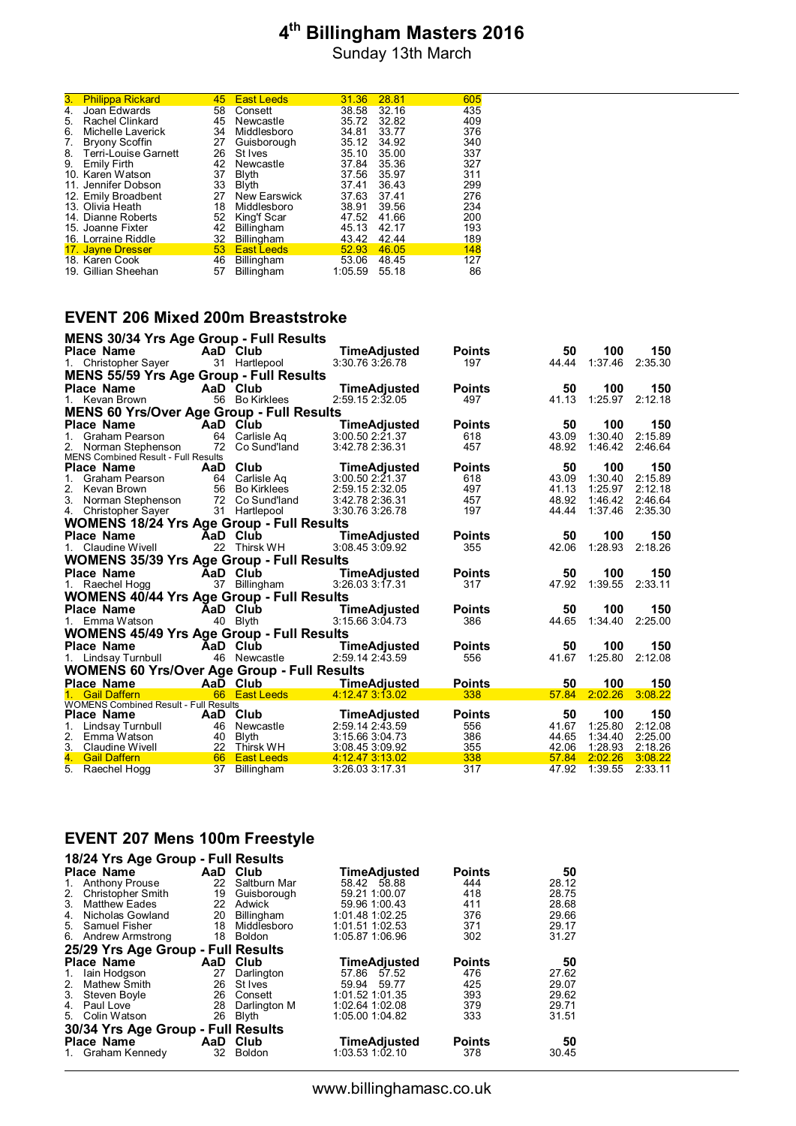Sunday 13th March

| <b>Philippa Rickard</b> | 45                                                                                                                                                                                                                                         |                     | 31.36                                                | 28.81 | 605 |
|-------------------------|--------------------------------------------------------------------------------------------------------------------------------------------------------------------------------------------------------------------------------------------|---------------------|------------------------------------------------------|-------|-----|
| Joan Edwards            | 58                                                                                                                                                                                                                                         | Consett             | 38.58                                                | 32.16 | 435 |
| Rachel Clinkard         | 45                                                                                                                                                                                                                                         | Newcastle           | 35.72                                                | 32.82 | 409 |
| Michelle Laverick       | 34                                                                                                                                                                                                                                         | Middlesboro         | 34.81                                                | 33.77 | 376 |
| <b>Bryony Scoffin</b>   | 27                                                                                                                                                                                                                                         | Guisborough         | 35.12                                                | 34.92 | 340 |
|                         | 26                                                                                                                                                                                                                                         | St Ives             | 35.10                                                | 35.00 | 337 |
| Emily Firth             | 42                                                                                                                                                                                                                                         | Newcastle           | 37.84                                                | 35.36 | 327 |
|                         | 37                                                                                                                                                                                                                                         | Blyth               | 37.56                                                | 35.97 | 311 |
|                         | 33                                                                                                                                                                                                                                         | <b>B</b> lvth       | 37.41                                                | 36.43 | 299 |
|                         | 27                                                                                                                                                                                                                                         | <b>New Earswick</b> | 37.63                                                | 37.41 | 276 |
|                         | 18                                                                                                                                                                                                                                         | Middlesboro         | 38.91                                                | 39.56 | 234 |
|                         | 52                                                                                                                                                                                                                                         | King'f Scar         | 47.52                                                | 41.66 | 200 |
|                         | 42                                                                                                                                                                                                                                         | Billingham          | 45.13                                                | 42.17 | 193 |
|                         | 32                                                                                                                                                                                                                                         | <b>Billingham</b>   | 43.42                                                | 42.44 | 189 |
|                         | 53                                                                                                                                                                                                                                         |                     | 52.93                                                | 46.05 | 148 |
|                         | 46                                                                                                                                                                                                                                         | <b>Billingham</b>   |                                                      | 48.45 | 127 |
|                         | 57                                                                                                                                                                                                                                         |                     | 1:05.59                                              | 55.18 | 86  |
|                         | Terri-Louise Garnett<br>10. Karen Watson<br>11. Jennifer Dobson<br>12. Emily Broadbent<br>13. Olivia Heath<br>14. Dianne Roberts<br>15. Joanne Fixter<br>16. Lorraine Riddle<br>17. Jayne Dresser<br>18. Karen Cook<br>19. Gillian Sheehan |                     | <b>East Leeds</b><br><b>East Leeds</b><br>Billingham | 53.06 |     |

### **EVENT 206 Mixed 200m Breaststroke**

| <b>MENS 30/34 Yrs Age Group - Full Results</b>     |    |                 |                     |               |       |         |         |
|----------------------------------------------------|----|-----------------|---------------------|---------------|-------|---------|---------|
| <b>Place Name</b>                                  |    | AaD Club        | TimeAdiusted        | <b>Points</b> | 50    | 100     | 150     |
| 1. Christopher Sayer                               |    | 31 Hartlepool   | 3:30.76 3:26.78     | 197           | 44.44 | 1:37.46 | 2:35.30 |
| <b>MENS 55/59 Yrs Age Group - Full Results</b>     |    |                 |                     |               |       |         |         |
| Place Name                                         |    | AaD Club        | <b>TimeAdjusted</b> | <b>Points</b> | 50    | 100     | 150     |
| 1. Kevan Brown                                     |    | 56 Bo Kirklees  | 2:59.15 2:32.05     | 497           | 41.13 | 1:25.97 | 2:12.18 |
| <b>MENS 60 Yrs/Over Age Group - Full Results</b>   |    |                 |                     |               |       |         |         |
| <b>Place Name</b>                                  |    | AaD Club        | TimeAdiusted        | <b>Points</b> | 50    | 100     | 150     |
| 1. Graham Pearson                                  | 64 | Carlisle Ag     | 3:00.50 2:21.37     | 618           | 43.09 | 1:30.40 | 2:15.89 |
| 2. Norman Stephenson                               |    | 72 Co Sund'land | 3:42.78 2:36.31     | 457           | 48.92 | 1:46.42 | 2:46.64 |
| <b>MENS Combined Result - Full Results</b>         |    |                 |                     |               |       |         |         |
| <b>Place Name</b>                                  |    | AaD Club        | TimeAdjusted        | <b>Points</b> | 50    | 100     | 150     |
| 1.<br>Graham Pearson                               |    | 64 Carlisle Ag  | 3:00.50 2:21.37     | 618           | 43.09 | 1:30.40 | 2:15.89 |
| 2. Kevan Brown                                     |    | 56 Bo Kirklees  | 2:59.15 2:32.05     | 497           | 41.13 | 1:25.97 | 2:12.18 |
| 3. Norman Stephenson                               |    | 72 Co Sund'land | 3:42.78 2:36.31     | 457           | 48.92 | 1:46.42 | 2:46.64 |
| 4. Christopher Sayer                               |    | 31 Hartlepool   | 3:30.76 3:26.78     | 197           | 44.44 | 1:37.46 | 2:35.30 |
| <b>WOMENS 18/24 Yrs Age Group - Full Results</b>   |    |                 |                     |               |       |         |         |
| Place Name                                         |    | AaD Club        | <b>TimeAdjusted</b> | <b>Points</b> | 50    | 100     | 150     |
| 1. Claudine Wivell                                 |    | 22 Thirsk WH    | 3:08.453:09.92      | 355           | 42.06 | 1:28.93 | 2:18.26 |
| <b>WOMENS 35/39 Yrs Age Group - Full Results</b>   |    |                 |                     |               |       |         |         |
| Place Name                                         |    | AaD Club        | TimeAdjusted        | <b>Points</b> | 50    | 100     | 150     |
| 1. Raechel Hogg                                    |    | 37 Billingham   | 3:26.033:17.31      | 317           | 47.92 | 1:39.55 | 2:33.11 |
| <b>WOMENS 40/44 Yrs Age Group - Full Results</b>   |    |                 |                     |               |       |         |         |
| <b>Place Name</b>                                  |    | AaD Club        | <b>TimeAdjusted</b> | <b>Points</b> | 50    | 100     | 150     |
| 1. Emma Watson                                     |    | 40 Blyth        | 3:15.663:04.73      | 386           | 44.65 | 1:34.40 | 2:25.00 |
| <b>WOMENS 45/49 Yrs Age Group - Full Results</b>   |    |                 |                     |               |       |         |         |
| <b>Place Name</b>                                  |    | AaD Club        | <b>TimeAdjusted</b> | <b>Points</b> | 50    | 100     | 150     |
| 1. Lindsay Turnbull                                |    | 46 Newcastle    | 2:59.14 2:43.59     | 556           | 41.67 | 1:25.80 | 2:12.08 |
| <b>WOMENS 60 Yrs/Over Age Group - Full Results</b> |    |                 |                     |               |       |         |         |
| Place Name                                         |    | AaD Club        | <b>TimeAdiusted</b> | <b>Points</b> | 50    | 100     | 150     |
| 1. Gail Daffern                                    |    | 66 East Leeds   | 4:12.473:13.02      | 338           | 57.84 | 2:02.26 | 3:08.22 |
| <b>WOMENS Combined Result - Full Results</b>       |    |                 |                     |               |       |         |         |
| Place Name                                         |    | AaD Club        | TimeAdiusted        | <b>Points</b> | 50    | 100     | 150     |
| 1.<br>Lindsay Turnbull                             | 46 | Newcastle       | 2:59.14 2:43.59     | 556           | 41.67 | 1:25.80 | 2:12.08 |
| 2. Emma Watson                                     |    | 40 Blyth        | 3:15.66 3:04.73     | 386           | 44.65 | 1:34.40 | 2:25.00 |
| 3. Claudine Wivell                                 |    | 22 Thirsk WH    | 3:08.45 3:09.92     | 355           | 42.06 | 1:28.93 | 2:18.26 |
| 4. Gail Daffern                                    | 66 | East Leeds      | 4:12.47 3:13.02     | 338           | 57.84 | 2:02.26 | 3:08.22 |
| 5. Raechel Hogg                                    | 37 | Billingham      | 3:26.03 3:17.31     | 317           | 47.92 | 1:39.55 | 2:33.11 |

#### **EVENT 207 Mens 100m Freestyle**

|             | 18/24 Yrs Age Group - Full Results |    |               |                     |               |       |
|-------------|------------------------------------|----|---------------|---------------------|---------------|-------|
|             | Place Name                         |    | AaD Club      | <b>TimeAdjusted</b> | <b>Points</b> | 50    |
| $1_{\cdot}$ | <b>Anthony Prouse</b>              | 22 | Saltburn Mar  | 58.42 58.88         | 444           | 28.12 |
|             | 2. Christopher Smith               | 19 | Guisborough   | 59.21 1:00.07       | 418           | 28.75 |
| 3.          | <b>Matthew Eades</b>               | 22 | Adwick        | 59.96 1:00.43       | 411           | 28.68 |
| 4.          | Nicholas Gowland                   | 20 | Billingham    | 1:01.48 1:02.25     | 376           | 29.66 |
|             | 5. Samuel Fisher                   | 18 | Middlesboro   | 1:01.51 1:02.53     | 371           | 29.17 |
|             | 6. Andrew Armstrong                | 18 | <b>Boldon</b> | 1:05.87 1:06.96     | 302           | 31.27 |
|             | 25/29 Yrs Age Group - Full Results |    |               |                     |               |       |
|             | Place Name                         |    | AaD Club      | TimeAdjusted        | <b>Points</b> | 50    |
| $1_{\cdot}$ | lain Hodgson                       | 27 | Darlington    | 57.86 57.52         | 476           | 27.62 |
| 2.          | <b>Mathew Smith</b>                | 26 | St Ives       | 59.94 59.77         | 425           | 29.07 |
|             | 3. Steven Boyle                    | 26 | Consett       | 1:01.52 1:01.35     | 393           | 29.62 |
| 4.          | Paul Love                          | 28 | Darlington M  | 1:02.64 1:02.08     | 379           | 29.71 |
| 5.          | Colin Watson                       | 26 | Blyth         | 1:05.00 1:04.82     | 333           | 31.51 |
|             | 30/34 Yrs Age Group - Full Results |    |               |                     |               |       |
|             | <b>Place Name</b>                  |    | AaD Club      | TimeAdjusted        | <b>Points</b> | 50    |
|             | 1. Graham Kennedy                  | 32 | <b>Boldon</b> | $1:03.53$ $1:02.10$ | 378           | 30.45 |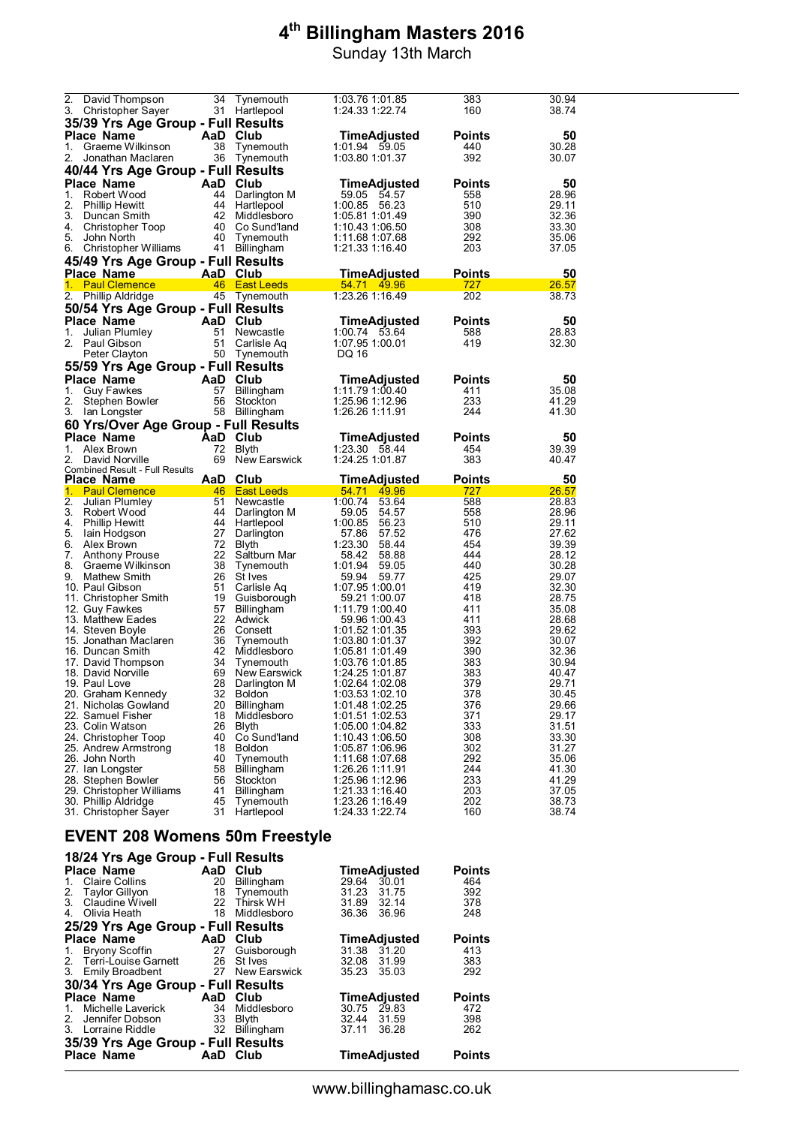|                                        | 2. David Thompson                          | 34       | Tynemouth                    | 1:03.76 1:01.85                    | 383           | 30.94          |
|----------------------------------------|--------------------------------------------|----------|------------------------------|------------------------------------|---------------|----------------|
|                                        | 3. Christopher Sayer                       |          | 31 Hartlepool                | 1:24.33 1:22.74                    | 160           | 38.74          |
|                                        | 35/39 Yrs Age Group - Full Results         |          |                              |                                    |               |                |
|                                        | <b>Place Name</b>                          | AaD Club |                              | TimeAdjusted                       | <b>Points</b> | 50             |
| 1.                                     | Graeme Wilkinson                           | 38       | Tynemouth                    | 1:01.94 59.05                      | 440           | 30.28          |
| 2.                                     | Jonathan Maclaren                          |          | 36 Tynemouth                 | 1:03.80 1:01.37                    | 392           | 30.07          |
|                                        | 40/44 Yrs Age Group - Full Results         |          |                              |                                    |               |                |
|                                        | Place Name                                 |          | AaD Club                     | <b>TimeAdjusted</b>                | <b>Points</b> | 50             |
| 1.                                     | Robert Wood                                |          | 44 Darlington M              | 59.05 54.57                        | 558           | 28.96          |
| 2.                                     | <b>Phillip Hewitt</b>                      |          | 44 Hartlepool                | 1:00.85 56.23                      | 510           | 29.11          |
|                                        | 3. Duncan Smith                            |          | 42 Middlesboro               | 1:05.81 1:01.49                    | 390           | 32.36          |
|                                        | 4. Christopher Toop                        |          | 40 Co Sund'land              | 1:10.43 1:06.50                    | 308           | 33.30          |
| 5.                                     | John North                                 |          | 40 Tynemouth                 | 1:11.68 1:07.68                    | 292           | 35.06          |
|                                        | 6. Christopher Williams                    |          | 41 Billingham                | 1:21.33 1:16.40                    | 203           | 37.05          |
|                                        | 45/49 Yrs Age Group - Full Results         |          |                              |                                    |               |                |
|                                        | Place Name                                 | AaD Club |                              | <b>TimeAdjusted</b>                | <b>Points</b> | 50             |
|                                        | 1. Paul Clemence                           |          | 46 East Leeds                | 54.71 49.96                        | 727           | 26.57          |
|                                        | 2. Phillip Aldridge                        |          | 45 Tynemouth                 | 1:23.26 1:16.49                    | 202           | 38.73          |
|                                        | 50/54 Yrs Age Group - Full Results         |          |                              |                                    |               |                |
|                                        | Place Name                                 |          | AaD Club                     | TimeAdjusted                       | <b>Points</b> | 50             |
| 1.                                     | Julian Plumley                             |          | 51 Newcastle                 | 1:00.74 53.64                      | 588           | 28.83          |
|                                        | 2. Paul Gibson                             | 51       | Carlisle Aq                  | 1:07.95 1:00.01                    | 419           | 32.30          |
|                                        | Peter Clayton                              |          | 50 Tynemouth                 | DQ 16                              |               |                |
|                                        | 55/59 Yrs Age Group - Full Results         |          |                              |                                    |               |                |
|                                        | Place Name                                 |          | AaD Club                     | TimeAdjusted                       | Points        | 50             |
| 1.                                     | <b>Guy Fawkes</b>                          | 57       | Billingham                   | 1:11.79 1:00.40                    | 411           | 35.08          |
| 2.                                     | Stephen Bowler                             |          | 56 Stockton                  | 1:25.96 1:12.96                    | 233           | 41.29          |
| 3.                                     | lan Longster                               |          | 58 Billingham                | 1:26.26 1:11.91                    | 244           | 41.30          |
|                                        | 60 Yrs/Over Age Group - Full Results       |          |                              |                                    |               |                |
|                                        | Place Name                                 | AaD      | Club                         | <b>TimeAdjusted</b>                | <b>Points</b> | 50             |
|                                        | 1. Alex Brown                              | 72       | Blyth                        | 1:23.30 58.44                      | 454           | 39.39          |
|                                        |                                            |          |                              |                                    |               |                |
|                                        | David Norville                             | 69       | New Earswick                 | 1:24.25 1:01.87                    | 383           | 40.47          |
|                                        | <b>Combined Result - Full Results</b>      |          |                              |                                    |               |                |
|                                        | Place Name                                 | AaD Club |                              | TimeAdjusted                       | <b>Points</b> | 50             |
|                                        | <b>Paul Clemence Paul Clemence</b>         |          | 46 East Leeds                | 54.71 49.96                        | 727           | 26.57          |
|                                        | Julian Plumley                             |          | 51 Newcastle                 | 1:00.74 53.64                      | 588           | 28.83          |
|                                        | 3. Robert Wood                             |          | 44 Darlington M              | 59.05<br>54.57                     | 558           | 28.96          |
|                                        | 4. Phillip Hewitt                          |          | 44 Hartlepool                | 1:00.85 56.23                      | 510           | 29.11          |
|                                        | lain Hodgson                               |          | 27 Darlington                | 57.86 57.52                        | 476<br>454    | 27.62          |
|                                        | 6. Alex Brown                              | 72       | Blyth                        | 1:23.30 58.44<br>58.42<br>58.88    | 444           | 39.39<br>28.12 |
|                                        | Anthony Prouse<br>Graeme Wilkinson         | 38       | 22 Saltburn Mar<br>Tynemouth | 1:01.94<br>59.05                   | 440           | 30.28          |
|                                        | Mathew Smith                               |          | 26 St Ives                   | 59.94<br>59.77                     | 425           | 29.07          |
|                                        | 10. Paul Gibson                            |          | 51 Carlisle Aq               | 1:07.95 1:00.01                    | 419           | 32.30          |
|                                        | 11. Christopher Smith                      |          | 19 Guisborough               | 59.21 1:00.07                      | 418           | 28.75          |
|                                        | 12. Guy Fawkes                             | 57       | Billingham                   | 1:11.79 1:00.40                    | 411           | 35.08          |
|                                        | 13. Matthew Eades                          |          | 22 Adwick                    | 59.96 1:00.43                      | 411           | 28.68          |
|                                        | 14. Steven Boyle                           |          | 26 Consett                   | 1:01.52 1:01.35                    | 393           | 29.62          |
|                                        | 15. Jonathan Maclaren                      |          | 36 Tynemouth                 | 1:03.80 1:01.37                    | 392           | 30.07          |
|                                        | 16. Duncan Smith                           |          | 42 Middlesboro               | 1:05.81 1:01.49                    | 390           | 32.36          |
|                                        | 17. David Thompson                         |          | 34 Tynemouth                 | 1:03.76 1:01.85                    | 383           | 30.94          |
|                                        | 18. David Norville                         |          | 69 New Earswick              | 1:24.25 1:01.87                    | 383           | 40.47          |
|                                        | 19. Paul Love                              | 28       | Darlington M                 | 1:02.64 1:02.08                    | 379<br>378    | 29.71          |
|                                        | 20. Graham Kennedy<br>21. Nicholas Gowland | 32<br>20 | <b>Boldon</b>                | 1:03.53 1:02.10<br>1:01.48 1:02.25 | 376           | 30.45<br>29.66 |
|                                        | 22. Samuel Fisher                          | 18       | Billingham<br>Middlesboro    | 1:01.51 1:02.53                    | 371           | 29.17          |
|                                        | 23.  Colin Watson                          | 26       | Blyth                        | 1:05.00 1:04.82                    | 333           | 31.51          |
|                                        | 24. Christopher Toop                       | 40       | Co Sund'land                 | 1:10.43 1:06.50                    | 308           | 33.30          |
|                                        | 25. Andrew Armstrong                       | 18       | Boldon                       | 1:05.87 1:06.96                    | 302           | 31.27          |
|                                        | 26. John North                             | 40       | Tynemouth                    | 1:11.68 1:07.68                    | 292           | 35.06          |
|                                        | 27. Ian Longster                           | 58       | Billingham                   | 1:26.26 1:11.91                    | 244           | 41.30          |
|                                        | 28. Stephen Bowler                         | 56       | Stockton                     | 1:25.96 1:12.96                    | 233           | 41.29          |
|                                        | 29. Christopher Williams                   | 41       | Billingham                   | 1:21.33 1:16.40                    | 203           | 37.05          |
|                                        | 30. Phillip Aldridge                       | 45       | Tynemouth                    | 1:23.26 1:16.49                    | 202           | 38.73          |
| 2.<br>1.<br>2.<br>5.<br>7.<br>8.<br>9. | 31. Christopher Sayer                      | 31       | Hartlepool                   | 1:24.33 1:22.74                    | 160           | 38.74          |

## **EVENT 208 Womens 50m Freestyle**

| 18/24 Yrs Age Group - Full Results |          |                 |                     |               |
|------------------------------------|----------|-----------------|---------------------|---------------|
| Place Name                         | AaD Club |                 | <b>TimeAdjusted</b> | <b>Points</b> |
| Claire Collins<br>$1_{\cdot}$      | 20       | Billingham      | 29.64<br>30.01      | 464           |
| 2. Taylor Gillyon                  |          | 18 Tynemouth    | 31.23<br>31.75      | 392           |
| 3. Claudine Wivell                 | 22       | Thirsk WH       | 31.89 32.14         | 378           |
| Olivia Heath<br>4.                 | 18       | Middlesboro     | 36.96<br>36.36      | 248           |
| 25/29 Yrs Age Group - Full Results |          |                 |                     |               |
| Place Name                         | AaD      | Club            | <b>TimeAdjusted</b> | <b>Points</b> |
| 1. Bryony Scoffin                  | 27       | Guisborough     | 31.38<br>31.20      | 413           |
| 2. Terri-Louise Garnett            |          | 26 St Ives      | 31.99<br>32.08      | 383           |
| 3. Emily Broadbent                 |          | 27 New Earswick | 35.23<br>35.03      | 292           |
| 30/34 Yrs Age Group - Full Results |          |                 |                     |               |
| Place Name                         | AaD      | Club            | <b>TimeAdjusted</b> | <b>Points</b> |
| Michelle Laverick<br>$1_{-}$       | 34       | Middlesboro     | 30.75<br>29.83      | 472           |
| 2. Jennifer Dobson                 | 33       | Blyth           | 32.44 31.59         | 398           |
| 3. Lorraine Riddle                 | 32       | Billingham      | 37.11<br>36.28      | 262           |
| 35/39 Yrs Age Group - Full Results |          |                 |                     |               |
| Place Name                         | AaD      | Club            | <b>TimeAdjusted</b> | <b>Points</b> |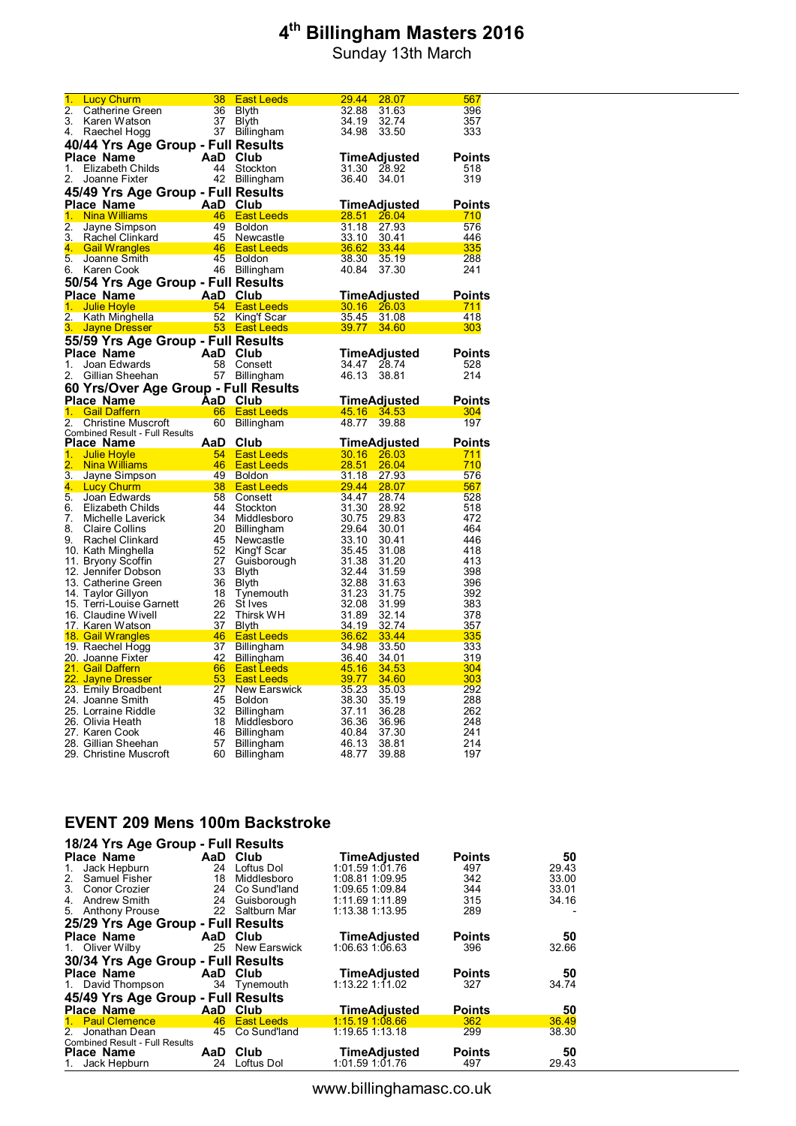Sunday 13th March

| 1.                         | <b>Lucy Churm</b>                              | 38       | <b>East Leeds</b>                 | 29.44<br>28.07                   | 567           |
|----------------------------|------------------------------------------------|----------|-----------------------------------|----------------------------------|---------------|
| 2.                         | Catherine Green                                | 36       | Blyth                             | 32.88<br>31.63                   | 396           |
| 3.                         | Karen Watson                                   | 37       | Blyth                             | 34.19<br>32.74                   | 357           |
| 4.                         | Raechel Hogg                                   | 37       | <b>Billingham</b>                 | 34.98<br>33.50                   | 333           |
|                            | 40/44 Yrs Age Group - Full Results             |          |                                   |                                  |               |
|                            | <b>Place Name</b>                              | AaD Club |                                   | TimeAdjusted                     | <b>Points</b> |
| 1.                         | <b>Elizabeth Childs</b>                        | 44       | Stockton                          | 31.30<br>28.92                   | 518           |
| 2.                         | Joanne Fixter                                  | 42       | Billingham                        | 36.40<br>34.01                   | 319           |
|                            |                                                |          |                                   |                                  |               |
|                            | 45/49 Yrs Age Group - Full Results             |          |                                   |                                  |               |
|                            | <b>Place Name</b>                              | AaD Club |                                   | <u>TimeAdjusted</u>              | <b>Points</b> |
| 1.                         | <b>Nina Williams</b>                           |          | 46 East Leeds                     | 28.51<br>$-26.04$                | 710           |
| 2.                         | Jayne Simpson                                  | 49       | <b>Boldon</b>                     | 31.18<br>27.93                   | 576           |
| 3.                         | Rachel Clinkard                                | 45       | Newcastle                         | 33.10<br>30.41                   | 446           |
| 4.                         | <b>Gail Wrangles</b>                           | 46       | <b>East Leeds</b>                 | 36.62<br>33.44                   | 335           |
| 5.                         | Joanne Smith                                   | 45       | <b>Boldon</b>                     | 38.30<br>35.19                   | 288           |
| 6.                         | Karen Cook                                     |          | 46 Billingham                     | 40.84<br>37.30                   | 241           |
|                            | 50/54 Yrs Age Group - Full Results             |          |                                   |                                  |               |
|                            | Place Name                                     | AaD Club |                                   | TimeAdjusted                     | <b>Points</b> |
| 1 <sub>1</sub>             | <b>Julie Hoyle</b>                             |          | 54 East Leeds                     | 30.16<br>26.03                   | 711           |
| 2.                         | Kath Minghella                                 |          | 52 King'f Scar                    | 35.45<br>31.08                   | 418           |
| 3.                         | <b>Jayne Dresser</b>                           |          | 53 East Leeds                     | 39.77<br>34.60                   | 303           |
|                            | 55/59 Yrs Age Group - Full Results             |          |                                   |                                  |               |
|                            | Place Name                                     | AaD Club |                                   | TimeAdjusted                     | <b>Points</b> |
| 1.                         | Joan Edwards                                   | 58       | Consett                           | 34.47<br>28.74                   | 528           |
| 2.                         | Gillian Sheehan                                | 57       | Billingham                        | 46.13<br>38.81                   | 214           |
|                            |                                                |          |                                   |                                  |               |
|                            | 60 Yrs/Over Age Group - Full Results           |          |                                   |                                  |               |
|                            | <b>Place Name</b>                              | AaD      | <b>Club</b>                       | <u>TimeAdjusted</u>              | <b>Points</b> |
| 1.                         | <b>Gail Daffern</b>                            | 66       | <b>East Leeds</b>                 | 45.16<br>34.53                   | 304           |
|                            |                                                |          |                                   |                                  |               |
| 2.                         | <b>Christine Muscroft</b>                      | 60       | Billingham                        | 48.77<br>39.88                   | 197           |
|                            | <b>Combined Result - Full Results</b>          |          |                                   |                                  |               |
|                            | Place Name                                     | AaD      | Club                              | <b>TimeAdjusted</b>              | <b>Points</b> |
| 1.                         | <b>Julie Hoyle</b>                             | 54       | <b>East Leeds</b>                 | 30.16<br>26.03                   | 711           |
| 2.                         | <b>Nina Williams</b>                           | 46       | <b>East Leeds</b>                 | 28.51<br>26.04                   | 710           |
| 3.                         | Jayne Simpson                                  | 49       | <b>Boldon</b>                     | 31.18<br>27.93                   | 576           |
|                            | <b>Lucy Churm</b>                              | 38       | <b>East Leeds</b>                 | 29.44<br>28.07                   | 567           |
|                            | Joan Edwards                                   | 58       | Consett                           | 34.47<br>28.74                   | 528           |
|                            | Elizabeth Childs                               | 44       | Stockton                          | 31.30<br>28.92                   | 518           |
| 7.                         | Michelle Laverick                              | 34       | Middlesboro                       | 30.75<br>29.83                   | 472           |
|                            | Claire Collins                                 | 20       | Billingham                        | 29.64<br>30.01                   | 464           |
|                            | Rachel Clinkard                                | 45       | Newcastle                         | 33.10<br>30.41                   | 446           |
|                            | 10. Kath Minghella                             | 52       | King'f Scar                       | 35.45<br>31.08                   | 418           |
|                            | 11. Bryony Scoffin                             | 27       | Guisborough                       | 31.38<br>31.20                   | 413           |
|                            | 12. Jennifer Dobson                            | 33       | Blyth                             | 32.44<br>31.59                   | 398           |
|                            | 13. Catherine Green                            | 36       | Blyth                             | 32.88<br>31.63                   | 396           |
|                            | 14. Taylor Gillyon<br>15. Terri-Louise Garnett | 18<br>26 | Tynemouth                         | 31.23<br>31.75                   | 392<br>383    |
|                            | 16. Claudine Wivell                            | 22       | St Ives<br>Thirsk WH              | 32.08<br>31.99<br>31.89<br>32.14 | 378           |
|                            | 17. Karen Watson                               | 37       |                                   | 34.19<br>32.74                   | 357           |
| 4.<br>5.<br>6.<br>8.<br>9. | 18. Gail Wrangles                              | 46       | <b>Blyth</b><br><b>East Leeds</b> | 36.62<br>33.44                   | 335           |
|                            | 19. Raechel Hogg                               | 37       | Billingham                        | 34.98<br>33.50                   | 333           |
|                            | 20. Joanne Fixter                              | 42       | Billingham                        | 36.40<br>34.01                   | 319           |
|                            | 21. Gail Daffern                               | 66       | <b>East Leeds</b>                 | 45.16<br>34.53                   | 304           |
|                            | 22. Jayne Dresser                              | 53       | <b>East Leeds</b>                 | 39.77<br>34.60                   | 303           |
|                            | 23. Emily Broadbent                            | 27       | New Earswick                      | 35.23<br>35.03                   | 292           |
|                            | 24. Joanne Smith                               | 45       | <b>Boldon</b>                     | 38.30<br>35.19                   | 288           |
|                            | 25. Lorraine Riddle                            | 32       | Billingham                        | 37.11<br>36.28                   | 262           |
|                            | 26. Olivia Heath                               | 18       | Middlesboro                       | 36.36<br>36.96                   | 248           |
|                            | 27. Karen Cook                                 | 46       | <b>Billingham</b>                 | 40.84<br>37.30                   | 241           |
|                            | 28. Gillian Sheehan<br>29. Christine Muscroft  | 57<br>60 | <b>Billingham</b><br>Billingham   | 46.13<br>38.81<br>48.77<br>39.88 | 214<br>197    |

#### **EVENT 209 Mens 100m Backstroke**

| 18/24 Yrs Age Group - Full Results    |     |                 |                     |               |       |
|---------------------------------------|-----|-----------------|---------------------|---------------|-------|
| Place Name                            |     | AaD Club        | <b>TimeAdjusted</b> | <b>Points</b> | 50    |
| Jack Hepburn<br>$1_{\cdot}$           | 24  | Loftus Dol      | 1:01.59 1:01.76     | 497           | 29.43 |
| Samuel Fisher<br>2.                   | 18  | Middlesboro     | 1:08.81 1:09.95     | 342           | 33.00 |
| 3. Conor Crozier                      | 24  | Co Sund'land    | 1:09.65 1:09.84     | 344           | 33.01 |
| <b>Andrew Smith</b><br>4.             | 24  | Guisborough     | 1:11.69 1:11.89     | 315           | 34.16 |
| 5. Anthony Prouse                     |     | 22 Saltburn Mar | 1:13.38 1:13.95     | 289           |       |
| 25/29 Yrs Age Group - Full Results    |     |                 |                     |               |       |
| Place Name                            |     | AaD Club        | TimeAdjusted        | <b>Points</b> | 50    |
| 1. Oliver Wilby                       | 25  | New Earswick    | 1:06.63 1:06.63     | 396           | 32.66 |
| 30/34 Yrs Age Group - Full Results    |     |                 |                     |               |       |
| <b>Place Name</b>                     |     | AaD Club        | <b>TimeAdjusted</b> | <b>Points</b> | 50    |
| 1. David Thompson                     |     | 34 Tynemouth    | $1:13.22$ $1:11.02$ | 327           | 34.74 |
| 45/49 Yrs Age Group - Full Results    |     |                 |                     |               |       |
| <b>Place Name</b>                     |     | AaD Club        | <b>TimeAdjusted</b> | <b>Points</b> | 50    |
| 1. Paul Clemence                      |     | 46 East Leeds   | $1:15.19$ 1:08.66   | 362           | 36.49 |
| Jonathan Dean<br>2.                   |     | 45 Co Sund'land | 1:19.65 1:13.18     | 299           | 38.30 |
| <b>Combined Result - Full Results</b> |     |                 |                     |               |       |
| <b>Place Name</b>                     | AaD | Club            | <b>TimeAdjusted</b> | <b>Points</b> | 50    |
| 1. Jack Hepburn                       | 24  | Loftus Dol      | 1:01.59 1:01.76     | 497           | 29.43 |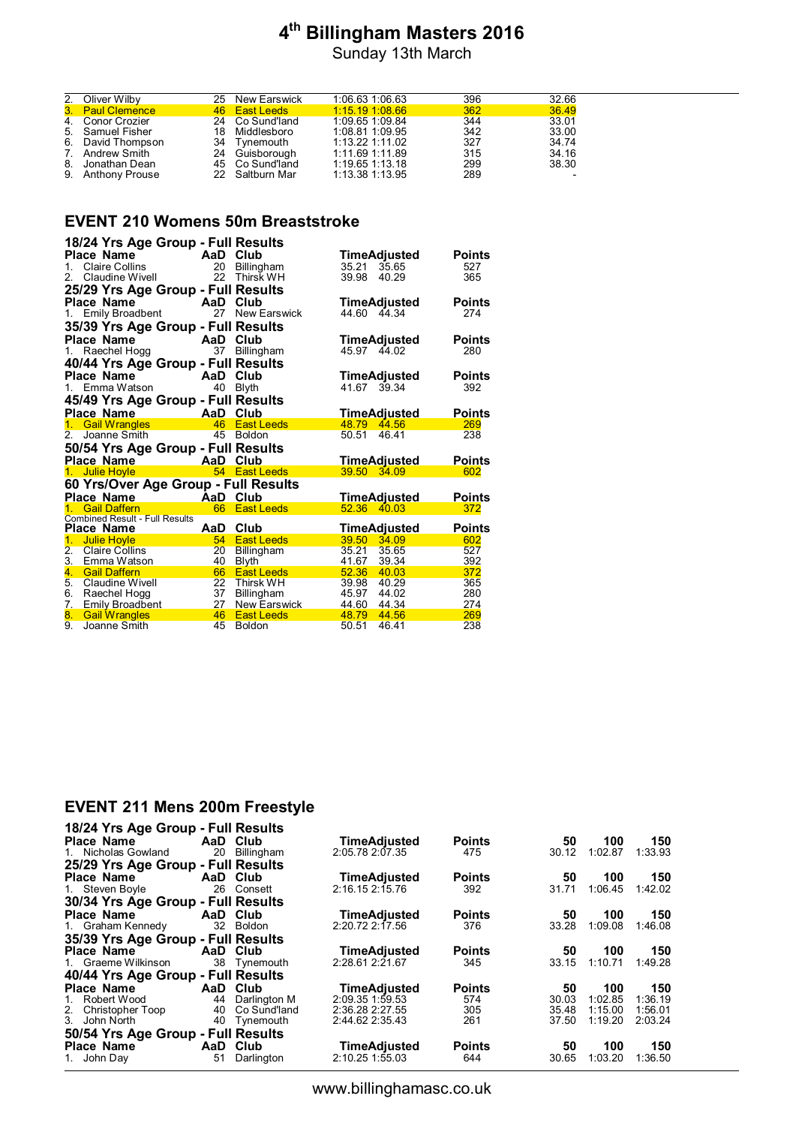Sunday 13th March

| 2. Oliver Wilby   | 25 New Earswick | 1:06.63 1:06.63   | 396 | 32.66 |
|-------------------|-----------------|-------------------|-----|-------|
| 3. Paul Clemence  | 46 East Leeds   | $1:15.19$ 1:08.66 | 362 | 36.49 |
| 4. Conor Crozier  | 24 Co Sund'land | 1:09.65 1:09.84   | 344 | 33.01 |
| 5. Samuel Fisher  | 18 Middlesboro  | 1:08.81 1:09.95   | 342 | 33.00 |
| 6. David Thompson | 34 Tynemouth    | 1:13.22 1:11.02   | 327 | 34.74 |
| 7. Andrew Smith   | 24 Guisborough  | 1:11.69 1:11.89   | 315 | 34.16 |
| 8. Jonathan Dean  | 45 Co Sund'land | 1:19.65 1:13.18   | 299 | 38.30 |
| 9. Anthony Prouse | 22 Saltburn Mar | 1:13.38 1:13.95   | 289 |       |

# **EVENT 210 Womens 50m Breaststroke**

|                | 18/24 Yrs Age Group - Full Results                      |          |                                   |                               |               |
|----------------|---------------------------------------------------------|----------|-----------------------------------|-------------------------------|---------------|
|                | Place Name                                              |          |                                   | TimeAdjusted                  | <b>Points</b> |
| $1_{-}$        | <b>CRAIGE COLORED Club</b><br>Claire Collins 20 Billing |          | 20 Billingham                     | 35.21<br>35.65                | 527           |
| 2 <sup>1</sup> | Claudine Wivell                                         | 22       | Thirsk WH                         | 39.98<br>40.29                | 365           |
|                | 25/29 Yrs Age Group - Full Results                      |          |                                   |                               |               |
|                | <b>Place Name</b>                                       | AaD      | Club                              |                               | <b>Points</b> |
|                | 1. Emily Broadbent                                      | 27       | New Earswick                      | TimeAdjusted<br>44.60 44.34   | 274           |
|                |                                                         |          |                                   |                               |               |
|                | 35/39 Yrs Age Group - Full Results                      |          |                                   |                               |               |
|                | <b>Place Name</b>                                       | AaD      | Club                              | TimeAdjusted                  | <b>Points</b> |
| 1.             | Raechel Hogg                                            | 37       | <b>Billingham</b>                 | 45.97 44.02                   | 280           |
|                | 40/44 Yrs Age Group - Full Results                      |          |                                   |                               |               |
|                | Place Name                                              | AaD Club |                                   | TimeAdjusted                  | <b>Points</b> |
|                | 1. Emma Watson                                          | 40       | <b>Blyth</b>                      | 41.67 39.34                   | 392           |
|                | 45/49 Yrs Age Group - Full Results                      |          |                                   |                               |               |
|                | <b>AaD Club</b><br>Place Name                           |          |                                   | <b>TimeAdjusted</b>           | <b>Points</b> |
| 1.             | Gail Wrangles                                           |          | 46 East Leeds                     | 48.79<br>44.56                | 269           |
| 2.             | Joanne Smith                                            |          | 45 Boldon                         | 50.51<br>46.41                | 238           |
|                |                                                         |          |                                   |                               |               |
|                | 50/54 Yrs Age Group - Full Results                      |          |                                   |                               |               |
|                | Place Name                                              | AaD Club |                                   | <b>TimeAdjusted</b>           | <b>Points</b> |
|                | 1. Julie Hoyle                                          |          | 54 East Leeds                     | 39.50 34.09                   | 602           |
|                | 60 Yrs/Over Age Group - Full Results                    |          |                                   |                               |               |
|                | <b>Place Name</b><br><b>Example 2</b> AaD Club          |          |                                   | TimeAdjusted                  | <b>Points</b> |
| $1 -$          | <b>Gail Daffern</b>                                     |          | 66 East Leeds                     | 52.36 40.03                   | 372           |
|                | <b>Combined Result - Full Results</b>                   |          |                                   |                               |               |
|                | Place Name                                              | AaD      | Club                              | TimeAdjusted                  | <b>Points</b> |
| 1.             | <b>Julie Hoyle</b>                                      | 54       | <b>East Leeds</b>                 | 39.50 34.09                   | 602           |
| 2.             | <b>Claire Collins</b>                                   | 20       | <b>Billingham</b>                 | 35.21<br>35.65                | 527           |
| 3.             | Emma Watson                                             | 40       | <b>Blyth</b>                      | 41.67<br>39.34                | 392           |
| 4.             | <b>Gail Daffern</b>                                     | 66       | <b>East Leeds</b>                 | 52.36 40.03                   | 372           |
| 5.             | <b>Claudine Wivell</b>                                  | 22       | <b>Thirsk WH</b>                  | 39.98 40.29                   | 365           |
| 7.             | 6. Raechel Hogg                                         | 37<br>27 | <b>Billingham</b>                 | 45.97<br>44.02                | 280           |
| 8.             | Emily Broadbent<br><b>Gail Wrangles</b>                 | 46       | New Earswick<br><b>East Leeds</b> | 44.60 44.34<br>48.79<br>44.56 | 274<br>269    |
| 9.             | Joanne Smith                                            | 45       | <b>Boldon</b>                     | 50.51<br>46.41                | 238           |
|                |                                                         |          |                                   |                               |               |

### **EVENT 211 Mens 200m Freestyle**

| 18/24 Yrs Age Group - Full Results |          |                 |                     |               |       |         |         |
|------------------------------------|----------|-----------------|---------------------|---------------|-------|---------|---------|
| Place Name                         |          | AaD Club        | <b>TimeAdiusted</b> | <b>Points</b> | 50    | 100     | 150     |
| 1. Nicholas Gowland                | 20       | Billingham      | 2:05.78 2:07.35     | 475           | 30.12 | 1:02.87 | 1:33.93 |
| 25/29 Yrs Age Group - Full Results |          |                 |                     |               |       |         |         |
| <b>Place Name</b>                  | AaD Club |                 | <b>TimeAdjusted</b> | <b>Points</b> | 50    | 100     | 150     |
| 1. Steven Boyle                    | 26       | Consett         | 2:16.15 2:15.76     | 392           | 31.71 | 1:06.45 | 1:42.02 |
| 30/34 Yrs Age Group - Full Results |          |                 |                     |               |       |         |         |
| Place Name                         |          | AaD Club        | <b>TimeAdiusted</b> | <b>Points</b> | 50    | 100     | 150     |
| 1. Graham Kennedy                  |          | 32 Boldon       | 2:20.72 2:17.56     | 376           | 33.28 | 1:09.08 | 1:46.08 |
| 35/39 Yrs Age Group - Full Results |          |                 |                     |               |       |         |         |
| <b>Place Name</b>                  | AaD      | Club            | <b>TimeAdjusted</b> | <b>Points</b> | 50    | 100     | 150     |
| 1. Graeme Wilkinson                |          | 38 Tynemouth    | 2:28.61 2:21.67     | 345           | 33.15 | 1:10.71 | 1:49.28 |
| 40/44 Yrs Age Group - Full Results |          |                 |                     |               |       |         |         |
| <b>Place Name</b>                  | AaD      | Club            | <b>TimeAdjusted</b> | <b>Points</b> | 50    | 100     | 150     |
| Robert Wood<br>1.                  |          | 44 Darlington M | 2:09.35 1:59.53     | 574           | 30.03 | 1:02.85 | 1:36.19 |
| 2. Christopher Toop                | 40       | Co Sund'land    | 2:36.28 2:27.55     | 305           | 35.48 | 1:15.00 | 1:56.01 |
| 3. John North                      | 40       | Tynemouth       | 2:44.62 2:35.43     | 261           | 37.50 | 1:19.20 | 2:03.24 |
| 50/54 Yrs Age Group - Full Results |          |                 |                     |               |       |         |         |
| <b>Place Name</b>                  | AaD      | <b>Club</b>     | <b>TimeAdjusted</b> | <b>Points</b> | 50    | 100     | 150     |
| 1. John Day                        | 51       | Darlington      | 2:10.25 1:55.03     | 644           | 30.65 | 1:03.20 | 1:36.50 |